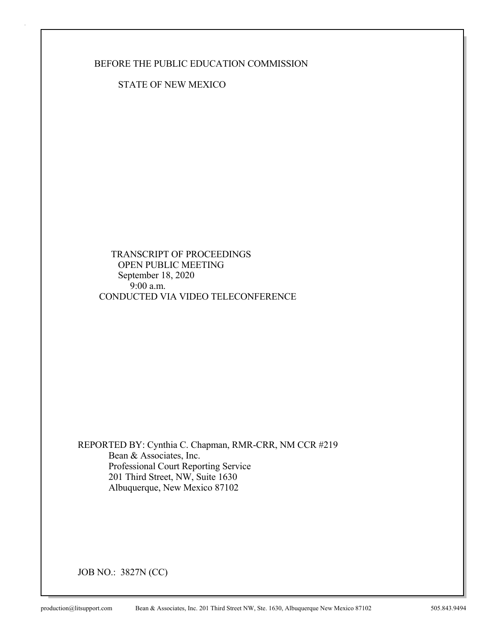BEFORE THE PUBLIC EDUCATION COMMISSION

STATE OF NEW MEXICO

 TRANSCRIPT OF PROCEEDINGS OPEN PUBLIC MEETING September 18, 2020  $9:00$  a.m. CONDUCTED VIA VIDEO TELECONFERENCE

REPORTED BY: Cynthia C. Chapman, RMR-CRR, NM CCR #219 Bean & Associates, Inc. Professional Court Reporting Service 201 Third Street, NW, Suite 1630 Albuquerque, New Mexico 87102

JOB NO.: 3827N (CC)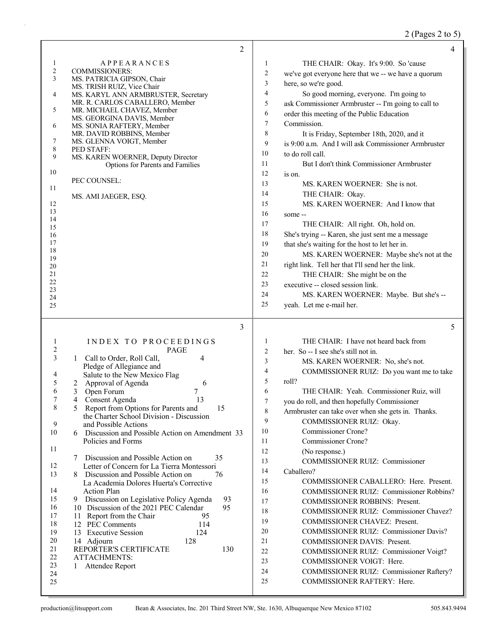# 2 (Pages 2 to 5)

|                            | $\overline{2}$                                                                                  |                | 4                                                                             |
|----------------------------|-------------------------------------------------------------------------------------------------|----------------|-------------------------------------------------------------------------------|
| 1                          | <b>APPEARANCES</b>                                                                              | 1              | THE CHAIR: Okay. It's 9:00. So 'cause                                         |
| $\overline{c}$             | <b>COMMISSIONERS:</b>                                                                           | 2              | we've got everyone here that we -- we have a quorum                           |
| 3                          | MS. PATRICIA GIPSON, Chair<br>MS. TRISH RUIZ, Vice Chair                                        | 3              | here, so we're good.                                                          |
| 4                          | MS. KARYL ANN ARMBRUSTER, Secretary                                                             | 4              | So good morning, everyone. I'm going to                                       |
|                            | MR. R. CARLOS CABALLERO, Member                                                                 | 5              | ask Commissioner Armbruster -- I'm going to call to                           |
| 5                          | MR. MICHAEL CHAVEZ, Member<br>MS. GEORGINA DAVIS, Member                                        | 6              | order this meeting of the Public Education                                    |
| 6                          | MS. SONIA RAFTERY, Member                                                                       | 7              | Commission.                                                                   |
|                            | MR. DAVID ROBBINS, Member                                                                       | 8              | It is Friday, September 18th, 2020, and it                                    |
| 7<br>$\,$ 8 $\,$           | MS. GLENNA VOIGT, Member<br>PED STAFF:                                                          | 9              | is 9:00 a.m. And I will ask Commissioner Armbruster                           |
| 9                          | MS. KAREN WOERNER, Deputy Director                                                              | 10             | to do roll call.                                                              |
|                            | Options for Parents and Families                                                                | 11             | But I don't think Commissioner Armbruster                                     |
| 10                         | PEC COUNSEL:                                                                                    | 12             | is on.                                                                        |
| 11                         |                                                                                                 | 13             | MS. KAREN WOERNER: She is not.                                                |
|                            | MS. AMI JAEGER, ESQ.                                                                            | 14             | THE CHAIR: Okay.                                                              |
| 12<br>13                   |                                                                                                 | 15             | MS. KAREN WOERNER: And I know that                                            |
| 14                         |                                                                                                 | 16             | some --                                                                       |
| 15                         |                                                                                                 | 17             | THE CHAIR: All right. Oh, hold on.                                            |
| 16                         |                                                                                                 | 18             | She's trying -- Karen, she just sent me a message                             |
| 17<br>18                   |                                                                                                 | 19             | that she's waiting for the host to let her in.                                |
| 19                         |                                                                                                 | 20             | MS. KAREN WOERNER: Maybe she's not at the                                     |
| 20<br>21                   |                                                                                                 | 21<br>22       | right link. Tell her that I'll send her the link.                             |
| 22                         |                                                                                                 | 23             | THE CHAIR: She might be on the<br>executive -- closed session link.           |
| 23                         |                                                                                                 | 24             | MS. KAREN WOERNER: Maybe. But she's --                                        |
| 24<br>25                   |                                                                                                 | 25             | yeah. Let me e-mail her.                                                      |
|                            |                                                                                                 |                |                                                                               |
|                            |                                                                                                 |                |                                                                               |
|                            | 3                                                                                               |                | 5                                                                             |
|                            |                                                                                                 | 1              |                                                                               |
| $\mathbf{I}$<br>$\sqrt{2}$ | INDEX TO PROCEEDINGS<br>PAGE                                                                    | $\overline{c}$ | THE CHAIR: I have not heard back from<br>her. So -- I see she's still not in. |
| 3                          | 4<br>Call to Order, Roll Call,<br>1                                                             | 3              | MS. KAREN WOERNER: No, she's not.                                             |
|                            | Pledge of Allegiance and                                                                        | 4              | COMMISSIONER RUIZ: Do you want me to take                                     |
| 4<br>5                     | Salute to the New Mexico Flag<br>6                                                              | 5              | roll?                                                                         |
| 6                          | Approval of Agenda<br>2<br>3<br>Open Forum<br>7                                                 | 6              | THE CHAIR: Yeah. Commissioner Ruiz, will                                      |
| 7                          | $\overline{4}$<br>13<br>Consent Agenda                                                          | 7              | you do roll, and then hopefully Commissioner                                  |
| 8                          | 5<br>Report from Options for Parents and<br>15                                                  | 8              | Armbruster can take over when she gets in. Thanks.                            |
| 9                          | the Charter School Division - Discussion<br>and Possible Actions                                | 9              | COMMISSIONER RUIZ: Okay.                                                      |
| 10                         | 6 Discussion and Possible Action on Amendment 33                                                | 10             | Commissioner Crone?                                                           |
|                            | Policies and Forms                                                                              | 11             | Commissioner Crone?                                                           |
| 11                         |                                                                                                 | 12             | (No response.)                                                                |
| 12                         | 7 Discussion and Possible Action on<br>35<br>Letter of Concern for La Tierra Montessori         | 13             | <b>COMMISSIONER RUIZ: Commissioner</b>                                        |
| 13                         | 8 Discussion and Possible Action on<br>76                                                       | 14             | Caballero?                                                                    |
|                            | La Academia Dolores Huerta's Corrective                                                         | 15             | COMMISSIONER CABALLERO: Here. Present.                                        |
| 14                         | <b>Action Plan</b>                                                                              | 16             | COMMISSIONER RUIZ: Commissioner Robbins?                                      |
| 15<br>16                   | 93<br>9 Discussion on Legislative Policy Agenda<br>10 Discussion of the 2021 PEC Calendar<br>95 | 17             | <b>COMMISSIONER ROBBINS: Present.</b>                                         |
| 17                         | 11 Report from the Chair<br>95                                                                  | 18             | COMMISSIONER RUIZ: Commissioner Chavez?                                       |
| 18                         | 12 PEC Comments<br>114                                                                          | 19             | COMMISSIONER CHAVEZ: Present.                                                 |
| 19                         | 13 Executive Session<br>124                                                                     | 20             | <b>COMMISSIONER RUIZ: Commissioner Davis?</b>                                 |
| 20<br>21                   | 128<br>14 Adjourn<br>REPORTER'S CERTIFICATE<br>130                                              | 21             | <b>COMMISSIONER DAVIS: Present.</b>                                           |
| 22                         | <b>ATTACHMENTS:</b>                                                                             | 22             | COMMISSIONER RUIZ: Commissioner Voigt?                                        |
| 23                         | Attendee Report<br>1                                                                            | 23             | COMMISSIONER VOIGT: Here.                                                     |
| 24<br>25                   |                                                                                                 | 24<br>25       | COMMISSIONER RUIZ: Commissioner Raftery?<br>COMMISSIONER RAFTERY: Here.       |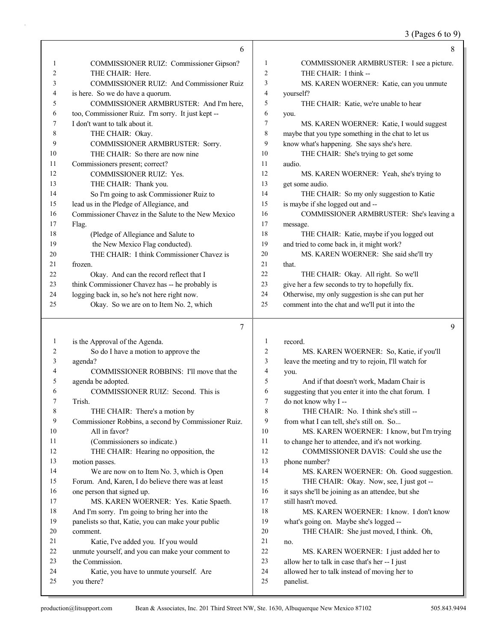# 3 (Pages 6 to 9)

|    | 6                                                    |                | 8                                                   |
|----|------------------------------------------------------|----------------|-----------------------------------------------------|
| 1  | COMMISSIONER RUIZ: Commissioner Gipson?              | 1              | COMMISSIONER ARMBRUSTER: I see a picture.           |
| 2  | THE CHAIR: Here.                                     | $\overline{2}$ | THE CHAIR: I think --                               |
| 3  | COMMISSIONER RUIZ: And Commissioner Ruiz             | 3              | MS. KAREN WOERNER: Katie, can you unmute            |
| 4  | is here. So we do have a quorum.                     | $\overline{4}$ | yourself?                                           |
| 5  | COMMISSIONER ARMBRUSTER: And I'm here,               | 5              | THE CHAIR: Katie, we're unable to hear              |
| 6  | too, Commissioner Ruiz. I'm sorry. It just kept --   | 6              | you.                                                |
| 7  | I don't want to talk about it.                       | 7              | MS. KAREN WOERNER: Katie, I would suggest           |
| 8  | THE CHAIR: Okay.                                     | 8              | maybe that you type something in the chat to let us |
| 9  | COMMISSIONER ARMBRUSTER: Sorry.                      | 9              | know what's happening. She says she's here.         |
| 10 | THE CHAIR: So there are now nine                     | 10             | THE CHAIR: She's trying to get some                 |
| 11 | Commissioners present; correct?                      | 11             | audio.                                              |
| 12 | COMMISSIONER RUIZ: Yes.                              | 12             | MS. KAREN WOERNER: Yeah, she's trying to            |
| 13 | THE CHAIR: Thank you.                                | 13             | get some audio.                                     |
| 14 | So I'm going to ask Commissioner Ruiz to             | 14             | THE CHAIR: So my only suggestion to Katie           |
| 15 | lead us in the Pledge of Allegiance, and             | 15             | is maybe if she logged out and --                   |
| 16 | Commissioner Chavez in the Salute to the New Mexico  | 16             | COMMISSIONER ARMBRUSTER: She's leaving a            |
| 17 | Flag.                                                | 17             | message.                                            |
| 18 | (Pledge of Allegiance and Salute to                  | 18             | THE CHAIR: Katie, maybe if you logged out           |
| 19 | the New Mexico Flag conducted).                      | 19             | and tried to come back in, it might work?           |
| 20 | THE CHAIR: I think Commissioner Chavez is            | 20             | MS. KAREN WOERNER: She said she'll try              |
| 21 | frozen.                                              | 21             | that.                                               |
| 22 | Okay. And can the record reflect that I              | 22             | THE CHAIR: Okay. All right. So we'll                |
| 23 | think Commissioner Chavez has -- he probably is      | 23             | give her a few seconds to try to hopefully fix.     |
| 24 | logging back in, so he's not here right now.         | 24             | Otherwise, my only suggestion is she can put her    |
| 25 | Okay. So we are on to Item No. 2, which              | 25             | comment into the chat and we'll put it into the     |
|    |                                                      |                |                                                     |
|    | 7                                                    |                | 9                                                   |
| 1  | is the Approval of the Agenda.                       | 1              | record.                                             |
| 2  | So do I have a motion to approve the                 | $\overline{c}$ | MS. KAREN WOERNER: So, Katie, if you'll             |
| 3  | agenda?                                              | 3              | leave the meeting and try to rejoin, I'll watch for |
| 4  | COMMISSIONER ROBBINS: I'll move that the             | $\overline{4}$ | you.                                                |
| 5  | agenda be adopted.                                   | 5              | And if that doesn't work, Madam Chair is            |
| 6  | COMMISSIONER RUIZ: Second. This is                   | 6              | suggesting that you enter it into the chat forum. I |
| 7  | Trish.                                               | $\overline{7}$ | do not know why I --                                |
| 8  | THE CHAIR: There's a motion by                       | 8              | THE CHAIR: No. I think she's still --               |
| 9  | Commissioner Robbins, a second by Commissioner Ruiz. | 9              | from what I can tell, she's still on. So            |
| 10 | All in favor?                                        | 10             | MS. KAREN WOERNER: I know, but I'm trying           |
| 11 | (Commissioners so indicate.)                         | 11             | to change her to attendee, and it's not working.    |
| 12 | THE CHAIR: Hearing no opposition, the                | 12             | COMMISSIONER DAVIS: Could she use the               |
| 13 | motion passes.                                       | 13             | phone number?                                       |
| 14 | We are now on to Item No. 3, which is Open           | 14             | MS. KAREN WOERNER: Oh. Good suggestion.             |
| 15 | Forum. And, Karen, I do believe there was at least   | 15             | THE CHAIR: Okay. Now, see, I just got --            |
| 16 | one person that signed up.                           | 16             | it says she'll be joining as an attendee, but she   |
| 17 | MS. KAREN WOERNER: Yes. Katie Spaeth.                | 17             | still hasn't moved.                                 |
| 18 | And I'm sorry. I'm going to bring her into the       | 18             | MS. KAREN WOERNER: I know. I don't know             |
| 19 | panelists so that, Katie, you can make your public   | 19             | what's going on. Maybe she's logged --              |
| 20 | comment.                                             | 20             | THE CHAIR: She just moved, I think. Oh,             |
| 21 | Katie, I've added you. If you would                  | 21             | no.                                                 |
| 22 | unmute yourself, and you can make your comment to    | 22             | MS. KAREN WOERNER: I just added her to              |
| 23 | the Commission.                                      | 23             | allow her to talk in case that's her -- I just      |
| 24 | Katie, you have to unmute yourself. Are              | 24             | allowed her to talk instead of moving her to        |
| 25 | you there?                                           | 25             | panelist.                                           |
|    |                                                      |                |                                                     |

ı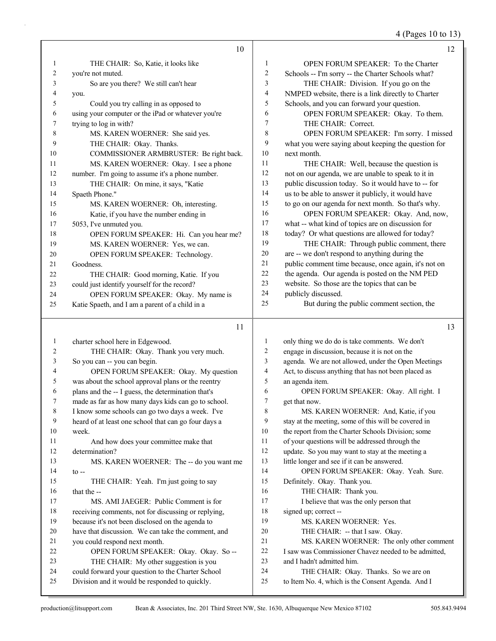4 (Pages 10 to 13)

|    | 10                                                 |    | 12                                                   |
|----|----------------------------------------------------|----|------------------------------------------------------|
| 1  | THE CHAIR: So, Katie, it looks like                | 1  | <b>OPEN FORUM SPEAKER: To the Charter</b>            |
| 2  | you're not muted.                                  | 2  | Schools -- I'm sorry -- the Charter Schools what?    |
| 3  | So are you there? We still can't hear              | 3  | THE CHAIR: Division. If you go on the                |
| 4  | you.                                               | 4  | NMPED website, there is a link directly to Charter   |
| 5  | Could you try calling in as opposed to             | 5  | Schools, and you can forward your question.          |
| 6  | using your computer or the iPad or whatever you're | 6  | OPEN FORUM SPEAKER: Okay. To them.                   |
| 7  | trying to log in with?                             | 7  | THE CHAIR: Correct.                                  |
| 8  | MS. KAREN WOERNER: She said yes.                   | 8  | OPEN FORUM SPEAKER: I'm sorry. I missed              |
| 9  | THE CHAIR: Okay. Thanks.                           | 9  | what you were saying about keeping the question for  |
| 10 | COMMISSIONER ARMBRUSTER: Be right back.            | 10 | next month.                                          |
| 11 | MS. KAREN WOERNER: Okay. I see a phone             | 11 | THE CHAIR: Well, because the question is             |
| 12 | number. I'm going to assume it's a phone number.   | 12 | not on our agenda, we are unable to speak to it in   |
| 13 | THE CHAIR: On mine, it says, "Katie                | 13 | public discussion today. So it would have to -- for  |
| 14 | Spaeth Phone."                                     | 14 | us to be able to answer it publicly, it would have   |
| 15 | MS. KAREN WOERNER: Oh, interesting.                | 15 | to go on our agenda for next month. So that's why.   |
| 16 | Katie, if you have the number ending in            | 16 | OPEN FORUM SPEAKER: Okay. And, now,                  |
| 17 | 5053, I've unmuted you.                            | 17 | what -- what kind of topics are on discussion for    |
| 18 | OPEN FORUM SPEAKER: Hi. Can you hear me?           | 18 | today? Or what questions are allowed for today?      |
| 19 | MS. KAREN WOERNER: Yes, we can.                    | 19 | THE CHAIR: Through public comment, there             |
| 20 | OPEN FORUM SPEAKER: Technology.                    | 20 | are -- we don't respond to anything during the       |
| 21 | Goodness.                                          | 21 | public comment time because, once again, it's not on |
| 22 | THE CHAIR: Good morning, Katie. If you             | 22 | the agenda. Our agenda is posted on the NM PED       |
| 23 | could just identify yourself for the record?       | 23 | website. So those are the topics that can be         |
| 24 | OPEN FORUM SPEAKER: Okay. My name is               | 24 | publicly discussed.                                  |
| 25 | Katie Spaeth, and I am a parent of a child in a    | 25 | But during the public comment section, the           |

### 11

| 1  | charter school here in Edgewood.                     | $\mathbf{1}$ | only thing we do do is take comments. We don't       |
|----|------------------------------------------------------|--------------|------------------------------------------------------|
| 2  | THE CHAIR: Okay. Thank you very much.                | 2            | engage in discussion, because it is not on the       |
| 3  | So you can -- you can begin.                         | 3            | agenda. We are not allowed, under the Open Meetings  |
| 4  | OPEN FORUM SPEAKER: Okay. My question                | 4            | Act, to discuss anything that has not been placed as |
| 5  | was about the school approval plans or the reentry   | 5            | an agenda item.                                      |
| 6  | plans and the -- I guess, the determination that's   | 6            | OPEN FORUM SPEAKER: Okay. All right. I               |
| 7  | made as far as how many days kids can go to school.  | 7            | get that now.                                        |
| 8  | I know some schools can go two days a week. I've     | 8            | MS. KAREN WOERNER: And, Katie, if you                |
| 9  | heard of at least one school that can go four days a | 9            | stay at the meeting, some of this will be covered in |
| 10 | week.                                                | 10           | the report from the Charter Schools Division; some   |
| 11 | And how does your committee make that                | 11           | of your questions will be addressed through the      |
| 12 | determination?                                       | 12           | update. So you may want to stay at the meeting a     |
| 13 | MS. KAREN WOERNER: The -- do you want me             | 13           | little longer and see if it can be answered.         |
| 14 | $to -$                                               | 14           | OPEN FORUM SPEAKER: Okay. Yeah. Sure.                |
| 15 | THE CHAIR: Yeah. I'm just going to say               | 15           | Definitely. Okay. Thank you.                         |
| 16 | that the --                                          | 16           | THE CHAIR: Thank you.                                |
| 17 | MS. AMI JAEGER: Public Comment is for                | 17           | I believe that was the only person that              |
| 18 | receiving comments, not for discussing or replying,  | 18           | signed up; correct --                                |
| 19 | because it's not been disclosed on the agenda to     | 19           | MS. KAREN WOERNER: Yes.                              |
| 20 | have that discussion. We can take the comment, and   | 20           | THE CHAIR: -- that I saw. Okay.                      |
| 21 | you could respond next month.                        | 21           | MS. KAREN WOERNER: The only other comment            |
| 22 | OPEN FORUM SPEAKER: Okay. Okay. So --                | 22           | I saw was Commissioner Chavez needed to be admitted, |
| 23 | THE CHAIR: My other suggestion is you                | 23           | and I hadn't admitted him.                           |
| 24 | could forward your question to the Charter School    | 24           | THE CHAIR: Okay. Thanks. So we are on                |
| 25 | Division and it would be responded to quickly.       | 25           | to Item No. 4, which is the Consent Agenda. And I    |
|    |                                                      |              |                                                      |

13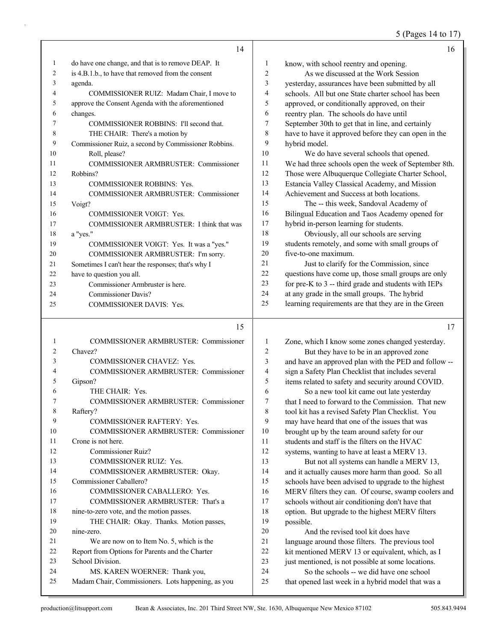### 5 (Pages 14 to 17)

|    | 14                                                   |                | 16                                                   |
|----|------------------------------------------------------|----------------|------------------------------------------------------|
| 1  | do have one change, and that is to remove DEAP. It   | 1              | know, with school reentry and opening.               |
| 2  | is 4.B.1.b., to have that removed from the consent   | $\overline{c}$ | As we discussed at the Work Session                  |
| 3  | agenda.                                              | 3              | yesterday, assurances have been submitted by all     |
| 4  | COMMISSIONER RUIZ: Madam Chair, I move to            | 4              | schools. All but one State charter school has been   |
| 5  | approve the Consent Agenda with the aforementioned   | 5              | approved, or conditionally approved, on their        |
| 6  | changes.                                             | 6              | reentry plan. The schools do have until              |
| 7  | COMMISSIONER ROBBINS: I'll second that.              | 7              | September 30th to get that in line, and certainly    |
| 8  | THE CHAIR: There's a motion by                       | 8              | have to have it approved before they can open in the |
| 9  | Commissioner Ruiz, a second by Commissioner Robbins. | 9              | hybrid model.                                        |
| 10 | Roll, please?                                        | 10             | We do have several schools that opened.              |
| 11 | <b>COMMISSIONER ARMBRUSTER: Commissioner</b>         | 11             | We had three schools open the week of September 8th. |
| 12 | Robbins?                                             | 12             | Those were Albuquerque Collegiate Charter School,    |
| 13 | <b>COMMISSIONER ROBBINS: Yes.</b>                    | 13             | Estancia Valley Classical Academy, and Mission       |
| 14 | COMMISSIONER ARMBRUSTER: Commissioner                | 14             | Achievement and Success at both locations.           |
| 15 | Voigt?                                               | 15             | The -- this week, Sandoval Academy of                |
| 16 | <b>COMMISSIONER VOIGT: Yes.</b>                      | 16             | Bilingual Education and Taos Academy opened for      |
| 17 | COMMISSIONER ARMBRUSTER: I think that was            | 17             | hybrid in-person learning for students.              |
| 18 | a "yes."                                             | 18             | Obviously, all our schools are serving               |
| 19 | COMMISSIONER VOIGT: Yes. It was a "yes."             | 19             | students remotely, and some with small groups of     |
| 20 | COMMISSIONER ARMBRUSTER: I'm sorry.                  | 20             | five-to-one maximum.                                 |
| 21 | Sometimes I can't hear the responses; that's why I   | 2.1            | Just to clarify for the Commission, since            |
| 22 | have to question you all.                            | 22             | questions have come up, those small groups are only  |
| 23 | Commissioner Armbruster is here.                     | 23             | for pre-K to 3 -- third grade and students with IEPs |
| 24 | Commissioner Davis?                                  | 24             | at any grade in the small groups. The hybrid         |
| 25 | <b>COMMISSIONER DAVIS: Yes.</b>                      | 25             | learning requirements are that they are in the Green |

#### 15

| 1              | COMMISSIONER ARMBRUSTER: Commissioner              |
|----------------|----------------------------------------------------|
| $\overline{2}$ | Chavez?                                            |
| 3              | <b>COMMISSIONER CHAVEZ: Yes.</b>                   |
| $\overline{4}$ | COMMISSIONER ARMBRUSTER: Commissioner              |
| 5              | Gipson?                                            |
| 6              | THE CHAIR: Yes.                                    |
| 7              | COMMISSIONER ARMBRUSTER: Commissioner              |
| 8              | Raftery?                                           |
| 9              | <b>COMMISSIONER RAFTERY: Yes.</b>                  |
| 10             | COMMISSIONER ARMBRUSTER: Commissioner              |
| 11             | Crone is not here.                                 |
| 12             | Commissioner Ruiz?                                 |
| 13             | <b>COMMISSIONER RUIZ: Yes.</b>                     |
| 14             | COMMISSIONER ARMBRUSTER: Okay.                     |
| 15             | Commissioner Caballero?                            |
| 16             | COMMISSIONER CABALLERO: Yes.                       |
| 17             | COMMISSIONER ARMBRUSTER: That's a                  |
| 18             | nine-to-zero vote, and the motion passes.          |
| 19             | THE CHAIR: Okay. Thanks. Motion passes,            |
| 20             | nine-zero.                                         |
| 21             | We are now on to Item No. 5, which is the          |
| 22             | Report from Options for Parents and the Charter    |
| 23             | School Division                                    |
| 24             | MS. KAREN WOERNER: Thank you,                      |
| 25             | Madam Chair, Commissioners. Lots happening, as you |

 Zone, which I know some zones changed yesterday. 2 But they have to be in an approved zone and have an approved plan with the PED and follow -- sign a Safety Plan Checklist that includes several items related to safety and security around COVID. 6 So a new tool kit came out late yesterday<br>7 that I need to forward to the Commission. That that I need to forward to the Commission. That new tool kit has a revised Safety Plan Checklist. You may have heard that one of the issues that was brought up by the team around safety for our students and staff is the filters on the HVAC systems, wanting to have at least a MERV 13. 13 But not all systems can handle a MERV 13, and it actually causes more harm than good. So all schools have been advised to upgrade to the highest MERV filters they can. Of course, swamp coolers and schools without air conditioning don't have that option. But upgrade to the highest MERV filters possible. 20 And the revised tool kit does have language around those filters. The previous tool 22 kit mentioned MERV 13 or equivalent, which, as I 23 just mentioned, is not possible at some locations.

24 So the schools -- we did have one school 25 that opened last week in a hybrid model that was a 17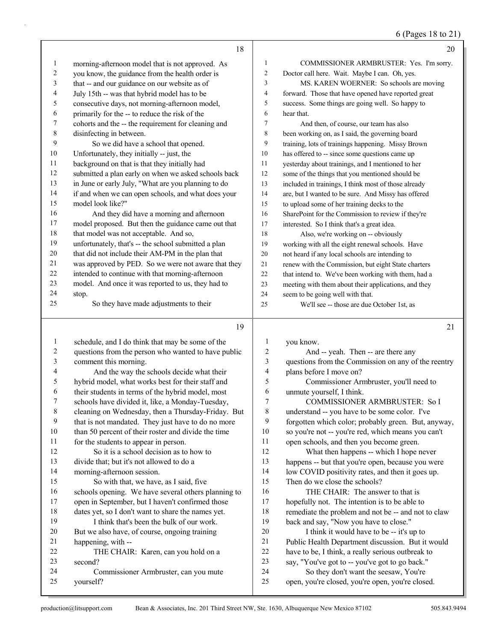6 (Pages 18 to 21)

|                  | 18                                                                                                      |                  | 20                                                                                |
|------------------|---------------------------------------------------------------------------------------------------------|------------------|-----------------------------------------------------------------------------------|
| $\mathbf{1}$     | morning-afternoon model that is not approved. As                                                        | 1                | COMMISSIONER ARMBRUSTER: Yes. I'm sorry.                                          |
| 2                | you know, the guidance from the health order is                                                         | 2                | Doctor call here. Wait. Maybe I can. Oh, yes.                                     |
| 3                | that -- and our guidance on our website as of                                                           | 3                | MS. KAREN WOERNER: So schools are moving                                          |
| 4                | July 15th -- was that hybrid model has to be                                                            | 4                | forward. Those that have opened have reported great                               |
| 5                | consecutive days, not morning-afternoon model,                                                          | 5                | success. Some things are going well. So happy to                                  |
| 6                | primarily for the -- to reduce the risk of the                                                          | 6                | hear that.                                                                        |
| 7                | cohorts and the -- the requirement for cleaning and                                                     | $\tau$           | And then, of course, our team has also                                            |
| 8                | disinfecting in between.                                                                                | 8                | been working on, as I said, the governing board                                   |
| 9                | So we did have a school that opened.                                                                    | 9                | training, lots of trainings happening. Missy Brown                                |
| 10               | Unfortunately, they initially -- just, the                                                              | 10               | has offered to -- since some questions came up                                    |
| 11               | background on that is that they initially had                                                           | 11               | yesterday about trainings, and I mentioned to her                                 |
| 12               | submitted a plan early on when we asked schools back                                                    | 12               | some of the things that you mentioned should be                                   |
| 13               | in June or early July, "What are you planning to do                                                     | 13               | included in trainings, I think most of those already                              |
| 14               | if and when we can open schools, and what does your                                                     | 14               | are, but I wanted to be sure. And Missy has offered                               |
| 15               | model look like?"                                                                                       | 15               | to upload some of her training decks to the                                       |
| 16               | And they did have a morning and afternoon                                                               | 16               | SharePoint for the Commission to review if they're                                |
| 17               | model proposed. But then the guidance came out that                                                     | 17               | interested. So I think that's a great idea.                                       |
| 18               | that model was not acceptable. And so,                                                                  | 18               | Also, we're working on -- obviously                                               |
| 19               | unfortunately, that's -- the school submitted a plan                                                    | 19               | working with all the eight renewal schools. Have                                  |
| 20               | that did not include their AM-PM in the plan that                                                       | 20               | not heard if any local schools are intending to                                   |
| 21               | was approved by PED. So we were not aware that they                                                     | 21               | renew with the Commission, but eight State charters                               |
| 22               | intended to continue with that morning-afternoon                                                        | 22               | that intend to. We've been working with them, had a                               |
| 23               | model. And once it was reported to us, they had to                                                      | 23               | meeting with them about their applications, and they                              |
| 24               | stop.                                                                                                   | 24               | seem to be going well with that.                                                  |
| 25               | So they have made adjustments to their                                                                  | 25               | We'll see -- those are due October 1st, as                                        |
|                  |                                                                                                         |                  |                                                                                   |
|                  | 19                                                                                                      |                  | 21                                                                                |
|                  |                                                                                                         |                  |                                                                                   |
| 1                | schedule, and I do think that may be some of the                                                        | 1                | you know.                                                                         |
| 2                | questions from the person who wanted to have public                                                     | $\boldsymbol{2}$ | And -- yeah. Then -- are there any                                                |
| 3                | comment this morning.                                                                                   | $\mathfrak{Z}$   | questions from the Commission on any of the reentry                               |
| 4                | And the way the schools decide what their                                                               | 4                | plans before I move on?                                                           |
| 5                | hybrid model, what works best for their staff and                                                       | 5                | Commissioner Armbruster, you'll need to                                           |
| 6<br>7           | their students in terms of the hybrid model, most                                                       | 6<br>7           | unmute yourself, I think.                                                         |
|                  | schools have divided it, like, a Monday-Tuesday,                                                        |                  | COMMISSIONER ARMBRUSTER: So I                                                     |
| $\,$ 8 $\,$<br>9 | cleaning on Wednesday, then a Thursday-Friday. But                                                      | 8<br>9           | understand -- you have to be some color. I've                                     |
| $10\,$           | that is not mandated. They just have to do no more                                                      | $10\,$           | forgotten which color; probably green. But, anyway,                               |
| 11               | than 50 percent of their roster and divide the time                                                     | 11               | so you're not -- you're red, which means you can't                                |
| 12               | for the students to appear in person.<br>So it is a school decision as to how to                        | 12               | open schools, and then you become green.                                          |
| 13               | divide that; but it's not allowed to do a                                                               | 13               | What then happens -- which I hope never                                           |
| 14               |                                                                                                         | 14               | happens -- but that you're open, because you were                                 |
| 15               | morning-afternoon session.<br>So with that, we have, as I said, five                                    | 15               | low COVID positivity rates, and then it goes up.<br>Then do we close the schools? |
| 16               |                                                                                                         | 16               | THE CHAIR: The answer to that is                                                  |
| 17               | schools opening. We have several others planning to<br>open in September, but I haven't confirmed those | 17               | hopefully not. The intention is to be able to                                     |
| 18               | dates yet, so I don't want to share the names yet.                                                      | 18               | remediate the problem and not be -- and not to claw                               |
| 19               | I think that's been the bulk of our work.                                                               | 19               | back and say, "Now you have to close."                                            |
| 20               | But we also have, of course, ongoing training                                                           | 20               | I think it would have to be -- it's up to                                         |
| 21               | happening, with --                                                                                      | 21               | Public Health Department discussion. But it would                                 |
| 22               | THE CHAIR: Karen, can you hold on a                                                                     | 22               | have to be, I think, a really serious outbreak to                                 |
| 23               | second?                                                                                                 | 23<br>24         | say, "You've got to -- you've got to go back."                                    |

yourself?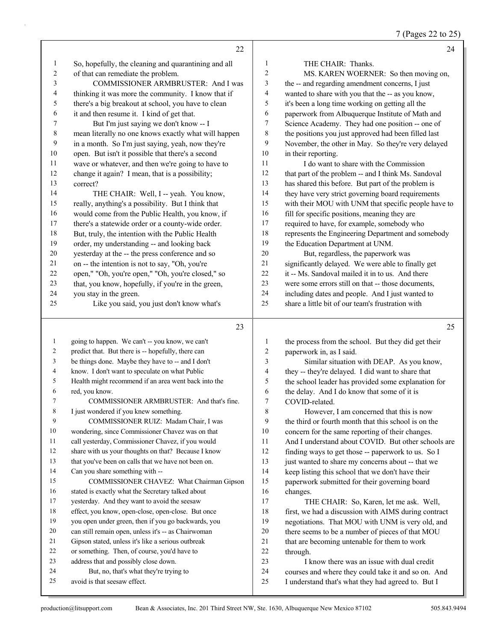7 (Pages 22 to 25)

|                | 22                                                                              |                          | 24                                                                                               |
|----------------|---------------------------------------------------------------------------------|--------------------------|--------------------------------------------------------------------------------------------------|
| 1              | So, hopefully, the cleaning and quarantining and all                            | $\mathbf{1}$             | THE CHAIR: Thanks.                                                                               |
| $\overline{c}$ | of that can remediate the problem.                                              | $\overline{c}$           | MS. KAREN WOERNER: So then moving on,                                                            |
| 3              | COMMISSIONER ARMBRUSTER: And I was                                              | 3                        | the -- and regarding amendment concerns, I just                                                  |
| 4              | thinking it was more the community. I know that if                              | 4                        | wanted to share with you that the -- as you know,                                                |
| 5              | there's a big breakout at school, you have to clean                             | 5                        | it's been a long time working on getting all the                                                 |
| 6              | it and then resume it. I kind of get that.                                      | 6                        | paperwork from Albuquerque Institute of Math and                                                 |
| 7              | But I'm just saying we don't know -- I                                          | 7                        | Science Academy. They had one position -- one of                                                 |
| $\,$ $\,$      | mean literally no one knows exactly what will happen                            | $\,8\,$                  | the positions you just approved had been filled last                                             |
| 9              | in a month. So I'm just saying, yeah, now they're                               | 9                        | November, the other in May. So they're very delayed                                              |
| $10\,$         | open. But isn't it possible that there's a second                               | $10\,$                   | in their reporting.                                                                              |
| 11             | wave or whatever, and then we're going to have to                               | 11                       | I do want to share with the Commission                                                           |
| 12             | change it again? I mean, that is a possibility;                                 | 12                       | that part of the problem -- and I think Ms. Sandoval                                             |
| 13             | correct?                                                                        | 13                       | has shared this before. But part of the problem is                                               |
| 14             | THE CHAIR: Well, I -- yeah. You know,                                           | 14                       | they have very strict governing board requirements                                               |
| 15             | really, anything's a possibility. But I think that                              | 15                       | with their MOU with UNM that specific people have to                                             |
| 16             | would come from the Public Health, you know, if                                 | 16                       | fill for specific positions, meaning they are                                                    |
| 17             | there's a statewide order or a county-wide order.                               | 17                       | required to have, for example, somebody who                                                      |
| $18\,$         | But, truly, the intention with the Public Health                                | $18\,$                   | represents the Engineering Department and somebody                                               |
| 19             | order, my understanding -- and looking back                                     | 19                       | the Education Department at UNM.                                                                 |
| 20             | yesterday at the -- the press conference and so                                 | 20                       | But, regardless, the paperwork was                                                               |
| 21             | on -- the intention is not to say, "Oh, you're                                  | $21\,$                   | significantly delayed. We were able to finally get                                               |
| $22\,$         | open," "Oh, you're open," "Oh, you're closed," so                               | $22\,$                   | it -- Ms. Sandoval mailed it in to us. And there                                                 |
| 23             | that, you know, hopefully, if you're in the green,                              | 23                       | were some errors still on that -- those documents,                                               |
| 24             | you stay in the green.                                                          | 24                       | including dates and people. And I just wanted to                                                 |
| 25             | Like you said, you just don't know what's                                       | 25                       | share a little bit of our team's frustration with                                                |
|                |                                                                                 |                          |                                                                                                  |
|                | 23                                                                              |                          | 25                                                                                               |
| $\mathbf{1}$   | going to happen. We can't -- you know, we can't                                 | 1                        | the process from the school. But they did get their                                              |
| 2              | predict that. But there is -- hopefully, there can                              | $\overline{c}$           | paperwork in, as I said.                                                                         |
| 3              | be things done. Maybe they have to -- and I don't                               | 3                        | Similar situation with DEAP. As you know,                                                        |
| 4              | know. I don't want to speculate on what Public                                  | $\overline{\mathcal{A}}$ | they -- they're delayed. I did want to share that                                                |
| 5              |                                                                                 |                          |                                                                                                  |
|                |                                                                                 | 5                        |                                                                                                  |
| 6              | Health might recommend if an area went back into the                            | 6                        | the school leader has provided some explanation for                                              |
| 7              | red, you know.<br>COMMISSIONER ARMBRUSTER: And that's fine.                     | $\tau$                   | the delay. And I do know that some of it is<br>COVID-related.                                    |
| 8              |                                                                                 | 8                        |                                                                                                  |
| 9              | I just wondered if you knew something.<br>COMMISSIONER RUIZ: Madam Chair, I was | 9                        | However, I am concerned that this is now<br>the third or fourth month that this school is on the |
| 10             | wondering, since Commissioner Chavez was on that                                | 10                       |                                                                                                  |
| 11             | call yesterday, Commissioner Chavez, if you would                               | 11                       | concern for the same reporting of their changes.                                                 |
| 12             | share with us your thoughts on that? Because I know                             | 12                       | And I understand about COVID. But other schools are                                              |
| 13             | that you've been on calls that we have not been on.                             | 13                       | finding ways to get those -- paperwork to us. So I                                               |
| 14             | Can you share something with --                                                 | 14                       | just wanted to share my concerns about -- that we                                                |
| 15             | COMMISSIONER CHAVEZ: What Chairman Gipson                                       | 15                       | keep listing this school that we don't have their                                                |
| 16             | stated is exactly what the Secretary talked about                               | 16                       | paperwork submitted for their governing board                                                    |
| 17             | yesterday. And they want to avoid the seesaw                                    | 17                       | changes.<br>THE CHAIR: So, Karen, let me ask. Well,                                              |
| 18             | effect, you know, open-close, open-close. But once                              | $18\,$                   | first, we had a discussion with AIMS during contract                                             |
| 19             | you open under green, then if you go backwards, you                             | 19                       | negotiations. That MOU with UNM is very old, and                                                 |
| 20             | can still remain open, unless it's -- as Chairwoman                             | $20\,$                   | there seems to be a number of pieces of that MOU                                                 |
| 21             | Gipson stated, unless it's like a serious outbreak                              | $21\,$                   | that are becoming untenable for them to work                                                     |
| 22             | or something. Then, of course, you'd have to                                    | $22\,$                   | through.                                                                                         |
| 23             | address that and possibly close down.                                           | 23                       | I know there was an issue with dual credit                                                       |
| 24             | But, no, that's what they're trying to                                          | $24\,$                   | courses and where they could take it and so on. And                                              |
| 25             | avoid is that seesaw effect.                                                    | 25                       | I understand that's what they had agreed to. But I                                               |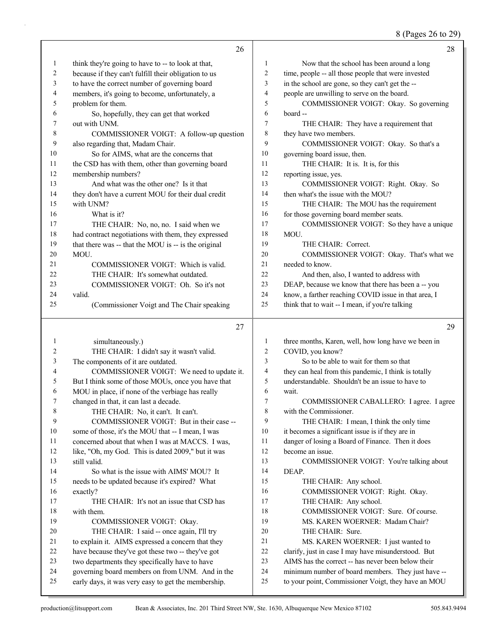8 (Pages 26 to 29)

|          | 26                                                                                                     |          | 28                                                                                                        |
|----------|--------------------------------------------------------------------------------------------------------|----------|-----------------------------------------------------------------------------------------------------------|
| 1        | think they're going to have to -- to look at that,                                                     | 1        | Now that the school has been around a long                                                                |
| 2        | because if they can't fulfill their obligation to us                                                   | 2        | time, people -- all those people that were invested                                                       |
| 3        | to have the correct number of governing board                                                          | 3        | in the school are gone, so they can't get the --                                                          |
| 4        | members, it's going to become, unfortunately, a                                                        | 4        | people are unwilling to serve on the board.                                                               |
| 5        | problem for them.                                                                                      | 5        | COMMISSIONER VOIGT: Okay. So governing                                                                    |
| 6        | So, hopefully, they can get that worked                                                                | 6        | board --                                                                                                  |
| 7        | out with UNM.                                                                                          | 7        | THE CHAIR: They have a requirement that                                                                   |
| 8        | COMMISSIONER VOIGT: A follow-up question                                                               | 8        | they have two members.                                                                                    |
| 9        | also regarding that, Madam Chair.                                                                      | 9        | COMMISSIONER VOIGT: Okay. So that's a                                                                     |
| 10       | So for AIMS, what are the concerns that                                                                | 10       | governing board issue, then.                                                                              |
| 11       | the CSD has with them, other than governing board                                                      | 11       | THE CHAIR: It is. It is, for this                                                                         |
| 12       | membership numbers?                                                                                    | 12       | reporting issue, yes.                                                                                     |
| 13       | And what was the other one? Is it that                                                                 | 13       | COMMISSIONER VOIGT: Right. Okay. So                                                                       |
| 14       | they don't have a current MOU for their dual credit                                                    | 14       | then what's the issue with the MOU?                                                                       |
| 15       | with UNM?                                                                                              | 15       | THE CHAIR: The MOU has the requirement                                                                    |
| 16       | What is it?                                                                                            | 16       | for those governing board member seats.                                                                   |
| 17       | THE CHAIR: No, no, no. I said when we                                                                  | 17       | COMMISSIONER VOIGT: So they have a unique                                                                 |
| 18       | had contract negotiations with them, they expressed                                                    | 18       | MOU.                                                                                                      |
| 19       | that there was -- that the MOU is -- is the original                                                   | 19       | THE CHAIR: Correct.                                                                                       |
| 20       | MOU.                                                                                                   | 20       | COMMISSIONER VOIGT: Okay. That's what we                                                                  |
| 21       | COMMISSIONER VOIGT: Which is valid.                                                                    | 21       | needed to know.                                                                                           |
| 22       | THE CHAIR: It's somewhat outdated.                                                                     | 22       | And then, also, I wanted to address with                                                                  |
| 23       | COMMISSIONER VOIGT: Oh. So it's not                                                                    | 23       | DEAP, because we know that there has been a -- you                                                        |
| 24       | valid.                                                                                                 | 24       | know, a farther reaching COVID issue in that area, I                                                      |
| 25       | (Commissioner Voigt and The Chair speaking                                                             | 25       | think that to wait -- I mean, if you're talking                                                           |
|          |                                                                                                        |          |                                                                                                           |
|          |                                                                                                        |          | 29                                                                                                        |
|          | 27                                                                                                     |          |                                                                                                           |
| 1        | simultaneously.)                                                                                       | 1        | three months, Karen, well, how long have we been in                                                       |
| 2        | THE CHAIR: I didn't say it wasn't valid.                                                               | 2<br>3   | COVID, you know?                                                                                          |
| 3        | The components of it are outdated.                                                                     | 4        | So to be able to wait for them so that                                                                    |
| 4<br>5   | COMMISSIONER VOIGT: We need to update it.                                                              | 5        | they can heal from this pandemic, I think is totally                                                      |
| 6        | But I think some of those MOUs, once you have that                                                     | 6        | understandable. Shouldn't be an issue to have to                                                          |
| 7        | MOU in place, if none of the verbiage has really                                                       | 7        | wait.                                                                                                     |
|          | changed in that, it can last a decade.                                                                 | 8        | COMMISSIONER CABALLERO: I agree. I agree                                                                  |
| 8<br>9   | THE CHAIR: No, it can't. It can't.<br>COMMISSIONER VOIGT: But in their case --                         | 9        | with the Commissioner.<br>THE CHAIR: I mean, I think the only time                                        |
| 10       | some of those, it's the MOU that -- I mean, I was                                                      | 10       |                                                                                                           |
| 11       | concerned about that when I was at MACCS. I was,                                                       | 11       | it becomes a significant issue is if they are in                                                          |
| 12       | like, "Oh, my God. This is dated 2009," but it was                                                     | 12       | danger of losing a Board of Finance. Then it does<br>become an issue.                                     |
| 13       | still valid.                                                                                           | 13       | COMMISSIONER VOIGT: You're talking about                                                                  |
| 14       | So what is the issue with AIMS' MOU? It                                                                | 14       | DEAP.                                                                                                     |
| 15       | needs to be updated because it's expired? What                                                         | 15       | THE CHAIR: Any school.                                                                                    |
| 16       | exactly?                                                                                               | 16       | COMMISSIONER VOIGT: Right. Okay.                                                                          |
| 17       | THE CHAIR: It's not an issue that CSD has                                                              | 17       | THE CHAIR: Any school.                                                                                    |
| 18       | with them.                                                                                             | 18       | COMMISSIONER VOIGT: Sure. Of course.                                                                      |
| 19       | COMMISSIONER VOIGT: Okay.                                                                              | 19       | MS. KAREN WOERNER: Madam Chair?                                                                           |
| 20       | THE CHAIR: I said -- once again, I'll try                                                              | 20       | THE CHAIR: Sure.                                                                                          |
| 21       | to explain it. AIMS expressed a concern that they                                                      | 21       | MS. KAREN WOERNER: I just wanted to                                                                       |
| 22       | have because they've got these two -- they've got                                                      | 22       | clarify, just in case I may have misunderstood. But                                                       |
| 23       | two departments they specifically have to have                                                         | 23       | AIMS has the correct -- has never been below their                                                        |
| 24<br>25 | governing board members on from UNM. And in the<br>early days, it was very easy to get the membership. | 24<br>25 | minimum number of board members. They just have --<br>to your point, Commissioner Voigt, they have an MOU |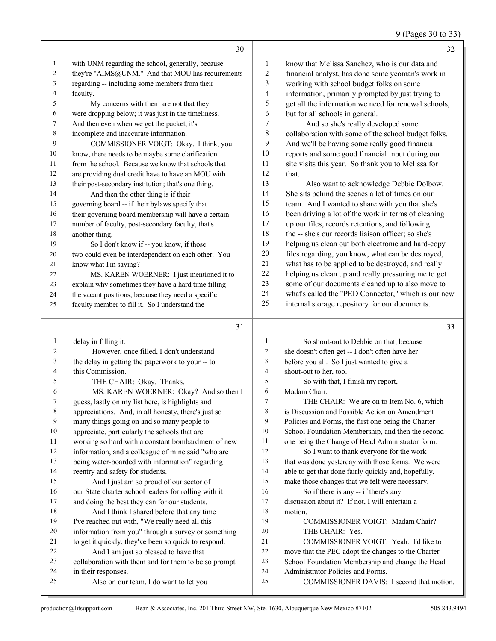#### 9 (Pages 30 to 33)

|              | 30                                                   |                          | 32                                                   |
|--------------|------------------------------------------------------|--------------------------|------------------------------------------------------|
| $\mathbf{1}$ | with UNM regarding the school, generally, because    | 1                        | know that Melissa Sanchez, who is our data and       |
| 2            | they're "AIMS@UNM." And that MOU has requirements    | $\overline{\mathbf{c}}$  | financial analyst, has done some yeoman's work in    |
| 3            | regarding -- including some members from their       | 3                        | working with school budget folks on some             |
| 4            | faculty.                                             | 4                        | information, primarily prompted by just trying to    |
| 5            | My concerns with them are not that they              | 5                        | get all the information we need for renewal schools, |
| 6            | were dropping below; it was just in the timeliness.  | 6                        | but for all schools in general.                      |
| 7            | And then even when we get the packet, it's           | $\tau$                   | And so she's really developed some                   |
| 8            | incomplete and inaccurate information.               | $\,$ $\,$                | collaboration with some of the school budget folks.  |
| 9            | COMMISSIONER VOIGT: Okay. I think, you               | 9                        | And we'll be having some really good financial       |
| 10           | know, there needs to be maybe some clarification     | $10\,$                   | reports and some good financial input during our     |
| 11           | from the school. Because we know that schools that   | 11                       | site visits this year. So thank you to Melissa for   |
| 12           | are providing dual credit have to have an MOU with   | 12                       | that.                                                |
| 13           | their post-secondary institution; that's one thing.  | 13                       | Also want to acknowledge Debbie Dolbow.              |
| 14           | And then the other thing is if their                 | 14                       | She sits behind the scenes a lot of times on our     |
| 15           | governing board -- if their bylaws specify that      | 15                       | team. And I wanted to share with you that she's      |
| 16           | their governing board membership will have a certain | 16                       | been driving a lot of the work in terms of cleaning  |
| 17           | number of faculty, post-secondary faculty, that's    | 17                       | up our files, records retentions, and following      |
| 18           | another thing.                                       | 18                       | the -- she's our records liaison officer; so she's   |
| 19           | So I don't know if -- you know, if those             | 19                       | helping us clean out both electronic and hard-copy   |
| 20           | two could even be interdependent on each other. You  | $20\,$                   | files regarding, you know, what can be destroyed,    |
| 21           | know what I'm saying?                                | 21                       | what has to be applied to be destroyed, and really   |
| 22           | MS. KAREN WOERNER: I just mentioned it to            | 22                       | helping us clean up and really pressuring me to get  |
| 23           | explain why sometimes they have a hard time filling  | 23                       | some of our documents cleaned up to also move to     |
| 24           | the vacant positions; because they need a specific   | 24                       | what's called the "PED Connector," which is our new  |
| 25           | faculty member to fill it. So I understand the       | 25                       | internal storage repository for our documents.       |
|              | 31                                                   |                          | 33                                                   |
| $\mathbf{1}$ | delay in filling it.                                 | 1                        | So shout-out to Debbie on that, because              |
| 2            | However, once filled, I don't understand             | $\sqrt{2}$               | she doesn't often get -- I don't often have her      |
| 3            | the delay in getting the paperwork to your -- to     | 3                        | before you all. So I just wanted to give a           |
| 4            | this Commission.                                     | $\overline{\mathcal{A}}$ | shout-out to her, too.                               |
| 5            | THE CHAIR: Okay. Thanks.                             | 5                        | So with that, I finish my report,                    |
| 6            | MS. KAREN WOERNER: Okay? And so then I               | 6                        | Madam Chair.                                         |
| 7            | guess, lastly on my list here, is highlights and     | 7                        | THE CHAIR: We are on to Item No. 6, which            |
| 8            | appreciations. And, in all honesty, there's just so  | 8                        | is Discussion and Possible Action on Amendment       |
| 9            | many things going on and so many people to           | 9                        | Policies and Forms, the first one being the Charter  |
| 10           | appreciate, particularly the schools that are        | 10                       | School Foundation Membership, and then the second    |
| 11           | working so hard with a constant bombardment of new   | 11                       | one being the Change of Head Administrator form.     |
| 12           | information, and a colleague of mine said "who are   | 12                       | So I want to thank everyone for the work             |
| 13           | being water-boarded with information" regarding      | 13                       | that was done yesterday with those forms. We were    |

 information 13 being w reentry and safety for students. 15 And I just am so proud of our sector of our State charter school leaders for rolling with it and doing the best they can for our students. 18 And I think I shared before that any time I've reached out with, "We really need all this information from you" through a survey or something to get it quickly, they've been so quick to respond. 22 And I am just so pleased to have that collaboration with them and for them to be so prompt in their responses. 25 Also on our team, I do want to let you that was done yesterday with those forms. We were able to get that done fairly quickly and, hopefully, make those changes that we felt were necessary. 16 So if there is any -- if there's any discussion about it? If not, I will entertain a motion. 19 COMMISSIONER VOIGT: Madam Chair? 20 THE CHAIR: Yes. 21 COMMISSIONER VOIGT: Yeah. I'd like to move that the PEC adopt the changes to the Charter School Foundation Membership and change the Head Administrator Policies and Forms. 25 COMMISSIONER DAVIS: I second that motion.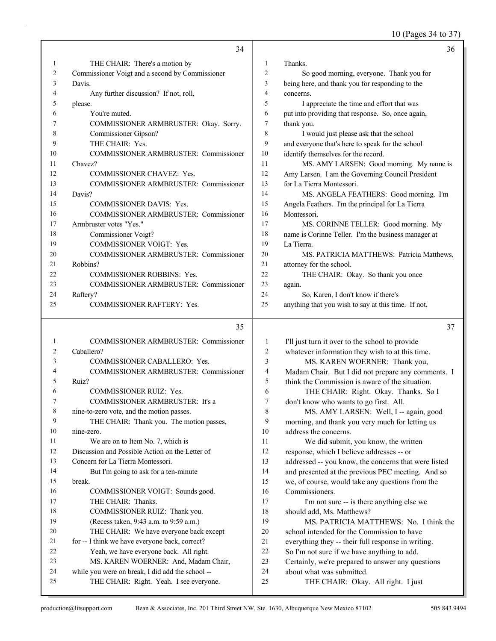10 (Pages 34 to 37)

|    | 34                                              |                | 36                                                   |
|----|-------------------------------------------------|----------------|------------------------------------------------------|
| 1  | THE CHAIR: There's a motion by                  | $\mathbf{1}$   | Thanks.                                              |
| 2  | Commissioner Voigt and a second by Commissioner | $\overline{2}$ | So good morning, everyone. Thank you for             |
| 3  | Davis.                                          | 3              | being here, and thank you for responding to the      |
| 4  | Any further discussion? If not, roll,           | $\overline{4}$ | concerns.                                            |
| 5  | please.                                         | 5              | I appreciate the time and effort that was            |
| 6  | You're muted.                                   | 6              | put into providing that response. So, once again,    |
| 7  | COMMISSIONER ARMBRUSTER: Okay. Sorry.           | 7              | thank you.                                           |
| 8  | Commissioner Gipson?                            | 8              | I would just please ask that the school              |
| 9  | THE CHAIR: Yes.                                 | 9              | and everyone that's here to speak for the school     |
| 10 | COMMISSIONER ARMBRUSTER: Commissioner           | 10             | identify themselves for the record.                  |
| 11 | Chavez?                                         | 11             | MS. AMY LARSEN: Good morning. My name is             |
| 12 | <b>COMMISSIONER CHAVEZ: Yes.</b>                | 12             | Amy Larsen. I am the Governing Council President     |
| 13 | COMMISSIONER ARMBRUSTER: Commissioner           | 13             | for La Tierra Montessori.                            |
| 14 | Davis?                                          | 14             | MS. ANGELA FEATHERS: Good morning. I'm               |
| 15 | <b>COMMISSIONER DAVIS: Yes.</b>                 | 15             | Angela Feathers. I'm the principal for La Tierra     |
| 16 | <b>COMMISSIONER ARMBRUSTER: Commissioner</b>    | 16             | Montessori.                                          |
| 17 | Armbruster votes "Yes."                         | 17             | MS. CORINNE TELLER: Good morning. My                 |
| 18 | Commissioner Voigt?                             | 18             | name is Corinne Teller. I'm the business manager at  |
| 19 | COMMISSIONER VOIGT: Yes.                        | 19             | La Tierra.                                           |
| 20 | COMMISSIONER ARMBRUSTER: Commissioner           | 20             | MS. PATRICIA MATTHEWS: Patricia Matthews,            |
| 21 | Robbins?                                        | 21             | attorney for the school.                             |
| 22 | <b>COMMISSIONER ROBBINS: Yes.</b>               | 22             | THE CHAIR: Okay. So thank you once                   |
| 23 | COMMISSIONER ARMBRUSTER: Commissioner           | 23             | again.                                               |
| 24 | Raftery?                                        | 24             | So, Karen, I don't know if there's                   |
| 25 | COMMISSIONER RAFTERY: Yes.                      | 25             | anything that you wish to say at this time. If not,  |
|    | 35                                              |                | 37                                                   |
| 1  | <b>COMMISSIONER ARMBRUSTER: Commissioner</b>    | 1              | I'll just turn it over to the school to provide      |
| 2  | Caballero?                                      | $\overline{c}$ | whatever information they wish to at this time.      |
| 3  | COMMISSIONER CABALLERO: Yes.                    | 3              | MS. KAREN WOERNER: Thank you,                        |
| 4  | COMMISSIONER ARMBRUSTER: Commissioner           | 4              | Madam Chair. But I did not prepare any comments. I   |
| 5  | Ruiz?                                           | 5              | think the Commission is aware of the situation.      |
| 6  | COMMISSIONER RUIZ: Yes.                         | 6              | THE CHAIR: Right. Okay. Thanks. So I                 |
|    | COMMISSIONER ARMBRUSTER: It's a                 | 7              | don't know who wants to go first. All.               |
| 8  | nine-to-zero vote, and the motion passes.       | 8              | MS. AMY LARSEN: Well, I -- again, good               |
| 9  | THE CHAIR: Thank you. The motion passes,        | 9              | morning, and thank you very much for letting us      |
| 10 | nine-zero.                                      | 10             | address the concerns.                                |
| 11 | We are on to Item No. 7, which is               | 11             | We did submit, you know, the written                 |
| 12 | Discussion and Possible Action on the Letter of | 12             | response, which I believe addresses -- or            |
| 13 | Concern for La Tierra Montessori.               | 13             | addressed -- you know, the concerns that were listed |
| 14 | But I'm going to ask for a ten-minute           | 14             | and presented at the previous PEC meeting. And so    |
| 15 | break.                                          | 15             | we, of course, would take any questions from the     |
| 16 | COMMISSIONER VOIGT: Sounds good.                | 16             | Commissioners.                                       |
| 17 | THE CHAIR: Thanks.                              | 17             | I'm not sure -- is there anything else we            |
| 18 | COMMISSIONER RUIZ: Thank you.                   | 18             | should add, Ms. Matthews?                            |
| 19 | (Recess taken, 9:43 a.m. to 9:59 a.m.)          | 19             | MS. PATRICIA MATTHEWS: No. I think the               |
| 20 | THE CHAIR: We have everyone back except         | 20             | school intended for the Commission to have           |
| 21 | for -- I think we have everyone back, correct?  | 21             | everything they -- their full response in writing.   |

- 22 So I'm not sure if we have anything to add.
- 23 Certainly, we're prepared to answer any questions
- 24 about what was submitted.
- 25 THE CHAIR: Okay. All right. I just

22 Yeah, we have everyone back. All right.<br>23 MS. KAREN WOERNER: And, Madam

24 while you were on break, I did add the school -- 25 THE CHAIR: Right. Yeah. I see everyone.

MS. KAREN WOERNER: And, Madam Chair,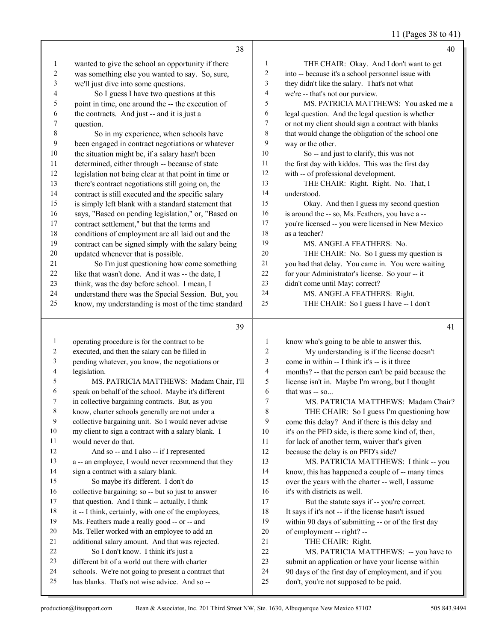11 (Pages 38 to 41)

|                          | 38                                                                                                   |                | 40                                                                                           |
|--------------------------|------------------------------------------------------------------------------------------------------|----------------|----------------------------------------------------------------------------------------------|
| 1                        | wanted to give the school an opportunity if there                                                    | $\mathbf{1}$   | THE CHAIR: Okay. And I don't want to get                                                     |
| $\overline{c}$           | was something else you wanted to say. So, sure,                                                      | $\overline{c}$ | into -- because it's a school personnel issue with                                           |
| $\mathfrak{Z}$           | we'll just dive into some questions.                                                                 | 3              | they didn't like the salary. That's not what                                                 |
| $\overline{\mathcal{L}}$ | So I guess I have two questions at this                                                              | $\overline{4}$ | we're -- that's not our purview.                                                             |
| 5                        | point in time, one around the -- the execution of                                                    | 5              | MS. PATRICIA MATTHEWS: You asked me a                                                        |
| 6                        | the contracts. And just -- and it is just a                                                          | $\sqrt{6}$     | legal question. And the legal question is whether                                            |
| 7                        | question.                                                                                            | $\tau$         | or not my client should sign a contract with blanks                                          |
| $\,$ 8 $\,$              | So in my experience, when schools have                                                               | 8              | that would change the obligation of the school one                                           |
| 9                        | been engaged in contract negotiations or whatever                                                    | 9              | way or the other.                                                                            |
| 10                       | the situation might be, if a salary hasn't been                                                      | 10             | So -- and just to clarify, this was not                                                      |
| 11                       | determined, either through -- because of state                                                       | 11             | the first day with kiddos. This was the first day                                            |
| 12                       | legislation not being clear at that point in time or                                                 | 12             | with -- of professional development.                                                         |
| 13                       | there's contract negotiations still going on, the                                                    | 13             | THE CHAIR: Right. Right. No. That, I                                                         |
| 14                       | contract is still executed and the specific salary                                                   | 14             | understood.                                                                                  |
| 15                       | is simply left blank with a standard statement that                                                  | 15             | Okay. And then I guess my second question                                                    |
| 16                       | says, "Based on pending legislation," or, "Based on                                                  | 16             | is around the -- so, Ms. Feathers, you have a --                                             |
| 17                       | contract settlement," but that the terms and                                                         | $17\,$         | you're licensed -- you were licensed in New Mexico                                           |
| 18                       | conditions of employment are all laid out and the                                                    | 18             | as a teacher?                                                                                |
| 19                       | contract can be signed simply with the salary being                                                  | 19             | MS. ANGELA FEATHERS: No.                                                                     |
| $20\,$                   | updated whenever that is possible.                                                                   | $20\,$         | THE CHAIR: No. So I guess my question is                                                     |
| 21                       | So I'm just questioning how come something                                                           | $21\,$         | you had that delay. You came in. You were waiting                                            |
| 22                       | like that wasn't done. And it was -- the date, I                                                     | $22\,$         | for your Administrator's license. So your -- it                                              |
| 23                       | think, was the day before school. I mean, I                                                          | 23             | didn't come until May; correct?                                                              |
| 24                       | understand there was the Special Session. But, you                                                   | 24             | MS. ANGELA FEATHERS: Right.                                                                  |
| 25                       | know, my understanding is most of the time standard                                                  | 25             | THE CHAIR: So I guess I have -- I don't                                                      |
|                          |                                                                                                      |                |                                                                                              |
|                          |                                                                                                      |                |                                                                                              |
|                          | 39                                                                                                   |                | 41                                                                                           |
|                          |                                                                                                      |                |                                                                                              |
| $\mathbf{1}$             | operating procedure is for the contract to be                                                        | 1              | know who's going to be able to answer this.                                                  |
| 2                        | executed, and then the salary can be filled in                                                       | $\mathbf{2}$   | My understanding is if the license doesn't                                                   |
| 3                        | pending whatever, you know, the negotiations or                                                      | 3              | come in within -- I think it's -- is it three                                                |
| 4                        | legislation.                                                                                         | $\overline{4}$ | months? -- that the person can't be paid because the                                         |
| 5                        | MS. PATRICIA MATTHEWS: Madam Chair, I'll                                                             | 5              | license isn't in. Maybe I'm wrong, but I thought                                             |
| 6                        | speak on behalf of the school. Maybe it's different                                                  | 6              | that was -- so                                                                               |
| 7                        | in collective bargaining contracts. But, as you                                                      | 7              | MS. PATRICIA MATTHEWS: Madam Chair?                                                          |
| $\,$ 8 $\,$              | know, charter schools generally are not under a                                                      | $\,$ $\,$      | THE CHAIR: So I guess I'm questioning how                                                    |
| 9                        | collective bargaining unit. So I would never advise                                                  | 9              | come this delay? And if there is this delay and                                              |
| 10                       | my client to sign a contract with a salary blank. I                                                  | $10\,$         | it's on the PED side, is there some kind of, then,                                           |
| 11                       | would never do that.                                                                                 | 11             | for lack of another term, waiver that's given                                                |
| 12                       | And so -- and I also -- if I represented                                                             | 12             | because the delay is on PED's side?                                                          |
| 13                       | a -- an employee, I would never recommend that they                                                  | 13             | MS. PATRICIA MATTHEWS: I think -- you                                                        |
| 14                       | sign a contract with a salary blank.                                                                 | 14             | know, this has happened a couple of -- many times                                            |
| 15                       | So maybe it's different. I don't do                                                                  | 15             | over the years with the charter -- well, I assume                                            |
| 16<br>17                 | collective bargaining; so -- but so just to answer                                                   | 16             | it's with districts as well.                                                                 |
|                          | that question. And I think -- actually, I think                                                      | 17             | But the statute says if -- you're correct.                                                   |
| 18                       | it -- I think, certainly, with one of the employees,                                                 | $18\,$         | It says if it's not -- if the license hasn't issued                                          |
| 19                       | Ms. Feathers made a really good -- or -- and                                                         | 19             | within 90 days of submitting -- or of the first day                                          |
| $20\,$<br>21             | Ms. Teller worked with an employee to add an                                                         | $20\,$<br>21   | of employment -- right? --                                                                   |
| 22                       | additional salary amount. And that was rejected.                                                     | $22\,$         | THE CHAIR: Right.                                                                            |
| 23                       | So I don't know. I think it's just a<br>different bit of a world out there with charter              | 23             | MS. PATRICIA MATTHEWS: -- you have to                                                        |
| 24                       |                                                                                                      | 24             | submit an application or have your license within                                            |
| 25                       | schools. We're not going to present a contract that<br>has blanks. That's not wise advice. And so -- | 25             | 90 days of the first day of employment, and if you<br>don't, you're not supposed to be paid. |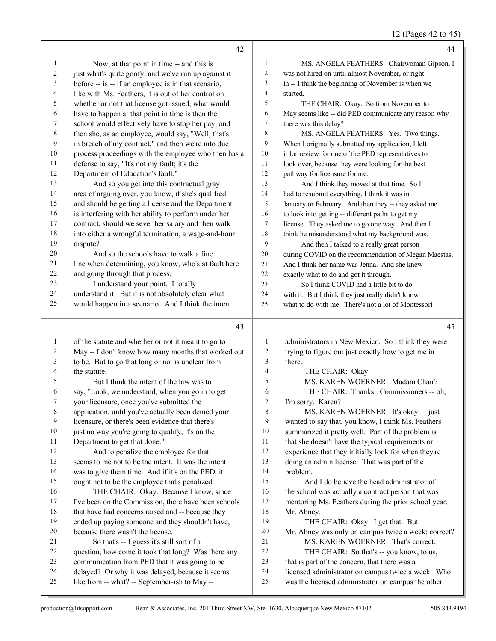12 (Pages 42 to 45)

|                          | 42                                                                                                |                | 44                                                                                                       |
|--------------------------|---------------------------------------------------------------------------------------------------|----------------|----------------------------------------------------------------------------------------------------------|
| 1                        | Now, at that point in time -- and this is                                                         | $\mathbf{1}$   | MS. ANGELA FEATHERS: Chairwoman Gipson, I                                                                |
| $\overline{c}$           | just what's quite goofy, and we've run up against it                                              | $\overline{c}$ | was not hired on until almost November, or right                                                         |
| 3                        | before -- is -- if an employee is in that scenario,                                               | 3              | in -- I think the beginning of November is when we                                                       |
| 4                        | like with Ms. Feathers, it is out of her control on                                               | 4              | started.                                                                                                 |
| 5                        | whether or not that license got issued, what would                                                | 5              | THE CHAIR: Okay. So from November to                                                                     |
| 6                        | have to happen at that point in time is then the                                                  | 6              | May seems like -- did PED communicate any reason why                                                     |
| 7                        | school would effectively have to stop her pay, and                                                | 7              | there was this delay?                                                                                    |
| $\,$ $\,$                | then she, as an employee, would say, "Well, that's                                                | 8              | MS. ANGELA FEATHERS: Yes. Two things.                                                                    |
| 9                        | in breach of my contract," and then we're into due                                                | 9              | When I originally submitted my application, I left                                                       |
| $10\,$                   | process proceedings with the employee who then has a                                              | 10             | it for review for one of the PED representatives to                                                      |
| 11                       | defense to say, "It's not my fault; it's the                                                      | 11             | look over, because they were looking for the best                                                        |
| 12                       | Department of Education's fault."                                                                 | 12             | pathway for licensure for me.                                                                            |
| 13                       | And so you get into this contractual gray                                                         | 13             | And I think they moved at that time. So I                                                                |
| 14                       | area of arguing over, you know, if she's qualified                                                | 14             | had to resubmit everything, I think it was in                                                            |
| 15                       | and should be getting a license and the Department                                                | 15             | January or February. And then they -- they asked me                                                      |
| 16                       | is interfering with her ability to perform under her                                              | 16             | to look into getting -- different paths to get my                                                        |
| 17                       | contract, should we sever her salary and then walk                                                | 17             | license. They asked me to go one way. And then I                                                         |
| 18                       | into either a wrongful termination, a wage-and-hour                                               | 18             | think he misunderstood what my background was.                                                           |
| 19                       | dispute?                                                                                          | 19             |                                                                                                          |
| 20                       | And so the schools have to walk a fine                                                            | 20             | And then I talked to a really great person<br>during COVID on the recommendation of Megan Maestas.       |
| 21                       | line when determining, you know, who's at fault here                                              | 21             | And I think her name was Jenna. And she knew                                                             |
| $22\,$                   | and going through that process.                                                                   | 22             |                                                                                                          |
| 23                       | I understand your point. I totally                                                                | 23             | exactly what to do and got it through.                                                                   |
| 24                       | understand it. But it is not absolutely clear what                                                | 24             | So I think COVID had a little bit to do                                                                  |
| 25                       | would happen in a scenario. And I think the intent                                                | 25             | with it. But I think they just really didn't know                                                        |
|                          |                                                                                                   |                | what to do with me. There's not a lot of Montessori                                                      |
|                          |                                                                                                   |                |                                                                                                          |
|                          |                                                                                                   |                |                                                                                                          |
|                          | 43                                                                                                |                | 45                                                                                                       |
| $\mathbf{1}$             | of the statute and whether or not it meant to go to                                               | 1              | administrators in New Mexico. So I think they were                                                       |
| 2                        | May -- I don't know how many months that worked out                                               | $\sqrt{2}$     | trying to figure out just exactly how to get me in                                                       |
| $\mathfrak{Z}$           | to be. But to go that long or not is unclear from                                                 | 3              | there.                                                                                                   |
| $\overline{\mathcal{A}}$ | the statute.                                                                                      | $\overline{4}$ | THE CHAIR: Okay.                                                                                         |
| 5                        | But I think the intent of the law was to                                                          | 5              | MS. KAREN WOERNER: Madam Chair?                                                                          |
| 6                        | say, "Look, we understand, when you go in to get                                                  | 6              | THE CHAIR: Thanks. Commissioners -- oh,                                                                  |
| 7                        | your licensure, once you've submitted the                                                         | 7              | I'm sorry. Karen?                                                                                        |
| 8                        | application, until you've actually been denied your                                               | 8              | MS. KAREN WOERNER: It's okay. I just                                                                     |
| 9                        | licensure, or there's been evidence that there's                                                  | 9              | wanted to say that, you know, I think Ms. Feathers                                                       |
| $10\,$                   | just no way you're going to qualify, it's on the                                                  | $10\,$         | summarized it pretty well. Part of the problem is                                                        |
| 11                       | Department to get that done."                                                                     | 11             | that she doesn't have the typical requirements or                                                        |
| 12                       | And to penalize the employee for that                                                             | 12             | experience that they initially look for when they're                                                     |
| 13                       | seems to me not to be the intent. It was the intent                                               | 13             | doing an admin license. That was part of the                                                             |
| 14                       | was to give them time. And if it's on the PED, it                                                 | 14             | problem.                                                                                                 |
| 15                       | ought not to be the employee that's penalized.                                                    | 15             | And I do believe the head administrator of                                                               |
| 16                       | THE CHAIR: Okay. Because I know, since                                                            | 16             | the school was actually a contract person that was                                                       |
| 17                       | I've been on the Commission, there have been schools                                              | 17             | mentoring Ms. Feathers during the prior school year.                                                     |
| $18\,$                   | that have had concerns raised and -- because they                                                 | $18\,$         | Mr. Abney.                                                                                               |
| 19                       | ended up paying someone and they shouldn't have,                                                  | 19             | THE CHAIR: Okay. I get that. But                                                                         |
| $20\,$                   | because there wasn't the license.                                                                 | $20\,$         | Mr. Abney was only on campus twice a week; correct?                                                      |
| 21                       | So that's -- I guess it's still sort of a                                                         | 21             | MS. KAREN WOERNER: That's correct.                                                                       |
| 22                       | question, how come it took that long? Was there any                                               | $22\,$         | THE CHAIR: So that's -- you know, to us,                                                                 |
| 23                       | communication from PED that it was going to be                                                    | 23             | that is part of the concern, that there was a                                                            |
| $24\,$<br>25             | delayed? Or why it was delayed, because it seems<br>like from -- what? -- September-ish to May -- | 24<br>25       | licensed administrator on campus twice a week. Who<br>was the licensed administrator on campus the other |

a k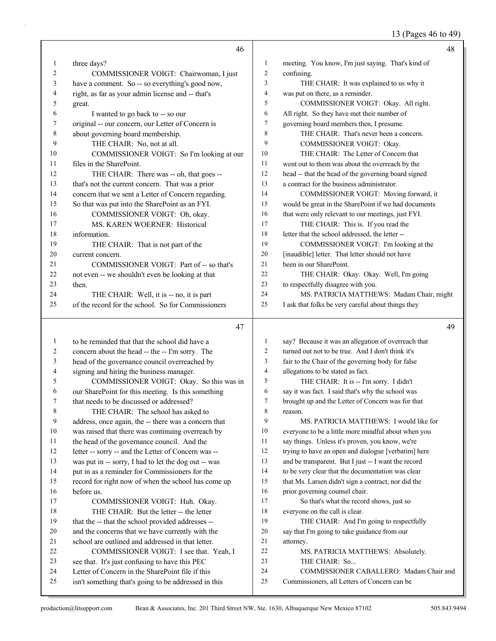13 (Pages 46 to 49)

|          | 46                                                                                                       |                | 48                                                                                      |
|----------|----------------------------------------------------------------------------------------------------------|----------------|-----------------------------------------------------------------------------------------|
| 1        | three days?                                                                                              | 1              | meeting. You know, I'm just saying. That's kind of                                      |
| 2        | COMMISSIONER VOIGT: Chairwoman, I just                                                                   | $\overline{2}$ | confusing.                                                                              |
| 3        | have a comment. So -- so everything's good now,                                                          | 3              | THE CHAIR: It was explained to us why it                                                |
| 4        | right, as far as your admin license and -- that's                                                        | $\overline{4}$ | was put on there, as a reminder.                                                        |
| 5        | great.                                                                                                   | 5              | COMMISSIONER VOIGT: Okay. All right.                                                    |
| 6        | I wanted to go back to -- so our                                                                         | 6              | All right. So they have met their number of                                             |
| 7        | original -- our concern, our Letter of Concern is                                                        | $\overline{7}$ | governing board members then, I presume.                                                |
| 8        | about governing board membership.                                                                        | 8              | THE CHAIR: That's never been a concern.                                                 |
| 9        | THE CHAIR: No, not at all.                                                                               | 9              | COMMISSIONER VOIGT: Okay.                                                               |
| 10       | COMMISSIONER VOIGT: So I'm looking at our                                                                | 10             | THE CHAIR: The Letter of Concern that                                                   |
| 11       | files in the SharePoint.                                                                                 | 11             | went out to them was about the overreach by the                                         |
| 12       | THE CHAIR: There was -- oh, that goes --                                                                 | 12             | head -- that the head of the governing board signed                                     |
| 13       | that's not the current concern. That was a prior                                                         | 13             | a contract for the business administrator.                                              |
| 14       | concern that we sent a Letter of Concern regarding.                                                      | 14             | COMMISSIONER VOIGT: Moving forward, it                                                  |
| 15       | So that was put into the SharePoint as an FYI.                                                           | 15             | would be great in the SharePoint if we had documents                                    |
| 16       | COMMISSIONER VOIGT: Oh, okay.                                                                            | 16             | that were only relevant to our meetings, just FYI.                                      |
| 17       | MS. KAREN WOERNER: Historical                                                                            | 17             | THE CHAIR: This is. If you read the                                                     |
| 18       | information.                                                                                             | 18             | letter that the school addressed, the letter --                                         |
| 19       | THE CHAIR: That is not part of the                                                                       | 19             | COMMISSIONER VOIGT: I'm looking at the                                                  |
| 20       | current concern.                                                                                         | 20             | [inaudible] letter. That letter should not have                                         |
| 21       | COMMISSIONER VOIGT: Part of -- so that's                                                                 | 21             | been in our SharePoint.                                                                 |
| 22       | not even -- we shouldn't even be looking at that                                                         | 22             | THE CHAIR: Okay. Okay. Well, I'm going                                                  |
| 23       | then.                                                                                                    | 23             | to respectfully disagree with you.                                                      |
| 24       | THE CHAIR: Well, it is -- no, it is part                                                                 | 24             | MS. PATRICIA MATTHEWS: Madam Chair, might                                               |
| 25       | of the record for the school. So for Commissioners                                                       | 25             | I ask that folks be very careful about things they                                      |
|          |                                                                                                          |                |                                                                                         |
|          | 47                                                                                                       |                | 49                                                                                      |
| 1        | to be reminded that that the school did have a                                                           | 1              | say? Because it was an allegation of overreach that                                     |
| 2        | concern about the head -- the -- I'm sorry. The                                                          |                |                                                                                         |
| 3        |                                                                                                          | 2              | turned out not to be true. And I don't think it's                                       |
|          | head of the governance council overreached by                                                            | 3              | fair to the Chair of the governing body for false                                       |
| 4        | signing and hiring the business manager.                                                                 | $\overline{4}$ | allegations to be stated as fact.                                                       |
| 5        | COMMISSIONER VOIGT: Okay. So this was in                                                                 | 5              | THE CHAIR: It is -- I'm sorry. I didn't                                                 |
| 6        | our SharePoint for this meeting. Is this something                                                       | 6              | say it was fact. I said that's why the school was                                       |
| 7        | that needs to be discussed or addressed?                                                                 | $\tau$         | brought up and the Letter of Concern was for that                                       |
| $\,8\,$  | THE CHAIR: The school has asked to                                                                       | 8              | reason.                                                                                 |
| 9        | address, once again, the -- there was a concern that                                                     | 9              | MS. PATRICIA MATTHEWS: I would like for                                                 |
| 10       | was raised that there was continuing overreach by                                                        | 10             | everyone to be a little more mindful about when you                                     |
| 11       | the head of the governance council. And the                                                              | 11             | say things. Unless it's proven, you know, we're                                         |
| 12       | letter -- sorry -- and the Letter of Concern was --                                                      | 12             | trying to have an open and dialogue [verbatim] here                                     |
| 13       | was put in -- sorry, I had to let the dog out -- was                                                     | 13             | and be transparent. But I just -- I want the record                                     |
| 14       | put in as a reminder for Commissioners for the                                                           | 14             | to be very clear that the documentation was clear                                       |
| 15       | record for right now of when the school has come up                                                      | 15             | that Ms. Larsen didn't sign a contract, nor did the                                     |
| 16       | before us.                                                                                               | 16             | prior governing counsel chair.                                                          |
| 17       | COMMISSIONER VOIGT: Huh. Okay.                                                                           | 17             | So that's what the record shows, just so                                                |
| 18       | THE CHAIR: But the letter -- the letter                                                                  | 18             | everyone on the call is clear.                                                          |
| 19       | that the -- that the school provided addresses --                                                        | 19             | THE CHAIR: And I'm going to respectfully                                                |
| 20       | and the concerns that we have currently with the                                                         | 20             | say that I'm going to take guidance from our                                            |
| 21       | school are outlined and addressed in that letter.                                                        | 21             | attorney.                                                                               |
| 22       | COMMISSIONER VOIGT: I see that. Yeah, I                                                                  | 22             | MS. PATRICIA MATTHEWS: Absolutely.                                                      |
| 23       | see that. It's just confusing to have this PEC                                                           | 23             | THE CHAIR: So                                                                           |
| 24<br>25 | Letter of Concern in the SharePoint file if this<br>isn't something that's going to be addressed in this | 24<br>25       | COMMISSIONER CABALLERO: Madam Chair and<br>Commissioners, all Letters of Concern can be |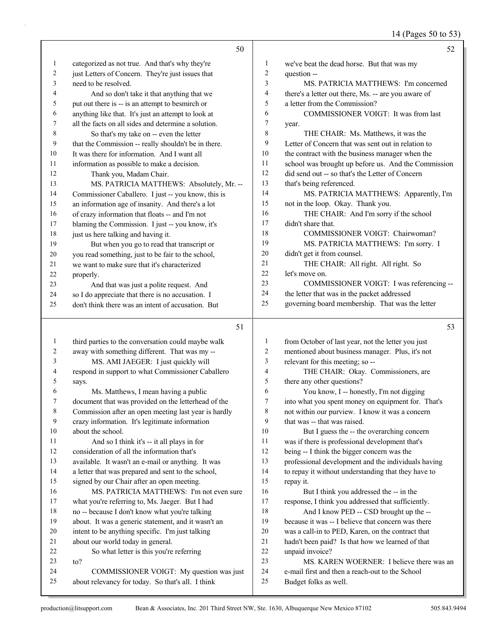14 (Pages 50 to 53)

|                | 50                                                                                            |                | 52                                                                       |
|----------------|-----------------------------------------------------------------------------------------------|----------------|--------------------------------------------------------------------------|
| 1              | categorized as not true. And that's why they're                                               | $\mathbf{1}$   | we've beat the dead horse. But that was my                               |
| $\overline{c}$ | just Letters of Concern. They're just issues that                                             | $\overline{2}$ | question --                                                              |
| 3              | need to be resolved.                                                                          | 3              | MS. PATRICIA MATTHEWS: I'm concerned                                     |
| 4              | And so don't take it that anything that we                                                    | $\overline{4}$ | there's a letter out there, Ms. -- are you aware of                      |
| 5              | put out there is -- is an attempt to besmirch or                                              | 5              | a letter from the Commission?                                            |
| 6              | anything like that. It's just an attempt to look at                                           | 6              | COMMISSIONER VOIGT: It was from last                                     |
| 7              | all the facts on all sides and determine a solution.                                          | $\tau$         | year.                                                                    |
| $\,$ 8 $\,$    | So that's my take on -- even the letter                                                       | $\,$ 8 $\,$    | THE CHAIR: Ms. Matthews, it was the                                      |
| 9              | that the Commission -- really shouldn't be in there.                                          | 9              | Letter of Concern that was sent out in relation to                       |
| 10             | It was there for information. And I want all                                                  | $10\,$         | the contract with the business manager when the                          |
| 11             | information as possible to make a decision.                                                   | $11\,$         | school was brought up before us. And the Commission                      |
| 12             | Thank you, Madam Chair.                                                                       | 12             | did send out -- so that's the Letter of Concern                          |
| 13             | MS. PATRICIA MATTHEWS: Absolutely, Mr. --                                                     | 13             | that's being referenced.                                                 |
| 14             | Commissioner Caballero. I just -- you know, this is                                           | 14             | MS. PATRICIA MATTHEWS: Apparently, I'm                                   |
| 15             | an information age of insanity. And there's a lot                                             | 15             | not in the loop. Okay. Thank you.                                        |
| 16             | of crazy information that floats -- and I'm not                                               | 16             | THE CHAIR: And I'm sorry if the school                                   |
| 17             | blaming the Commission. I just -- you know, it's                                              | 17             | didn't share that.                                                       |
| 18             | just us here talking and having it.                                                           | 18             | COMMISSIONER VOIGT: Chairwoman?                                          |
| 19             | But when you go to read that transcript or                                                    | 19             | MS. PATRICIA MATTHEWS: I'm sorry. I                                      |
| 20             | you read something, just to be fair to the school,                                            | 20             | didn't get it from counsel.                                              |
| 21             | we want to make sure that it's characterized                                                  | 21             | THE CHAIR: All right. All right. So                                      |
| 22             | properly.                                                                                     | 22             | let's move on.                                                           |
| 23             | And that was just a polite request. And                                                       | 23             | COMMISSIONER VOIGT: I was referencing --                                 |
| 24             | so I do appreciate that there is no accusation. I                                             | 24             | the letter that was in the packet addressed                              |
| 25             | don't think there was an intent of accusation. But                                            | 25             | governing board membership. That was the letter                          |
|                |                                                                                               |                |                                                                          |
|                | 51                                                                                            |                | 53                                                                       |
| $\mathbf{1}$   |                                                                                               |                |                                                                          |
|                | third parties to the conversation could maybe walk                                            | $\mathbf{1}$   | from October of last year, not the letter you just                       |
| $\overline{c}$ | away with something different. That was my --                                                 | 2              | mentioned about business manager. Plus, it's not                         |
| 3              | MS. AMI JAEGER: I just quickly will                                                           | 3              | relevant for this meeting; so --                                         |
| 4              | respond in support to what Commissioner Caballero                                             | $\overline{4}$ | THE CHAIR: Okay. Commissioners, are                                      |
| 5              | says.                                                                                         | 5              | there any other questions?                                               |
| 6              | Ms. Matthews, I mean having a public                                                          | 6              | You know, I -- honestly, I'm not digging                                 |
| 7              | document that was provided on the letterhead of the                                           | 7              | into what you spent money on equipment for. That's                       |
| 8              | Commission after an open meeting last year is hardly                                          | 8              | not within our purview. I know it was a concern                          |
| 9              | crazy information. It's legitimate information                                                | 9              | that was -- that was raised.                                             |
| 10             | about the school.                                                                             | 10             | But I guess the -- the overarching concern                               |
| 11             | And so I think it's -- it all plays in for                                                    | 11             | was if there is professional development that's                          |
| 12             | consideration of all the information that's                                                   | 12             | being -- I think the bigger concern was the                              |
| 13             | available. It wasn't an e-mail or anything. It was                                            | 13             | professional development and the individuals having                      |
| 14             | a letter that was prepared and sent to the school,                                            | 14             | to repay it without understanding that they have to                      |
| 15             | signed by our Chair after an open meeting.                                                    | 15             | repay it.                                                                |
| 16             | MS. PATRICIA MATTHEWS: I'm not even sure                                                      | 16             | But I think you addressed the -- in the                                  |
| 17             | what you're referring to, Ms. Jaeger. But I had                                               | 17             | response, I think you addressed that sufficiently.                       |
| 18             | no -- because I don't know what you're talking                                                | 18             | And I know PED -- CSD brought up the --                                  |
| 19             | about. It was a generic statement, and it wasn't an                                           | 19             | because it was -- I believe that concern was there                       |
| $20\,$         | intent to be anything specific. I'm just talking                                              | 20             | was a call-in to PED, Karen, on the contract that                        |
| 21             | about our world today in general.                                                             | $21\,$         | hadn't been paid? Is that how we learned of that                         |
| 22             | So what letter is this you're referring                                                       | 22             | unpaid invoice?                                                          |
| 23             | to?                                                                                           | 23             | MS. KAREN WOERNER: I believe there was an                                |
| 24<br>25       | COMMISSIONER VOIGT: My question was just<br>about relevancy for today. So that's all. I think | 24<br>25       | e-mail first and then a reach-out to the School<br>Budget folks as well. |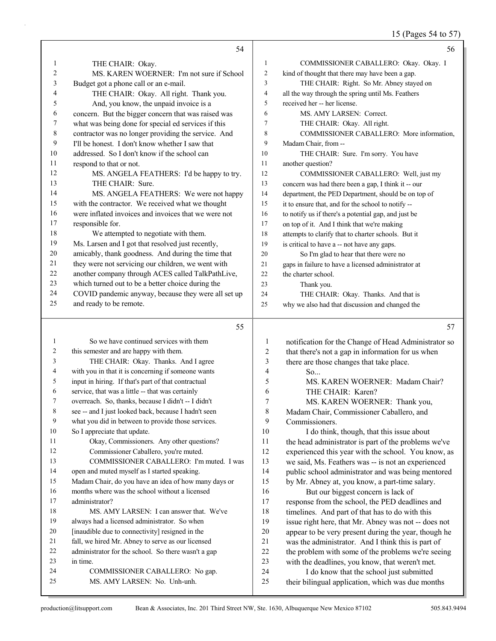15 (Pages 54 to 57)

|                | 54                                                                                 |                     | 56                                                                                                        |
|----------------|------------------------------------------------------------------------------------|---------------------|-----------------------------------------------------------------------------------------------------------|
| 1              | THE CHAIR: Okay.                                                                   | $\mathbf{1}$        | COMMISSIONER CABALLERO: Okay. Okay. I                                                                     |
| $\overline{2}$ | MS. KAREN WOERNER: I'm not sure if School                                          | $\overline{2}$      | kind of thought that there may have been a gap.                                                           |
| 3              | Budget got a phone call or an e-mail.                                              | 3                   | THE CHAIR: Right. So Mr. Abney stayed on                                                                  |
| 4              | THE CHAIR: Okay. All right. Thank you.                                             | $\overline{4}$      | all the way through the spring until Ms. Feathers                                                         |
| 5              | And, you know, the unpaid invoice is a                                             | 5                   | received her -- her license.                                                                              |
| 6              | concern. But the bigger concern that was raised was                                | 6                   | MS. AMY LARSEN: Correct.                                                                                  |
| 7              | what was being done for special ed services if this                                | $\tau$              | THE CHAIR: Okay. All right.                                                                               |
| 8              | contractor was no longer providing the service. And                                | 8                   | COMMISSIONER CABALLERO: More information,                                                                 |
| 9              | I'll be honest. I don't know whether I saw that                                    | 9                   | Madam Chair, from --                                                                                      |
| 10             | addressed. So I don't know if the school can                                       | 10                  | THE CHAIR: Sure. I'm sorry. You have                                                                      |
| 11             | respond to that or not.                                                            | 11                  | another question?                                                                                         |
| 12             | MS. ANGELA FEATHERS: I'd be happy to try.                                          | 12                  | COMMISSIONER CABALLERO: Well, just my                                                                     |
| 13             | THE CHAIR: Sure.                                                                   | 13                  | concern was had there been a gap, I think it -- our                                                       |
| 14             | MS. ANGELA FEATHERS: We were not happy                                             | 14                  | department, the PED Department, should be on top of                                                       |
| 15             | with the contractor. We received what we thought                                   | 15                  | it to ensure that, and for the school to notify --                                                        |
| 16             | were inflated invoices and invoices that we were not                               | 16                  | to notify us if there's a potential gap, and just be                                                      |
| 17             | responsible for.                                                                   | 17                  | on top of it. And I think that we're making                                                               |
| 18             | We attempted to negotiate with them.                                               | 18                  | attempts to clarify that to charter schools. But it                                                       |
| 19             | Ms. Larsen and I got that resolved just recently,                                  | 19                  | is critical to have a -- not have any gaps.                                                               |
| 20             | amicably, thank goodness. And during the time that                                 | 20                  | So I'm glad to hear that there were no                                                                    |
| 21             | they were not servicing our children, we went with                                 | 21                  | gaps in failure to have a licensed administrator at                                                       |
| 22             | another company through ACES called TalkPathLive,                                  | 22                  | the charter school.                                                                                       |
| 23             | which turned out to be a better choice during the                                  | 23                  | Thank you.                                                                                                |
| 24             | COVID pandemic anyway, because they were all set up                                | 24                  | THE CHAIR: Okay. Thanks. And that is                                                                      |
| 25             | and ready to be remote.                                                            | 25                  | why we also had that discussion and changed the                                                           |
|                |                                                                                    |                     |                                                                                                           |
|                | 55                                                                                 |                     | 57                                                                                                        |
|                |                                                                                    |                     |                                                                                                           |
| 1              | So we have continued services with them                                            | 1                   | notification for the Change of Head Administrator so                                                      |
| 2              | this semester and are happy with them.                                             | $\sqrt{2}$          | that there's not a gap in information for us when                                                         |
| 3              | THE CHAIR: Okay. Thanks. And I agree                                               | 3                   | there are those changes that take place.                                                                  |
| 4<br>5         | with you in that it is concerning if someone wants                                 | 4                   | So                                                                                                        |
| 6              | input in hiring. If that's part of that contractual                                | 5                   | MS. KAREN WOERNER: Madam Chair?                                                                           |
| 7              | service, that was a little -- that was certainly                                   | 6<br>$\overline{7}$ | THE CHAIR: Karen?                                                                                         |
| 8              | overreach. So, thanks, because I didn't -- I didn't                                |                     | MS. KAREN WOERNER: Thank you,                                                                             |
| 9              | see -- and I just looked back, because I hadn't seen                               | 8<br>9              | Madam Chair, Commissioner Caballero, and                                                                  |
| 10             | what you did in between to provide those services.<br>So I appreciate that update. | 10                  | Commissioners.                                                                                            |
| 11             | Okay, Commissioners. Any other questions?                                          | 11                  | I do think, though, that this issue about<br>the head administrator is part of the problems we've         |
| 12             | Commissioner Caballero, you're muted.                                              | 12                  |                                                                                                           |
| 13             | COMMISSIONER CABALLERO: I'm muted. I was                                           | 13                  | experienced this year with the school. You know, as<br>we said, Ms. Feathers was -- is not an experienced |
| 14             | open and muted myself as I started speaking.                                       | 14                  | public school administrator and was being mentored                                                        |
| 15             | Madam Chair, do you have an idea of how many days or                               | 15                  | by Mr. Abney at, you know, a part-time salary.                                                            |
| 16             | months where was the school without a licensed                                     | 16                  | But our biggest concern is lack of                                                                        |
| 17             | administrator?                                                                     | 17                  | response from the school, the PED deadlines and                                                           |
| 18             | MS. AMY LARSEN: I can answer that. We've                                           | 18                  | timelines. And part of that has to do with this                                                           |
| 19             | always had a licensed administrator. So when                                       | 19                  | issue right here, that Mr. Abney was not -- does not                                                      |
| 20             | [inaudible due to connectivity] resigned in the                                    | $20\,$              | appear to be very present during the year, though he                                                      |
| 21             | fall, we hired Mr. Abney to serve as our licensed                                  | 21                  | was the administrator. And I think this is part of                                                        |
| 22             | administrator for the school. So there wasn't a gap                                | $22\,$              | the problem with some of the problems we're seeing                                                        |
| 23             | in time.                                                                           | 23                  | with the deadlines, you know, that weren't met.                                                           |
| 24<br>25       | COMMISSIONER CABALLERO: No gap.<br>MS. AMY LARSEN: No. Unh-unh.                    | 24<br>25            | I do know that the school just submitted<br>their bilingual application, which was due months             |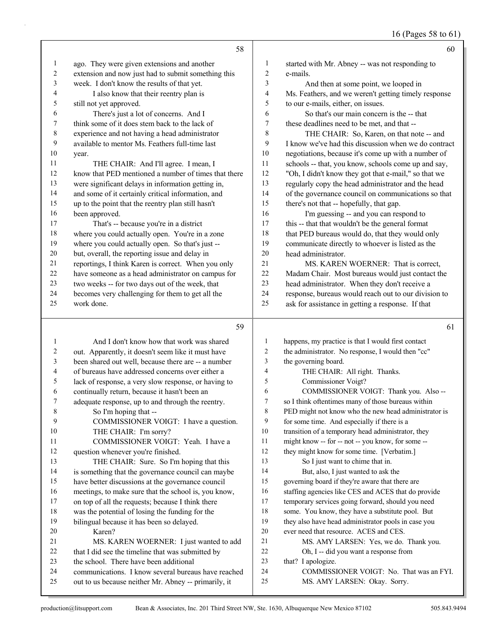16 (Pages 58 to 61)

|                | 58                                                   |                | 60                                                   |
|----------------|------------------------------------------------------|----------------|------------------------------------------------------|
| $\mathbf{1}$   | ago. They were given extensions and another          | $\mathbf{1}$   | started with Mr. Abney -- was not responding to      |
| $\overline{c}$ | extension and now just had to submit something this  | $\overline{c}$ | e-mails.                                             |
| 3              | week. I don't know the results of that yet.          | 3              | And then at some point, we looped in                 |
| 4              | I also know that their reentry plan is               | $\overline{4}$ | Ms. Feathers, and we weren't getting timely response |
| 5              | still not yet approved.                              | 5              | to our e-mails, either, on issues.                   |
| 6              | There's just a lot of concerns. And I                | 6              | So that's our main concern is the -- that            |
| 7              | think some of it does stem back to the lack of       | $\overline{7}$ | these deadlines need to be met, and that --          |
| $\,$ 8 $\,$    | experience and not having a head administrator       | 8              | THE CHAIR: So, Karen, on that note -- and            |
| 9              | available to mentor Ms. Feathers full-time last      | 9              | I know we've had this discussion when we do contract |
| 10             | year.                                                | 10             | negotiations, because it's come up with a number of  |
| 11             | THE CHAIR: And I'll agree. I mean, I                 | 11             | schools -- that, you know, schools come up and say,  |
| 12             | know that PED mentioned a number of times that there | 12             | "Oh, I didn't know they got that e-mail," so that we |
| 13             | were significant delays in information getting in,   | 13             | regularly copy the head administrator and the head   |
| 14             | and some of it certainly critical information, and   | 14             | of the governance council on communications so that  |
| 15             | up to the point that the reentry plan still hasn't   | 15             | there's not that -- hopefully, that gap.             |
| 16             | been approved.                                       | 16             | I'm guessing -- and you can respond to               |
| 17             | That's -- because you're in a district               | 17             | this -- that that wouldn't be the general format     |
| $18\,$         | where you could actually open. You're in a zone      | 18             | that PED bureaus would do, that they would only      |
| 19             | where you could actually open. So that's just --     | 19             | communicate directly to whoever is listed as the     |
| 20             | but, overall, the reporting issue and delay in       | 20             | head administrator.                                  |
| 21             | reportings, I think Karen is correct. When you only  | 21             | MS. KAREN WOERNER: That is correct,                  |
| 22             | have someone as a head administrator on campus for   | 22             | Madam Chair. Most bureaus would just contact the     |
| 23             | two weeks -- for two days out of the week, that      | 23             | head administrator. When they don't receive a        |
| 24             | becomes very challenging for them to get all the     | 24             | response, bureaus would reach out to our division to |
| 25             | work done.                                           | 25             | ask for assistance in getting a response. If that    |
|                | 59                                                   |                | 61                                                   |
| $\mathbf{1}$   | And I don't know how that work was shared            | 1              | happens, my practice is that I would first contact   |
| 2              | out. Apparently, it doesn't seem like it must have   | $\overline{2}$ | the administrator. No response, I would then "cc"    |
| 3              | been shared out well, because there are -- a number  | 3              | the governing board.                                 |
| 4              | of bureaus have addressed concerns over either a     | $\overline{4}$ | THE CHAIR: All right. Thanks.                        |
| 5              | lack of response, a very slow response, or having to | 5              | Commissioner Voigt?                                  |
| 6              | continually return, because it hasn't been an        | 6              | COMMISSIONER VOIGT: Thank you. Also --               |
| 7              | adequate response, up to and through the reentry.    | $\overline{7}$ | so I think oftentimes many of those bureaus within   |

- PED might not know who the new head administrator is
- for some time. And especially if there is a
- transition of a temporary head administrator, they
- might know -- for -- not -- you know, for some --
- they might know for some time. [Verbatim.]
- 13 So I just want to chime that in.
- 14 But, also, I just wanted to ask the
- governing board if they're aware that there are
- staffing agencies like CES and ACES that do provide
- temporary services going forward, should you need
- some. You know, they have a substitute pool. But they also have head administrator pools in case you
- ever need that resource. ACES and CES.
- 21 MS. AMY LARSEN: Yes, we do. Thank you.
- 22 Oh, I -- did you want a response from
- 23 that? I apologize.
- 24 COMMISSIONER VOIGT: No. That was an FYI.
- 25 MS. AMY LARSEN: Okay. Sorry.

20 Karen?

8 So I'm hoping that --

10 THE CHAIR: I'm sorry?

question whenever you're finished.

9 COMMISSIONER VOIGT: I have a question.

11 COMMISSIONER VOIGT: Yeah. I have a

13 THE CHAIR: Sure. So I'm hoping that this is something that the governance council can maybe have better discussions at the governance council meetings, to make sure that the school is, you know, on top of all the requests; because I think there was the potential of losing the funding for the bilingual because it has been so delayed.

21 MS. KAREN WOERNER: I just wanted to add 22 that I did see the timeline that was submitted by

 communications. I know several bureaus have reached out to us because neither Mr. Abney -- primarily, it

the school. There have been additional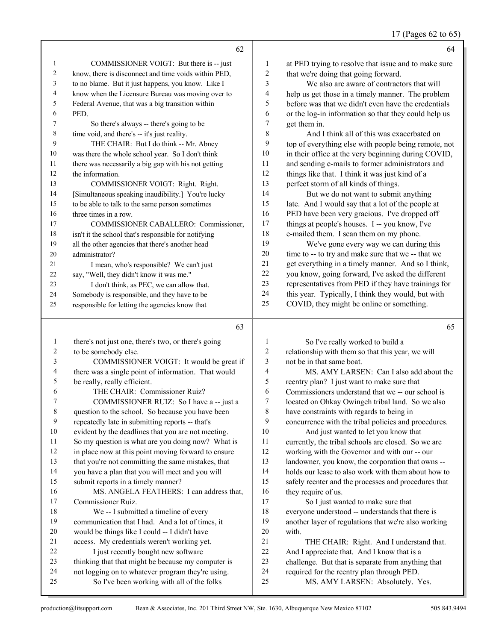|                | 62                                                   |                | 64                                                   |
|----------------|------------------------------------------------------|----------------|------------------------------------------------------|
| 1              | COMMISSIONER VOIGT: But there is -- just             | 1              | at PED trying to resolve that issue and to make sure |
| 2              | know, there is disconnect and time voids within PED, | 2              | that we're doing that going forward.                 |
| 3              | to no blame. But it just happens, you know. Like I   | 3              | We also are aware of contractors that will           |
| 4              | know when the Licensure Bureau was moving over to    | 4              | help us get those in a timely manner. The problem    |
| 5              | Federal Avenue, that was a big transition within     | 5              | before was that we didn't even have the credentials  |
| 6              | PED.                                                 | 6              | or the log-in information so that they could help us |
| $\tau$         | So there's always -- there's going to be             | 7              | get them in.                                         |
| 8              | time void, and there's -- it's just reality.         | 8              | And I think all of this was exacerbated on           |
| 9              | THE CHAIR: But I do think -- Mr. Abney               | 9              | top of everything else with people being remote, not |
| 10             | was there the whole school year. So I don't think    | 10             | in their office at the very beginning during COVID,  |
| 11             | there was necessarily a big gap with his not getting | 11             | and sending e-mails to former administrators and     |
| 12             | the information.                                     | 12             | things like that. I think it was just kind of a      |
| 13             | COMMISSIONER VOIGT: Right. Right.                    | 13             | perfect storm of all kinds of things.                |
| 14             | [Simultaneous speaking inaudibility.] You're lucky   | 14             | But we do not want to submit anything                |
| 15             | to be able to talk to the same person sometimes      | 15             | late. And I would say that a lot of the people at    |
| 16             | three times in a row.                                | 16             | PED have been very gracious. I've dropped off        |
| 17             | COMMISSIONER CABALLERO: Commissioner.                | 17             | things at people's houses. I -- you know, I've       |
| 18             | isn't it the school that's responsible for notifying | 18             | e-mailed them. I scan them on my phone.              |
| 19             | all the other agencies that there's another head     | 19             | We've gone every way we can during this              |
| 20             | administrator?                                       | 20             | time to -- to try and make sure that we -- that we   |
| 21             | I mean, who's responsible? We can't just             | 21             | get everything in a timely manner. And so I think,   |
| 22             | say, "Well, they didn't know it was me."             | 22             | you know, going forward, I've asked the different    |
| 23             | I don't think, as PEC, we can allow that.            | 23             | representatives from PED if they have trainings for  |
| 24             | Somebody is responsible, and they have to be         | 24             | this year. Typically, I think they would, but with   |
| 25             | responsible for letting the agencies know that       | 25             | COVID, they might be online or something.            |
|                | 63                                                   |                | 65                                                   |
| 1              | there's not just one, there's two, or there's going  | 1              | So I've really worked to build a                     |
| $\overline{c}$ | to be somebody else.                                 | $\overline{2}$ | relationship with them so that this year, we will    |

| $\mathbf{1}$ | there's not just one, there's two, or there's going | 1  | So I've really worked to build a                     |
|--------------|-----------------------------------------------------|----|------------------------------------------------------|
| 2            | to be somebody else.                                | 2  | relationship with them so that this year, we will    |
| 3            | COMMISSIONER VOIGT: It would be great if            | 3  | not be in that same boat.                            |
| 4            | there was a single point of information. That would | 4  | MS. AMY LARSEN: Can I also add about the             |
| 5            | be really, really efficient.                        | 5  | reentry plan? I just want to make sure that          |
| 6            | THE CHAIR: Commissioner Ruiz?                       | 6  | Commissioners understand that we -- our school is    |
| 7            | COMMISSIONER RUIZ: So I have a -- just a            | 7  | located on Ohkay Owingeh tribal land. So we also     |
| 8            | question to the school. So because you have been    | 8  | have constraints with regards to being in            |
| 9            | repeatedly late in submitting reports -- that's     | 9  | concurrence with the tribal policies and procedures. |
| 10           | evident by the deadlines that you are not meeting.  | 10 | And just wanted to let you know that                 |
| 11           | So my question is what are you doing now? What is   | 11 | currently, the tribal schools are closed. So we are  |
| 12           | in place now at this point moving forward to ensure | 12 | working with the Governor and with our -- our        |
| 13           | that you're not committing the same mistakes, that  | 13 | landowner, you know, the corporation that owns --    |
| 14           | you have a plan that you will meet and you will     | 14 | holds our lease to also work with them about how to  |
| 15           | submit reports in a timely manner?                  | 15 | safely reenter and the processes and procedures that |
| 16           | MS. ANGELA FEATHERS: I can address that,            | 16 | they require of us.                                  |
| 17           | Commissioner Ruiz.                                  | 17 | So I just wanted to make sure that                   |
| 18           | We -- I submitted a timeline of every               | 18 | everyone understood -- understands that there is     |
| 19           | communication that I had. And a lot of times, it    | 19 | another layer of regulations that we're also working |
| 20           | would be things like I could -- I didn't have       | 20 | with.                                                |
| 21           | access. My credentials weren't working yet.         | 21 | THE CHAIR: Right. And I understand that.             |
| 22           | I just recently bought new software                 | 22 | And I appreciate that. And I know that is a          |
| 23           | thinking that that might be because my computer is  | 23 | challenge. But that is separate from anything that   |
| 24           | not logging on to whatever program they're using.   | 24 | required for the reentry plan through PED.           |
| 25           | So I've been working with all of the folks          | 25 | MS. AMY LARSEN: Absolutely. Yes.                     |
|              |                                                     |    |                                                      |
|              |                                                     |    |                                                      |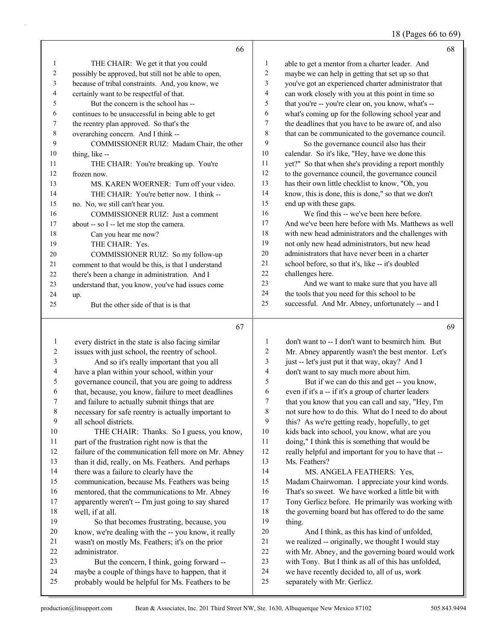18 (Pages 66 to 69)

|                | 66                                                   |                | 68                                                   |
|----------------|------------------------------------------------------|----------------|------------------------------------------------------|
| 1              | THE CHAIR: We get it that you could                  | $\mathbf{1}$   | able to get a mentor from a charter leader. And      |
| $\overline{2}$ | possibly be approved, but still not be able to open, | 2              | maybe we can help in getting that set up so that     |
| 3              | because of tribal constraints. And, you know, we     | 3              | you've got an experienced charter administrator that |
| 4              | certainly want to be respectful of that.             | $\overline{4}$ | can work closely with you at this point in time so   |
| 5              | But the concern is the school has --                 | 5              | that you're -- you're clear on, you know, what's --  |
| 6              | continues to be unsuccessful in being able to get    | 6              | what's coming up for the following school year and   |
| 7              | the reentry plan approved. So that's the             | 7              | the deadlines that you have to be aware of, and also |
| 8              | overarching concern. And I think --                  | 8              | that can be communicated to the governance council.  |
| 9              | COMMISSIONER RUIZ: Madam Chair, the other            | 9              | So the governance council also has their             |
| 10             | thing, like --                                       | 10             | calendar. So it's like, "Hey, have we done this      |
| 11             | THE CHAIR: You're breaking up. You're                | 11             | yet?" So that when she's providing a report monthly  |
| 12             | frozen now.                                          | 12             | to the governance council, the governance council    |
| 13             | MS. KAREN WOERNER: Turn off your video.              | 13             | has their own little checklist to know, "Oh, you     |
| 14             | THE CHAIR: You're better now. I think --             | 14             | know, this is done, this is done," so that we don't  |
| 15             | no. No, we still can't hear you.                     | 15             | end up with these gaps.                              |
| 16             | COMMISSIONER RUIZ: Just a comment                    | 16             | We find this -- we've been here before.              |
| 17             | about -- so I -- let me stop the camera.             | 17             | And we've been here before with Ms. Matthews as well |
| 18             | Can you hear me now?                                 | 18             | with new head administrators and the challenges with |
| 19             | THE CHAIR: Yes.                                      | 19             | not only new head administrators, but new head       |
| 20             | COMMISSIONER RUIZ: So my follow-up                   | 20             | administrators that have never been in a charter     |
| 21             | comment to that would be this, is that I understand  | 21             | school before, so that it's, like -- it's doubled    |
| 22             | there's been a change in administration. And I       | 22             | challenges here.                                     |
| 23             | understand that, you know, you've had issues come    | 23             | And we want to make sure that you have all           |
| 24             | up.                                                  | 24             | the tools that you need for this school to be        |
| 25             | But the other side of that is is that                | 25             | successful. And Mr. Abney, unfortunately -- and I    |
|                | 67                                                   |                | 69                                                   |
|                |                                                      |                |                                                      |

| 1  | every district in the state is also facing similar  | $\mathbf{1}$   | don't want to -- I don't want to be smirch him. But  |
|----|-----------------------------------------------------|----------------|------------------------------------------------------|
| 2  | issues with just school, the reentry of school.     | $\overline{c}$ | Mr. Abney apparently wasn't the best mentor. Let's   |
| 3  | And so it's really important that you all           | 3              | just -- let's just put it that way, okay? And I      |
| 4  | have a plan within your school, within your         | 4              | don't want to say much more about him.               |
| 5  | governance council, that you are going to address   | 5              | But if we can do this and get -- you know,           |
| 6  | that, because, you know, failure to meet deadlines  | 6              | even if it's a -- if it's a group of charter leaders |
| 7  | and failure to actually submit things that are      | 7              | that you know that you can call and say, "Hey, I'm   |
| 8  | necessary for safe reentry is actually important to | $\,$ 8 $\,$    | not sure how to do this. What do I need to do about  |
| 9  | all school districts.                               | 9              | this? As we're getting ready, hopefully, to get      |
| 10 | THE CHAIR: Thanks. So I guess, you know,            | 10             | kids back into school, you know, what are you        |
| 11 | part of the frustration right now is that the       | 11             | doing," I think this is something that would be      |
| 12 | failure of the communication fell more on Mr. Abney | 12             | really helpful and important for you to have that -- |
| 13 | than it did, really, on Ms. Feathers. And perhaps   | 13             | Ms. Feathers?                                        |
| 14 | there was a failure to clearly have the             | 14             | MS. ANGELA FEATHERS: Yes,                            |
| 15 | communication, because Ms. Feathers was being       | 15             | Madam Chairwoman. I appreciate your kind words.      |
| 16 | mentored, that the communications to Mr. Abney      | 16             | That's so sweet. We have worked a little bit with    |
| 17 | apparently weren't -- I'm just going to say shared  | 17             | Tony Gerlicz before. He primarily was working with   |
| 18 | well, if at all.                                    | 18             | the governing board but has offered to do the same   |
| 19 | So that becomes frustrating, because, you           | 19             | thing.                                               |
| 20 | know, we're dealing with the -- you know, it really | 20             | And I think, as this has kind of unfolded,           |
| 21 | wasn't on mostly Ms. Feathers; it's on the prior    | 21             | we realized -- originally, we thought I would stay   |
| 22 | administrator.                                      | 22             | with Mr. Abney, and the governing board would work   |
| 23 | But the concern, I think, going forward --          | 23             | with Tony. But I think as all of this has unfolded,  |
| 24 | maybe a couple of things have to happen, that it    | 24             | we have recently decided to, all of us, work         |
| 25 | probably would be helpful for Ms. Feathers to be    | 25             | separately with Mr. Gerlicz.                         |
|    |                                                     |                |                                                      |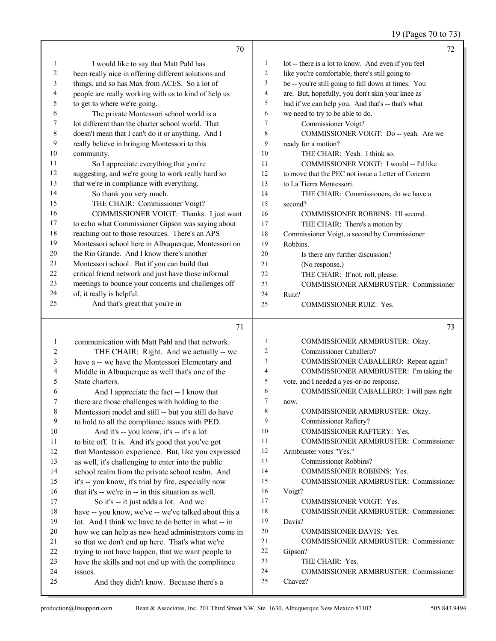# 19 (Pages 70 to 73)

|    | 70                                                   |                | 72                                                  |
|----|------------------------------------------------------|----------------|-----------------------------------------------------|
| 1  | I would like to say that Matt Pahl has               | 1              | lot -- there is a lot to know. And even if you feel |
| 2  | been really nice in offering different solutions and | 2              | like you're comfortable, there's still going to     |
| 3  | things, and so has Max from ACES. So a lot of        | 3              | be -- you're still going to fall down at times. You |
| 4  | people are really working with us to kind of help us | $\overline{4}$ | are. But, hopefully, you don't skin your knee as    |
| 5  | to get to where we're going.                         | 5              | bad if we can help you. And that's -- that's what   |
| 6  | The private Montessori school world is a             | 6              | we need to try to be able to do.                    |
| 7  | lot different than the charter school world. That    | 7              | Commissioner Voigt?                                 |
| 8  | doesn't mean that I can't do it or anything. And I   | 8              | COMMISSIONER VOIGT: Do -- yeah. Are we              |
| 9  | really believe in bringing Montessori to this        | 9              | ready for a motion?                                 |
| 10 | community.                                           | 10             | THE CHAIR: Yeah. I think so.                        |
| 11 | So I appreciate everything that you're               | 11             | COMMISSIONER VOIGT: I would -- I'd like             |
| 12 | suggesting, and we're going to work really hard so   | 12             | to move that the PEC not issue a Letter of Concern  |
| 13 | that we're in compliance with everything.            | 13             | to La Tierra Montessori.                            |
| 14 | So thank you very much.                              | 14             | THE CHAIR: Commissioners, do we have a              |
| 15 | THE CHAIR: Commissioner Voigt?                       | 15             | second?                                             |
| 16 | COMMISSIONER VOIGT: Thanks. I just want              | 16             | COMMISSIONER ROBBINS: I'll second.                  |
| 17 | to echo what Commissioner Gipson was saying about    | 17             | THE CHAIR: There's a motion by                      |
| 18 | reaching out to those resources. There's an APS      | 18             | Commissioner Voigt, a second by Commissioner        |
| 19 | Montessori school here in Albuquerque, Montessori on | 19             | Robbins.                                            |
| 20 | the Rio Grande. And I know there's another           | 20             | Is there any further discussion?                    |
| 21 | Montessori school. But if you can build that         | 21             | (No response.)                                      |
| 22 | critical friend network and just have those informal | 22             | THE CHAIR: If not, roll, please.                    |
| 23 | meetings to bounce your concerns and challenges off  | 23             | <b>COMMISSIONER ARMBRUSTER: Commissioner</b>        |
| 24 | of, it really is helpful.                            | 24             | Ruiz?                                               |
| 25 | And that's great that you're in                      | 25             | <b>COMMISSIONER RUIZ: Yes.</b>                      |

|    | 71                                                   |                | 73                                           |
|----|------------------------------------------------------|----------------|----------------------------------------------|
| 1  | communication with Matt Pahl and that network.       | 1              | COMMISSIONER ARMBRUSTER: Okay.               |
| 2  | THE CHAIR: Right. And we actually -- we              | $\overline{2}$ | Commissioner Caballero?                      |
| 3  | have a -- we have the Montessori Elementary and      | 3              | COMMISSIONER CABALLERO: Repeat again?        |
| 4  | Middle in Albuquerque as well that's one of the      | 4              | COMMISSIONER ARMBRUSTER: I'm taking the      |
| 5  | State charters.                                      | 5              | vote, and I needed a yes-or-no response.     |
| 6  | And I appreciate the fact -- I know that             | 6              | COMMISSIONER CABALLERO: I will pass right    |
| 7  | there are those challenges with holding to the       | 7              | now.                                         |
| 8  | Montessori model and still -- but you still do have  | 8              | COMMISSIONER ARMBRUSTER: Okay.               |
| 9  | to hold to all the compliance issues with PED.       | 9              | Commissioner Raftery?                        |
| 10 | And it's -- you know, it's -- it's a lot             | 10             | <b>COMMISSIONER RAFTERY: Yes.</b>            |
| 11 | to bite off. It is. And it's good that you've got    | 11             | <b>COMMISSIONER ARMBRUSTER: Commissioner</b> |
| 12 | that Montessori experience. But, like you expressed  | 12             | Armbruster votes "Yes."                      |
| 13 | as well, it's challenging to enter into the public   | 13             | Commissioner Robbins?                        |
| 14 | school realm from the private school realm. And      | 14             | <b>COMMISSIONER ROBBINS: Yes.</b>            |
| 15 | it's -- you know, it's trial by fire, especially now | 15             | <b>COMMISSIONER ARMBRUSTER: Commissioner</b> |
| 16 | that it's -- we're in -- in this situation as well.  | 16             | Voigt?                                       |
| 17 | So it's -- it just adds a lot. And we                | 17             | <b>COMMISSIONER VOIGT: Yes.</b>              |
| 18 | have -- you know, we've -- we've talked about this a | 18             | <b>COMMISSIONER ARMBRUSTER: Commissioner</b> |
| 19 | lot. And I think we have to do better in what -- in  | 19             | Davis?                                       |
| 20 | how we can help as new head administrators come in   | 20             | <b>COMMISSIONER DAVIS: Yes.</b>              |
| 21 | so that we don't end up here. That's what we're      | 21             | <b>COMMISSIONER ARMBRUSTER: Commissioner</b> |
| 22 | trying to not have happen, that we want people to    | 22             | Gipson?                                      |
| 23 | have the skills and not end up with the compliance   | 23             | THE CHAIR: Yes.                              |
| 24 | issues.                                              | 24             | <b>COMMISSIONER ARMBRUSTER: Commissioner</b> |
| 25 | And they didn't know. Because there's a              | 25             | Chavez?                                      |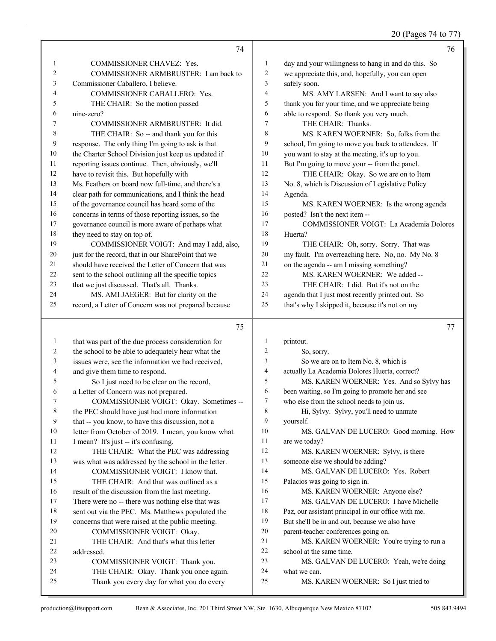20 (Pages 74 to 77)

|                | 74                                                                                  |              | 76                                                    |
|----------------|-------------------------------------------------------------------------------------|--------------|-------------------------------------------------------|
| 1              | COMMISSIONER CHAVEZ: Yes.                                                           | $\mathbf{1}$ | day and your willingness to hang in and do this. So   |
| 2              | COMMISSIONER ARMBRUSTER: I am back to                                               | 2            | we appreciate this, and, hopefully, you can open      |
| 3              | Commissioner Caballero, I believe.                                                  | 3            | safely soon.                                          |
| 4              | COMMISSIONER CABALLERO: Yes.                                                        | 4            | MS. AMY LARSEN: And I want to say also                |
| 5              | THE CHAIR: So the motion passed                                                     | 5            | thank you for your time, and we appreciate being      |
| 6              | nine-zero?                                                                          | 6            | able to respond. So thank you very much.              |
| 7              | COMMISSIONER ARMBRUSTER: It did.                                                    | $\tau$       | THE CHAIR: Thanks.                                    |
| 8              | THE CHAIR: So -- and thank you for this                                             | 8            | MS. KAREN WOERNER: So, folks from the                 |
| 9              | response. The only thing I'm going to ask is that                                   | 9            | school, I'm going to move you back to attendees. If   |
| $10\,$         | the Charter School Division just keep us updated if                                 | 10           | you want to stay at the meeting, it's up to you.      |
| 11             | reporting issues continue. Then, obviously, we'll                                   | 11           | But I'm going to move your -- from the panel.         |
| 12             | have to revisit this. But hopefully with                                            | 12           | THE CHAIR: Okay. So we are on to Item                 |
| 13             | Ms. Feathers on board now full-time, and there's a                                  | 13           | No. 8, which is Discussion of Legislative Policy      |
| 14             | clear path for communications, and I think the head                                 | 14           | Agenda.                                               |
| 15             | of the governance council has heard some of the                                     | 15           | MS. KAREN WOERNER: Is the wrong agenda                |
| 16             | concerns in terms of those reporting issues, so the                                 | 16           | posted? Isn't the next item --                        |
| $17\,$         | governance council is more aware of perhaps what                                    | 17           | <b>COMMISSIONER VOIGT: La Academia Dolores</b>        |
| 18             | they need to stay on top of.                                                        | 18           | Huerta?                                               |
| 19             | COMMISSIONER VOIGT: And may I add, also,                                            | 19           | THE CHAIR: Oh, sorry. Sorry. That was                 |
| 20             | just for the record, that in our SharePoint that we                                 | $20\,$       | my fault. I'm overreaching here. No, no. My No. 8     |
| 21             | should have received the Letter of Concern that was                                 | 21           | on the agenda -- am I missing something?              |
| $22\,$         | sent to the school outlining all the specific topics                                | 22           | MS. KAREN WOERNER: We added --                        |
| 23             | that we just discussed. That's all. Thanks.                                         | 23           | THE CHAIR: I did. But it's not on the                 |
| 24             | MS. AMI JAEGER: But for clarity on the                                              | $24\,$       | agenda that I just most recently printed out. So      |
| 25             | record, a Letter of Concern was not prepared because                                | 25           | that's why I skipped it, because it's not on my       |
|                |                                                                                     |              |                                                       |
|                |                                                                                     |              |                                                       |
|                |                                                                                     |              |                                                       |
|                | 75                                                                                  |              | 77                                                    |
| $\mathbf{1}$   | that was part of the due process consideration for                                  | 1            | printout.                                             |
| 2              | the school to be able to adequately hear what the                                   | 2            | So, sorry.                                            |
| 3              | issues were, see the information we had received,                                   | 3            | So we are on to Item No. 8, which is                  |
| $\overline{4}$ | and give them time to respond.                                                      | 4            | actually La Academia Dolores Huerta, correct?         |
| 5              | So I just need to be clear on the record,                                           | 5            | MS. KAREN WOERNER: Yes. And so Sylvy has              |
| 6              | a Letter of Concern was not prepared.                                               | 6            | been waiting, so I'm going to promote her and see     |
| 7              | COMMISSIONER VOIGT: Okay. Sometimes --                                              | 7            | who else from the school needs to join us.            |
| 8              | the PEC should have just had more information                                       | 8            | Hi, Sylvy. Sylvy, you'll need to unmute               |
| 9              | that -- you know, to have this discussion, not a                                    | 9            | yourself.                                             |
| $10\,$         | letter from October of 2019. I mean, you know what                                  | 10           | MS. GALVAN DE LUCERO: Good morning. How               |
| 11             | I mean? It's just -- it's confusing.                                                | 11           | are we today?                                         |
| 12             | THE CHAIR: What the PEC was addressing                                              | 12           | MS. KAREN WOERNER: Sylvy, is there                    |
| 13             | was what was addressed by the school in the letter.                                 | 13           | someone else we should be adding?                     |
| 14             | COMMISSIONER VOIGT: I know that.                                                    | 14           | MS. GALVAN DE LUCERO: Yes. Robert                     |
| 15             | THE CHAIR: And that was outlined as a                                               | 15           | Palacios was going to sign in.                        |
| 16             | result of the discussion from the last meeting.                                     | 16           | MS. KAREN WOERNER: Anyone else?                       |
| 17             | There were no -- there was nothing else that was                                    | 17           | MS. GALVAN DE LUCERO: I have Michelle                 |
| $18\,$         | sent out via the PEC. Ms. Matthews populated the                                    | 18           | Paz, our assistant principal in our office with me.   |
| 19             | concerns that were raised at the public meeting.                                    | 19           | But she'll be in and out, because we also have        |
| $20\,$         | COMMISSIONER VOIGT: Okay.                                                           | 20           | parent-teacher conferences going on.                  |
| 21             | THE CHAIR: And that's what this letter                                              | 21           | MS. KAREN WOERNER: You're trying to run a             |
| 22             | addressed.                                                                          | 22           | school at the same time.                              |
| 23             | COMMISSIONER VOIGT: Thank you.                                                      | 23           | MS. GALVAN DE LUCERO: Yeah, we're doing               |
| 24<br>25       | THE CHAIR: Okay. Thank you once again.<br>Thank you every day for what you do every | 24<br>25     | what we can.<br>MS. KAREN WOERNER: So I just tried to |

a k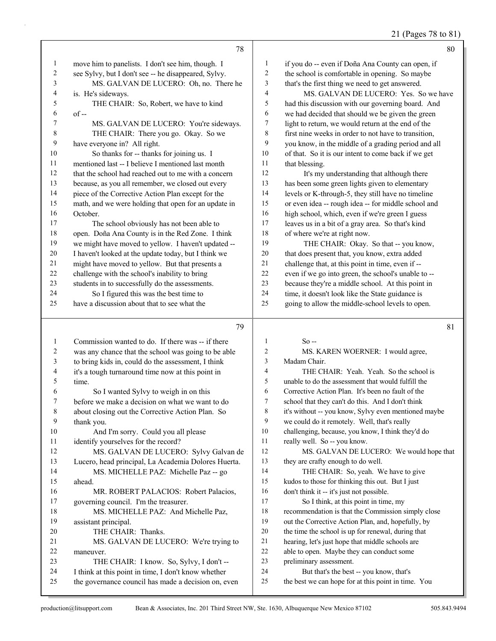# 21 (Pages 78 to 81)

|                          | 78                                                                                                         |                          | 80                                                                                             |
|--------------------------|------------------------------------------------------------------------------------------------------------|--------------------------|------------------------------------------------------------------------------------------------|
| $\mathbf{1}$             | move him to panelists. I don't see him, though. I                                                          | $\mathbf{1}$             | if you do -- even if Doña Ana County can open, if                                              |
| $\boldsymbol{2}$         | see Sylvy, but I don't see -- he disappeared, Sylvy.                                                       | $\sqrt{2}$               | the school is comfortable in opening. So maybe                                                 |
| $\mathfrak{Z}$           | MS. GALVAN DE LUCERO: Oh, no. There he                                                                     | $\mathfrak z$            | that's the first thing we need to get answered.                                                |
| $\overline{\mathcal{A}}$ | is. He's sideways.                                                                                         | $\overline{4}$           | MS. GALVAN DE LUCERO: Yes. So we have                                                          |
| 5                        | THE CHAIR: So, Robert, we have to kind                                                                     | $\sqrt{5}$               | had this discussion with our governing board. And                                              |
| 6                        | $of -$                                                                                                     | 6                        | we had decided that should we be given the green                                               |
| 7                        | MS. GALVAN DE LUCERO: You're sideways.                                                                     | 7                        | light to return, we would return at the end of the                                             |
| $\,$ $\,$                | THE CHAIR: There you go. Okay. So we                                                                       | $\,$ $\,$                | first nine weeks in order to not have to transition,                                           |
| 9                        | have everyone in? All right.                                                                               | 9                        | you know, in the middle of a grading period and all                                            |
| 10                       | So thanks for -- thanks for joining us. I                                                                  | 10                       | of that. So it is our intent to come back if we get                                            |
| $11\,$                   | mentioned last -- I believe I mentioned last month                                                         | 11                       | that blessing.                                                                                 |
| 12                       | that the school had reached out to me with a concern                                                       | 12                       | It's my understanding that although there                                                      |
| 13                       | because, as you all remember, we closed out every                                                          | 13                       | has been some green lights given to elementary                                                 |
| 14                       | piece of the Corrective Action Plan except for the                                                         | 14                       | levels or K-through-5, they still have no timeline                                             |
| 15                       | math, and we were holding that open for an update in                                                       | 15                       | or even idea -- rough idea -- for middle school and                                            |
| 16                       | October.                                                                                                   | 16                       | high school, which, even if we're green I guess                                                |
| 17                       | The school obviously has not been able to                                                                  | 17                       | leaves us in a bit of a gray area. So that's kind                                              |
| $18\,$                   | open. Doña Ana County is in the Red Zone. I think                                                          | 18                       | of where we're at right now.                                                                   |
| 19                       | we might have moved to yellow. I haven't updated --                                                        | 19                       | THE CHAIR: Okay. So that -- you know,                                                          |
| $20\,$                   | I haven't looked at the update today, but I think we                                                       | $20\,$                   | that does present that, you know, extra added                                                  |
| $21\,$                   | might have moved to yellow. But that presents a                                                            | 21                       | challenge that, at this point in time, even if --                                              |
| 22                       | challenge with the school's inability to bring                                                             | 22                       | even if we go into green, the school's unable to --                                            |
| 23                       | students in to successfully do the assessments.                                                            | 23                       | because they're a middle school. At this point in                                              |
| 24                       | So I figured this was the best time to                                                                     | 24                       | time, it doesn't look like the State guidance is                                               |
| 25                       | have a discussion about that to see what the                                                               | 25                       | going to allow the middle-school levels to open.                                               |
|                          |                                                                                                            |                          |                                                                                                |
|                          |                                                                                                            |                          |                                                                                                |
|                          |                                                                                                            |                          |                                                                                                |
|                          | 79                                                                                                         |                          | 81                                                                                             |
| $\mathbf{1}$             | Commission wanted to do. If there was -- if there                                                          | 1                        | $So -$                                                                                         |
| $\overline{c}$           | was any chance that the school was going to be able                                                        | $\overline{c}$           | MS. KAREN WOERNER: I would agree,                                                              |
| $\sqrt{3}$               | to bring kids in, could do the assessment, I think                                                         | 3                        | Madam Chair.                                                                                   |
| $\overline{\mathcal{A}}$ | it's a tough turnaround time now at this point in                                                          | $\overline{\mathcal{L}}$ | THE CHAIR: Yeah. Yeah. So the school is                                                        |
| 5                        | time.                                                                                                      | 5                        | unable to do the assessment that would fulfill the                                             |
| 6                        | So I wanted Sylvy to weigh in on this                                                                      | 6                        | Corrective Action Plan. It's been no fault of the                                              |
| 7                        | before we make a decision on what we want to do                                                            | $\tau$                   | school that they can't do this. And I don't think                                              |
| 8                        | about closing out the Corrective Action Plan. So                                                           | $\,$ $\,$                | it's without -- you know, Sylvy even mentioned maybe                                           |
| 9                        | thank you.                                                                                                 | 9                        | we could do it remotely. Well, that's really                                                   |
| 10                       | And I'm sorry. Could you all please                                                                        | 10                       | challenging, because, you know, I think they'd do                                              |
| 11                       | identify yourselves for the record?                                                                        | 11                       | really well. So -- you know.                                                                   |
| 12                       | MS. GALVAN DE LUCERO: Sylvy Galvan de                                                                      | 12                       | MS. GALVAN DE LUCERO: We would hope that                                                       |
| 13                       | Lucero, head principal, La Academia Dolores Huerta.                                                        | 13                       | they are crafty enough to do well.                                                             |
| 14                       | MS. MICHELLE PAZ: Michelle Paz -- go                                                                       | 14                       | THE CHAIR: So, yeah. We have to give                                                           |
| 15                       | ahead.                                                                                                     | 15                       | kudos to those for thinking this out. But I just                                               |
| 16                       | MR. ROBERT PALACIOS: Robert Palacios,                                                                      | 16                       | don't think it -- it's just not possible.                                                      |
| 17                       | governing council. I'm the treasurer.                                                                      | 17                       | So I think, at this point in time, my                                                          |
| 18                       | MS. MICHELLE PAZ: And Michelle Paz,                                                                        | $18\,$                   | recommendation is that the Commission simply close                                             |
| 19                       | assistant principal.                                                                                       | 19                       | out the Corrective Action Plan, and, hopefully, by                                             |
| 20                       | THE CHAIR: Thanks.                                                                                         | $20\,$                   | the time the school is up for renewal, during that                                             |
| 21                       | MS. GALVAN DE LUCERO: We're trying to                                                                      | $21\,$                   | hearing, let's just hope that middle schools are                                               |
| $22\,$                   | maneuver.                                                                                                  | 22                       | able to open. Maybe they can conduct some                                                      |
| 23                       | THE CHAIR: I know. So, Sylvy, I don't --                                                                   | $23\,$                   | preliminary assessment.                                                                        |
| 24<br>25                 | I think at this point in time, I don't know whether<br>the governance council has made a decision on, even | 24<br>25                 | But that's the best -- you know, that's<br>the best we can hope for at this point in time. You |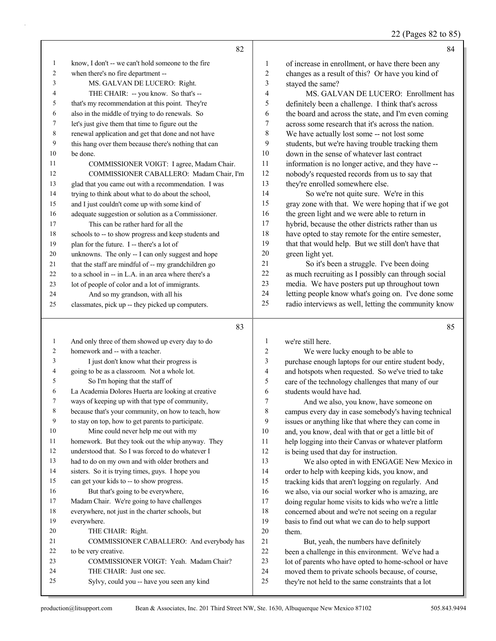22 (Pages 82 to 85)

|              | 82                                                   |                | 84                                                   |
|--------------|------------------------------------------------------|----------------|------------------------------------------------------|
| 1            | know, I don't -- we can't hold someone to the fire   | 1              | of increase in enrollment, or have there been any    |
| 2            | when there's no fire department --                   | $\overline{2}$ | changes as a result of this? Or have you kind of     |
| 3            | MS. GALVAN DE LUCERO: Right.                         | 3              | stayed the same?                                     |
| 4            | THE CHAIR: -- you know. So that's --                 | 4              | MS. GALVAN DE LUCERO: Enrollment has                 |
| 5            | that's my recommendation at this point. They're      | 5              | definitely been a challenge. I think that's across   |
| 6            | also in the middle of trying to do renewals. So      | 6              | the board and across the state, and I'm even coming  |
| 7            | let's just give them that time to figure out the     | 7              | across some research that it's across the nation.    |
| 8            | renewal application and get that done and not have   | 8              | We have actually lost some -- not lost some          |
| 9            | this hang over them because there's nothing that can | 9              | students, but we're having trouble tracking them     |
| 10           | be done.                                             | 10             | down in the sense of whatever last contract          |
| 11           | COMMISSIONER VOIGT: I agree, Madam Chair.            | 11             | information is no longer active, and they have --    |
| 12           | COMMISSIONER CABALLERO: Madam Chair, I'm             | 12             | nobody's requested records from us to say that       |
| 13           | glad that you came out with a recommendation. I was  | 13             | they're enrolled somewhere else.                     |
| 14           | trying to think about what to do about the school,   | 14             | So we're not quite sure. We're in this               |
| 15           | and I just couldn't come up with some kind of        | 15             | gray zone with that. We were hoping that if we got   |
| 16           | adequate suggestion or solution as a Commissioner.   | 16             | the green light and we were able to return in        |
| 17           | This can be rather hard for all the                  | 17             | hybrid, because the other districts rather than us   |
| 18           | schools to -- to show progress and keep students and | 18             | have opted to stay remote for the entire semester,   |
| 19           | plan for the future. I -- there's a lot of           | 19             | that that would help. But we still don't have that   |
| 20           | unknowns. The only -- I can only suggest and hope    | 20             | green light yet.                                     |
| 21           | that the staff are mindful of -- my grandchildren go | 21             | So it's been a struggle. I've been doing             |
| 22           | to a school in -- in L.A. in an area where there's a | 22             | as much recruiting as I possibly can through social  |
| 23           | lot of people of color and a lot of immigrants.      | 23             | media. We have posters put up throughout town        |
| 24           | And so my grandson, with all his                     | 24             | letting people know what's going on. I've done some  |
| 25           | classmates, pick up -- they picked up computers.     | 25             | radio interviews as well, letting the community know |
|              | 83                                                   |                | 85                                                   |
| $\mathbf{1}$ | And only three of them showed up every day to do     | 1              | we're still here.                                    |
| 2            | homework and -- with a teacher.                      | $\overline{c}$ | We were lucky enough to be able to                   |
| 3            | I just don't know what their progress is             | 3              | purchase enough laptops for our entire student body, |
| 4            | going to be as a classroom. Not a whole lot.         | $\overline{4}$ | and hotspots when requested. So we've tried to take  |
| 5            | So I'm hoping that the staff of                      | 5              | care of the technology challenges that many of our   |
| 6            | La Academia Dolores Huerta are looking at creative   | 6              | students would have had.                             |
|              | ways of keeping up with that type of community,      | 7              | And we also, you know, have someone on               |
| 8            | because that's your community, on how to teach, how  | 8              | campus every day in case somebody's having technical |
| 9            | to stay on top, how to get parents to participate.   | 9              | issues or anything like that where they can come in  |
| 10           | Mine could never help me out with my                 | 10             | and, you know, deal with that or get a little bit of |
| 11           | homework. But they took out the whip anyway. They    | 11             | help logging into their Canvas or whatever platform  |
| 12           | understood that. So I was forced to do whatever I    | 12             | is being used that day for instruction.              |
| 13           | had to do on my own and with older brothers and      | 13             | We also opted in with ENGAGE New Mexico in           |
| 14           | sisters. So it is trying times, guys. I hope you     | 14             | order to help with keeping kids, you know, and       |
| 15           | can get your kids to -- to show progress.            | 15             | tracking kids that aren't logging on regularly. And  |
| 16           | But that's going to be everywhere,                   | 16             | we also, via our social worker who is amazing, are   |
| 17           | Madam Chair. We're going to have challenges          | 17             | doing regular home visits to kids who we're a little |
| 18           | everywhere, not just in the charter schools, but     | $18\,$         | concerned about and we're not seeing on a regular    |

 concerned about and we're not seeing on a regular basis to find out what we can do to help support them.

21 But, yeah, the numbers have definitely been a challenge in this environment. We've had a lot of parents who have opted to home-school or have moved them to private schools because, of course, they're not held to the same constraints that a lot

everywhere.

to be very creative.

20 THE CHAIR: Right.

24 THE CHAIR: Just one sec.

21 COMMISSIONER CABALLERO: And everybody has

23 COMMISSIONER VOIGT: Yeah. Madam Chair?

25 Sylvy, could you -- have you seen any kind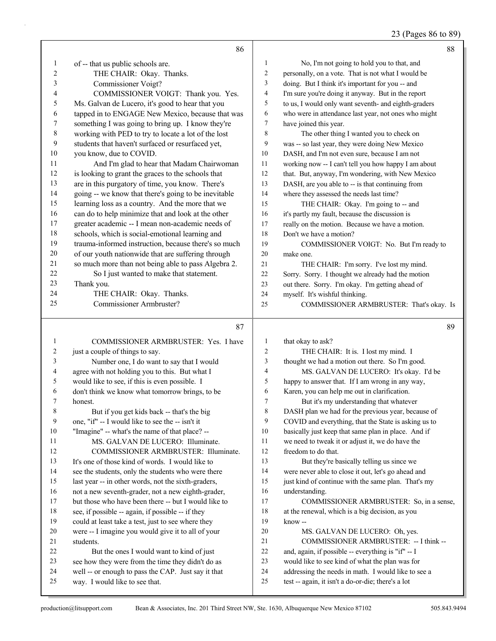23 (Pages 86 to 89)

|                | 86                                                   |                 | 88                                                   |
|----------------|------------------------------------------------------|-----------------|------------------------------------------------------|
| 1              | of -- that us public schools are.                    | $\mathbf{1}$    | No, I'm not going to hold you to that, and           |
| $\overline{2}$ | THE CHAIR: Okay. Thanks.                             | $\overline{c}$  | personally, on a vote. That is not what I would be   |
| 3              | Commissioner Voigt?                                  | 3               | doing. But I think it's important for you -- and     |
| 4              | COMMISSIONER VOIGT: Thank you. Yes.                  | 4               | I'm sure you're doing it anyway. But in the report   |
| 5              | Ms. Galvan de Lucero, it's good to hear that you     | 5               | to us, I would only want seventh- and eighth-graders |
| 6              | tapped in to ENGAGE New Mexico, because that was     | 6               | who were in attendance last year, not ones who might |
| 7              | something I was going to bring up. I know they're    | $7\phantom{.0}$ | have joined this year.                               |
| 8              | working with PED to try to locate a lot of the lost  | 8               | The other thing I wanted you to check on             |
| 9              | students that haven't surfaced or resurfaced yet,    | 9               | was -- so last year, they were doing New Mexico      |
| 10             | you know, due to COVID.                              | 10              | DASH, and I'm not even sure, because I am not        |
| 11             | And I'm glad to hear that Madam Chairwoman           | 11              | working now -- I can't tell you how happy I am about |
| 12             | is looking to grant the graces to the schools that   | 12              | that. But, anyway, I'm wondering, with New Mexico    |
| 13             | are in this purgatory of time, you know. There's     | 13              | DASH, are you able to -- is that continuing from     |
| 14             | going -- we know that there's going to be inevitable | 14              | where they assessed the needs last time?             |
| 15             | learning loss as a country. And the more that we     | 15              | THE CHAIR: Okay. I'm going to -- and                 |
| 16             | can do to help minimize that and look at the other   | 16              | it's partly my fault, because the discussion is      |
| 17             | greater academic -- I mean non-academic needs of     | 17              | really on the motion. Because we have a motion.      |
| 18             | schools, which is social-emotional learning and      | 18              | Don't we have a motion?                              |
| 19             | trauma-informed instruction, because there's so much | 19              | COMMISSIONER VOIGT: No. But I'm ready to             |
| 20             | of our youth nationwide that are suffering through   | 20              | make one.                                            |
| 21             | so much more than not being able to pass Algebra 2.  | 21              | THE CHAIR: I'm sorry. I've lost my mind.             |
| 22             | So I just wanted to make that statement.             | 22              | Sorry. Sorry. I thought we already had the motion    |
| 23             | Thank you.                                           | 23              | out there. Sorry. I'm okay. I'm getting ahead of     |
| 24             | THE CHAIR: Okay. Thanks.                             | 24              | myself. It's wishful thinking.                       |
| 25             | Commissioner Armbruster?                             | 25              | COMMISSIONER ARMBRUSTER: That's okay. Is             |
|                | 87                                                   |                 | 89                                                   |
| 1              | COMMISSIONER ARMBRUSTER: Yes. I have                 | $\mathbf{1}$    | that okay to ask?                                    |
| 2              | just a couple of things to say.                      | $\overline{c}$  | THE CHAIR: It is. I lost my mind. I                  |
| 3              | Number one, I do want to say that I would            | 3               | thought we had a motion out there. So I'm good.      |
| 4              | agree with not holding you to this. But what I       | 4               | MS. GALVAN DE LUCERO: It's okay. I'd be              |
| 5              | would like to see, if this is even possible. I       | 5               | happy to answer that. If I am wrong in any way,      |
| 6              | don't think we know what tomorrow brings, to be      | 6               | Karen, you can help me out in clarification.         |
| 7              | honest.                                              | $\overline{7}$  | But it's my understanding that whatever              |
| 8              | But if you get kids back -- that's the big           | 8               | DASH plan we had for the previous year, because of   |
| 9              | one, "if" -- I would like to see the -- isn't it     | 9               | COVID and everything, that the State is asking us to |
| 10             | "Imagine" -- what's the name of that place? --       | $10\,$          | basically just keep that same plan in place. And if  |
| 11             | MS. GALVAN DE LUCERO: Illuminate.                    | 11              | we need to tweak it or adjust it, we do have the     |
| 12             | COMMISSIONER ARMBRUSTER: Illuminate.                 | 12              | freedom to do that.                                  |
| 13             | It's one of those kind of words. I would like to     | 13              | But they're basically telling us since we            |
| 14             | see the students, only the students who were there   | 14              | were never able to close it out, let's go ahead and  |
| 15             | last year -- in other words, not the sixth-graders,  | 15              | just kind of continue with the same plan. That's my  |
| 16             | not a new seventh-grader, not a new eighth-grader,   | 16              | understanding.                                       |
| 17             | but those who have been there -- but I would like to | 17              | COMMISSIONER ARMBRUSTER: So, in a sense,             |
| 18             | see, if possible -- again, if possible -- if they    | 18              | at the renewal, which is a big decision, as you      |
| 19             | could at least take a test, just to see where they   | 19              | know--                                               |
| 20             | were -- I imagine you would give it to all of your   | 20              | MS. GALVAN DE LUCERO: Oh, yes.                       |
| 21             | students.                                            | 21              | COMMISSIONER ARMBRUSTER: -- I think --               |
| 22             | But the ones I would want to kind of just            | 22              | and, again, if possible -- everything is "if" -- I   |
| 23             |                                                      |                 |                                                      |
|                | see how they were from the time they didn't do as    | 23              | would like to see kind of what the plan was for      |
| 24             | well -- or enough to pass the CAP. Just say it that  | 24              | addressing the needs in math. I would like to see a  |
| 25             | way. I would like to see that.                       | 25              | test -- again, it isn't a do-or-die; there's a lot   |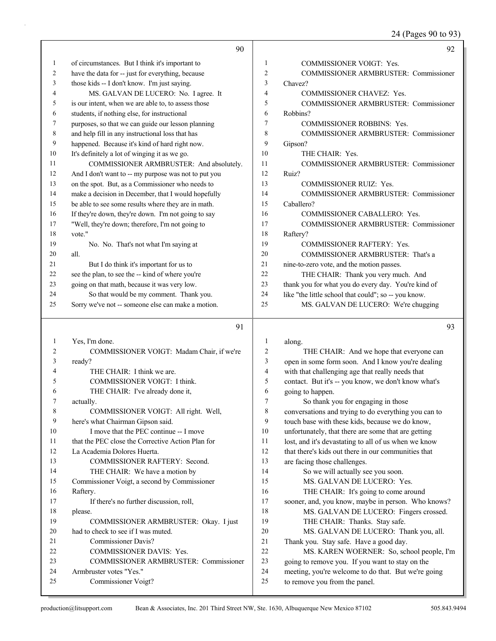# 24 (Pages 90 to 93)

|    | 90                                                   |                | 92                                                   |
|----|------------------------------------------------------|----------------|------------------------------------------------------|
| 1  | of circumstances. But I think it's important to      | 1              | <b>COMMISSIONER VOIGT: Yes.</b>                      |
| 2  | have the data for -- just for everything, because    | $\overline{2}$ | <b>COMMISSIONER ARMBRUSTER: Commissioner</b>         |
| 3  | those kids -- I don't know. I'm just saying.         | 3              | Chavez?                                              |
| 4  | MS. GALVAN DE LUCERO: No. I agree. It                | 4              | <b>COMMISSIONER CHAVEZ: Yes.</b>                     |
| 5  | is our intent, when we are able to, to assess those  | 5              | <b>COMMISSIONER ARMBRUSTER: Commissioner</b>         |
| 6  | students, if nothing else, for instructional         | 6              | Robbins?                                             |
| 7  | purposes, so that we can guide our lesson planning   | 7              | <b>COMMISSIONER ROBBINS: Yes.</b>                    |
| 8  | and help fill in any instructional loss that has     | 8              | <b>COMMISSIONER ARMBRUSTER: Commissioner</b>         |
| 9  | happened. Because it's kind of hard right now.       | 9              | Gipson?                                              |
| 10 | It's definitely a lot of winging it as we go.        | 10             | THE CHAIR: Yes.                                      |
| 11 | COMMISSIONER ARMBRUSTER: And absolutely.             | 11             | <b>COMMISSIONER ARMBRUSTER: Commissioner</b>         |
| 12 | And I don't want to -- my purpose was not to put you | 12             | Ruiz?                                                |
| 13 | on the spot. But, as a Commissioner who needs to     | 13             | <b>COMMISSIONER RUIZ: Yes.</b>                       |
| 14 | make a decision in December, that I would hopefully  | 14             | COMMISSIONER ARMBRUSTER: Commissioner                |
| 15 | be able to see some results where they are in math.  | 15             | Caballero?                                           |
| 16 | If they're down, they're down. I'm not going to say  | 16             | <b>COMMISSIONER CABALLERO: Yes.</b>                  |
| 17 | "Well, they're down; therefore, I'm not going to     | 17             | <b>COMMISSIONER ARMBRUSTER: Commissioner</b>         |
| 18 | vote."                                               | 18             | Raftery?                                             |
| 19 | No. No. That's not what I'm saying at                | 19             | <b>COMMISSIONER RAFTERY: Yes.</b>                    |
| 20 | all.                                                 | 20             | COMMISSIONER ARMBRUSTER: That's a                    |
| 21 | But I do think it's important for us to              | 21             | nine-to-zero vote, and the motion passes.            |
| 22 | see the plan, to see the -- kind of where you're     | 22             | THE CHAIR: Thank you very much. And                  |
| 23 | going on that math, because it was very low.         | 23             | thank you for what you do every day. You're kind of  |
| 24 | So that would be my comment. Thank you.              | 24             | like "the little school that could"; so -- you know. |
| 25 | Sorry we've not -- someone else can make a motion.   | 25             | MS. GALVAN DE LUCERO: We're chugging                 |

### 91

| 1  | Yes, I'm done.                                    | 1  | along.                                               |
|----|---------------------------------------------------|----|------------------------------------------------------|
| 2  | COMMISSIONER VOIGT: Madam Chair, if we're         | 2  | THE CHAIR: And we hope that everyone can             |
| 3  | ready?                                            | 3  | open in some form soon. And I know you're dealing    |
| 4  | THE CHAIR: I think we are.                        | 4  | with that challenging age that really needs that     |
| 5  | COMMISSIONER VOIGT: I think.                      | 5  | contact. But it's -- you know, we don't know what's  |
| 6  | THE CHAIR: I've already done it,                  | 6  | going to happen.                                     |
| 7  | actually.                                         | 7  | So thank you for engaging in those                   |
| 8  | COMMISSIONER VOIGT: All right. Well,              | 8  | conversations and trying to do everything you can to |
| 9  | here's what Chairman Gipson said.                 | 9  | touch base with these kids, because we do know,      |
| 10 | I move that the PEC continue -- I move            | 10 | unfortunately, that there are some that are getting  |
| 11 | that the PEC close the Corrective Action Plan for | 11 | lost, and it's devastating to all of us when we know |
| 12 | La Academia Dolores Huerta.                       | 12 | that there's kids out there in our communities that  |
| 13 | COMMISSIONER RAFTERY: Second.                     | 13 | are facing those challenges.                         |
| 14 | THE CHAIR: We have a motion by                    | 14 | So we will actually see you soon.                    |
| 15 | Commissioner Voigt, a second by Commissioner      | 15 | MS. GALVAN DE LUCERO: Yes.                           |
| 16 | Raftery.                                          | 16 | THE CHAIR: It's going to come around                 |
| 17 | If there's no further discussion, roll,           | 17 | sooner, and, you know, maybe in person. Who knows?   |
| 18 | please.                                           | 18 | MS. GALVAN DE LUCERO: Fingers crossed.               |
| 19 | COMMISSIONER ARMBRUSTER: Okay. I just             | 19 | THE CHAIR: Thanks. Stay safe.                        |
| 20 | had to check to see if I was muted.               | 20 | MS. GALVAN DE LUCERO: Thank you, all.                |
| 21 | Commissioner Davis?                               | 21 | Thank you. Stay safe. Have a good day.               |
| 22 | <b>COMMISSIONER DAVIS: Yes.</b>                   | 22 | MS. KAREN WOERNER: So, school people, I'm            |
| 23 | <b>COMMISSIONER ARMBRUSTER: Commissioner</b>      | 23 | going to remove you. If you want to stay on the      |
| 24 | Armbruster votes "Yes."                           | 24 | meeting, you're welcome to do that. But we're going  |
| 25 | Commissioner Voigt?                               | 25 | to remove you from the panel.                        |
|    |                                                   |    |                                                      |

93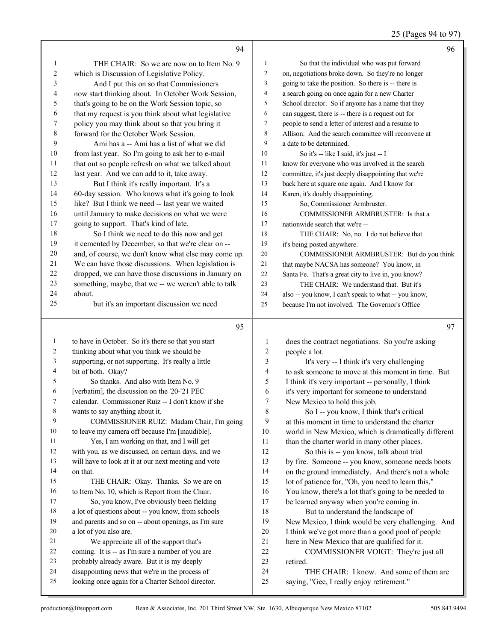| 25 (Pages 94 to 97) |
|---------------------|
|---------------------|

|              | 94                                                                                                   |                  | 96                                                                                   |
|--------------|------------------------------------------------------------------------------------------------------|------------------|--------------------------------------------------------------------------------------|
| $\mathbf{1}$ | THE CHAIR: So we are now on to Item No. 9                                                            | 1                | So that the individual who was put forward                                           |
| 2            | which is Discussion of Legislative Policy.                                                           | $\overline{c}$   | on, negotiations broke down. So they're no longer                                    |
| 3            | And I put this on so that Commissioners                                                              | 3                | going to take the position. So there is -- there is                                  |
| 4            | now start thinking about. In October Work Session,                                                   | 4                | a search going on once again for a new Charter                                       |
| 5            | that's going to be on the Work Session topic, so                                                     | 5                | School director. So if anyone has a name that they                                   |
| 6            | that my request is you think about what legislative                                                  | 6                | can suggest, there is -- there is a request out for                                  |
| 7            | policy you may think about so that you bring it                                                      | $\tau$           | people to send a letter of interest and a resume to                                  |
| 8            | forward for the October Work Session.                                                                | 8                | Allison. And the search committee will reconvene at                                  |
| 9            | Ami has a -- Ami has a list of what we did                                                           | 9                | a date to be determined.                                                             |
| 10           | from last year. So I'm going to ask her to e-mail                                                    | 10               | So it's -- like I said, it's just -- I                                               |
| 11           | that out so people refresh on what we talked about                                                   | 11               | know for everyone who was involved in the search                                     |
| 12           | last year. And we can add to it, take away.                                                          | 12               | committee, it's just deeply disappointing that we're                                 |
| 13           | But I think it's really important. It's a                                                            | 13               | back here at square one again. And I know for                                        |
| 14           | 60-day session. Who knows what it's going to look                                                    | 14               | Karen, it's doubly disappointing.                                                    |
| 15           | like? But I think we need -- last year we waited                                                     | 15               | So, Commissioner Armbruster.                                                         |
| 16           | until January to make decisions on what we were                                                      | 16               | COMMISSIONER ARMBRUSTER: Is that a                                                   |
| 17           | going to support. That's kind of late.                                                               | 17               | nationwide search that we're --                                                      |
| 18           | So I think we need to do this now and get                                                            | 18               | THE CHAIR: No, no. I do not believe that                                             |
| 19           | it cemented by December, so that we're clear on --                                                   | 19               | it's being posted anywhere.                                                          |
| 20           | and, of course, we don't know what else may come up.                                                 | 20               | COMMISSIONER ARMBRUSTER: But do you think                                            |
| 21           | We can have those discussions. When legislation is                                                   | 21               | that maybe NACSA has someone? You know, in                                           |
| 22           | dropped, we can have those discussions in January on                                                 | $22\,$           | Santa Fe. That's a great city to live in, you know?                                  |
| 23           | something, maybe, that we -- we weren't able to talk                                                 | 23               | THE CHAIR: We understand that. But it's                                              |
| 24           | about.                                                                                               | 24               | also -- you know, I can't speak to what -- you know,                                 |
| 25           | but it's an important discussion we need                                                             | 25               | because I'm not involved. The Governor's Office                                      |
|              |                                                                                                      |                  |                                                                                      |
|              |                                                                                                      |                  |                                                                                      |
|              | 95                                                                                                   |                  | 97                                                                                   |
| 1            | to have in October. So it's there so that you start                                                  | $\mathbf{1}$     | does the contract negotiations. So you're asking                                     |
| 2            | thinking about what you think we should be                                                           | $\boldsymbol{2}$ | people a lot.                                                                        |
| 3            | supporting, or not supporting. It's really a little                                                  | 3                | It's very -- I think it's very challenging                                           |
| 4            | bit of both. Okay?                                                                                   | 4                | to ask someone to move at this moment in time. But                                   |
| 5            | So thanks. And also with Item No. 9                                                                  | 5                | I think it's very important -- personally, I think                                   |
| 6            | [verbatim], the discussion on the '20-'21 PEC                                                        | 6                | it's very important for someone to understand                                        |
| 7            | calendar. Commissioner Ruiz -- I don't know if she                                                   | 7                | New Mexico to hold this job.                                                         |
| 8            | wants to say anything about it.                                                                      | 8                | So I -- you know, I think that's critical                                            |
| 9            | COMMISSIONER RUIZ: Madam Chair, I'm going                                                            | 9                | at this moment in time to understand the charter                                     |
| 10           | to leave my camera off because I'm [inaudible].                                                      | 10               | world in New Mexico, which is dramatically different                                 |
| 11           | Yes, I am working on that, and I will get                                                            | 11               | than the charter world in many other places.                                         |
| 12           | with you, as we discussed, on certain days, and we                                                   | 12               | So this is -- you know, talk about trial                                             |
| 13           | will have to look at it at our next meeting and vote                                                 | 13               | by fire. Someone -- you know, someone needs boots                                    |
| 14           | on that.                                                                                             | 14               | on the ground immediately. And there's not a whole                                   |
| 15           | THE CHAIR: Okay. Thanks. So we are on                                                                | 15               | lot of patience for, "Oh, you need to learn this."                                   |
| 16           | to Item No. 10, which is Report from the Chair.                                                      | 16               | You know, there's a lot that's going to be needed to                                 |
| 17           | So, you know, I've obviously been fielding                                                           | 17               | be learned anyway when you're coming in.                                             |
| 18           | a lot of questions about -- you know, from schools                                                   | 18               | But to understand the landscape of                                                   |
| 19           | and parents and so on -- about openings, as I'm sure                                                 | 19               | New Mexico, I think would be very challenging. And                                   |
| 20           | a lot of you also are.                                                                               | 20               | I think we've got more than a good pool of people                                    |
| 21           | We appreciate all of the support that's                                                              | 21               | here in New Mexico that are qualified for it.                                        |
| 22           | coming. It is -- as I'm sure a number of you are                                                     | 22               | COMMISSIONER VOIGT: They're just all                                                 |
| 23           | probably already aware. But it is my deeply                                                          | 23               | retired.                                                                             |
| 24<br>25     | disappointing news that we're in the process of<br>looking once again for a Charter School director. | 24<br>25         | THE CHAIR: I know. And some of them are<br>saying, "Gee, I really enjoy retirement." |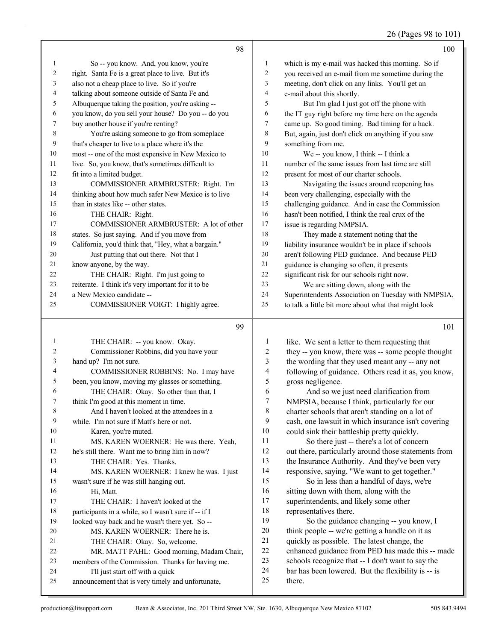26 (Pages 98 to 101)

|    | 98                                                   |    | 100                                                  |
|----|------------------------------------------------------|----|------------------------------------------------------|
| 1  | So -- you know. And, you know, you're                | 1  | which is my e-mail was hacked this morning. So if    |
| 2  | right. Santa Fe is a great place to live. But it's   | 2  | you received an e-mail from me sometime during the   |
| 3  | also not a cheap place to live. So if you're         | 3  | meeting, don't click on any links. You'll get an     |
| 4  | talking about someone outside of Santa Fe and        | 4  | e-mail about this shortly.                           |
| 5  | Albuquerque taking the position, you're asking --    | 5  | But I'm glad I just got off the phone with           |
| 6  | you know, do you sell your house? Do you -- do you   | 6  | the IT guy right before my time here on the agenda   |
| 7  | buy another house if you're renting?                 | 7  | came up. So good timing. Bad timing for a hack.      |
| 8  | You're asking someone to go from someplace           | 8  | But, again, just don't click on anything if you saw  |
| 9  | that's cheaper to live to a place where it's the     | 9  | something from me.                                   |
| 10 | most -- one of the most expensive in New Mexico to   | 10 | We -- you know, I think -- I think a                 |
| 11 | live. So, you know, that's sometimes difficult to    | 11 | number of the same issues from last time are still   |
| 12 | fit into a limited budget.                           | 12 | present for most of our charter schools.             |
| 13 | COMMISSIONER ARMBRUSTER: Right. I'm                  | 13 | Navigating the issues around reopening has           |
| 14 | thinking about how much safer New Mexico is to live  | 14 | been very challenging, especially with the           |
| 15 | than in states like -- other states.                 | 15 | challenging guidance. And in case the Commission     |
| 16 | THE CHAIR: Right.                                    | 16 | hasn't been notified, I think the real crux of the   |
| 17 | COMMISSIONER ARMBRUSTER: A lot of other              | 17 | issue is regarding NMPSIA.                           |
| 18 | states. So just saying. And if you move from         | 18 | They made a statement noting that the                |
| 19 | California, you'd think that, "Hey, what a bargain." | 19 | liability insurance wouldn't be in place if schools  |
| 20 | Just putting that out there. Not that I              | 20 | aren't following PED guidance. And because PED       |
| 21 | know anyone, by the way.                             | 21 | guidance is changing so often, it presents           |
| 22 | THE CHAIR: Right. I'm just going to                  | 22 | significant risk for our schools right now.          |
| 23 | reiterate. I think it's very important for it to be  | 23 | We are sitting down, along with the                  |
| 24 | a New Mexico candidate --                            | 24 | Superintendents Association on Tuesday with NMPSIA,  |
| 25 | COMMISSIONER VOIGT: I highly agree.                  | 25 | to talk a little bit more about what that might look |

| 1              | THE CHAIR: -- you know. Okay.                        |
|----------------|------------------------------------------------------|
| 2              | Commissioner Robbins, did you have your              |
| $\overline{3}$ | hand up? I'm not sure.                               |
| $\overline{4}$ | COMMISSIONER ROBBINS: No. I may have                 |
| 5              | been, you know, moving my glasses or something.      |
| 6              | THE CHAIR: Okay. So other than that, I               |
| 7              | think I'm good at this moment in time.               |
| 8              | And I haven't looked at the attendees in a           |
| 9              | while. I'm not sure if Matt's here or not.           |
| 10             | Karen, you're muted.                                 |
| 11             | MS. KAREN WOERNER: He was there. Yeah,               |
| 12             | he's still there. Want me to bring him in now?       |
| 13             | THE CHAIR: Yes. Thanks.                              |
| 14             | MS. KAREN WOERNER: I knew he was. I just             |
| 15             | wasn't sure if he was still hanging out.             |
| 16             | Hi, Matt.                                            |
| 17             | THE CHAIR: I haven't looked at the                   |
| 18             | participants in a while, so I wasn't sure if -- if I |
| 19             | looked way back and he wasn't there yet. So --       |
| 20             | MS. KAREN WOERNER: There he is.                      |
| 21             | THE CHAIR: Okay. So, welcome.                        |
| 22             | MR. MATT PAHL: Good morning, Madam Chair,            |
| 23             | members of the Commission. Thanks for having me.     |
| 24             | I'll just start off with a quick                     |
| 25             | announcement that is very timely and unfortunate,    |
|                |                                                      |

1 like. We sent a letter to them requesting that they -- you know, there was -- some people thought the wording that they used meant any -- any not following of guidance. Others read it as, you know, gross negligence. 6 And so we just need clarification from<br>7 NMPSIA, because I think, particularly for ou NMPSIA, because I think, particularly for our charter schools that aren't standing on a lot of cash, one lawsuit in which insurance isn't covering could sink their battleship pretty quickly. 11 So there just -- there's a lot of concern out there, particularly around those statements from the Insurance Authority. And they've been very responsive, saying, "We want to get together." 15 So in less than a handful of days, we're sitting down with them, along with the superintendents, and likely some other 18 representatives there.<br>19 So the guidance

So the guidance changing -- you know, I think people -- we're getting a handle on it as quickly as possible. The latest change, the enhanced guidance from PED has made this -- made schools recognize that -- I don't want to say the bar has been lowered. But the flexibility is -- is there.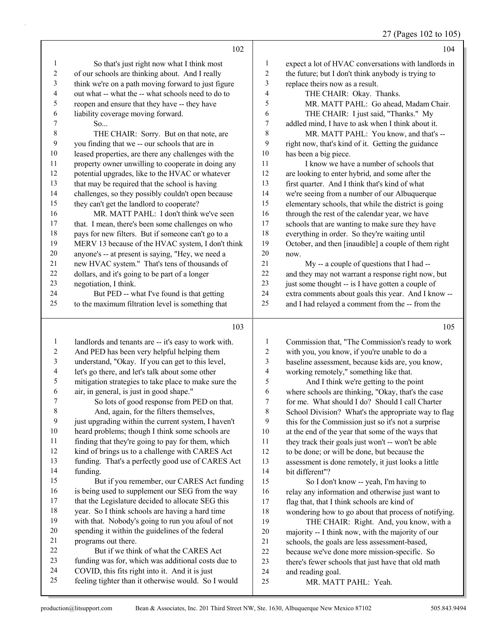27 (Pages 102 to 105)

|                                        | 102                                                                                                   |                               | 104                                                                                                    |
|----------------------------------------|-------------------------------------------------------------------------------------------------------|-------------------------------|--------------------------------------------------------------------------------------------------------|
| $\mathbf{1}$                           | So that's just right now what I think most                                                            | 1                             | expect a lot of HVAC conversations with landlords in                                                   |
| $\boldsymbol{2}$                       | of our schools are thinking about. And I really                                                       | 2                             | the future; but I don't think anybody is trying to                                                     |
| 3                                      | think we're on a path moving forward to just figure                                                   | 3                             | replace theirs now as a result.                                                                        |
| 4                                      | out what -- what the -- what schools need to do to                                                    | 4                             | THE CHAIR: Okay. Thanks.                                                                               |
| 5                                      | reopen and ensure that they have -- they have                                                         | 5                             | MR. MATT PAHL: Go ahead, Madam Chair.                                                                  |
| 6                                      | liability coverage moving forward.                                                                    | 6                             | THE CHAIR: I just said, "Thanks." My                                                                   |
| 7                                      | So                                                                                                    | $\overline{7}$                | addled mind, I have to ask when I think about it.                                                      |
| 8                                      | THE CHAIR: Sorry. But on that note, are                                                               | $\,$ $\,$                     | MR. MATT PAHL: You know, and that's --                                                                 |
| 9                                      | you finding that we -- our schools that are in                                                        | 9                             | right now, that's kind of it. Getting the guidance                                                     |
| $10\,$                                 | leased properties, are there any challenges with the                                                  | $10\,$                        | has been a big piece.                                                                                  |
| 11                                     | property owner unwilling to cooperate in doing any                                                    | $11\,$                        | I know we have a number of schools that                                                                |
| 12                                     | potential upgrades, like to the HVAC or whatever                                                      | 12                            | are looking to enter hybrid, and some after the                                                        |
| 13                                     | that may be required that the school is having                                                        | 13                            | first quarter. And I think that's kind of what                                                         |
| 14                                     | challenges, so they possibly couldn't open because                                                    | 14                            | we're seeing from a number of our Albuquerque                                                          |
| 15                                     | they can't get the landlord to cooperate?                                                             | 15                            | elementary schools, that while the district is going                                                   |
| 16                                     | MR. MATT PAHL: I don't think we've seen                                                               | 16                            | through the rest of the calendar year, we have                                                         |
| 17                                     | that. I mean, there's been some challenges on who                                                     | 17                            | schools that are wanting to make sure they have                                                        |
| 18                                     | pays for new filters. But if someone can't go to a                                                    | 18                            | everything in order. So they're waiting until                                                          |
| 19                                     | MERV 13 because of the HVAC system, I don't think                                                     | 19                            | October, and then [inaudible] a couple of them right                                                   |
| 20                                     | anyone's -- at present is saying, "Hey, we need a                                                     | 20                            | now.                                                                                                   |
| 21                                     | new HVAC system." That's tens of thousands of                                                         | 21                            | My -- a couple of questions that I had --                                                              |
| 22                                     | dollars, and it's going to be part of a longer                                                        | $22\,$                        | and they may not warrant a response right now, but                                                     |
| 23                                     | negotiation, I think.                                                                                 | $23\,$                        | just some thought -- is I have gotten a couple of                                                      |
| 24                                     | But PED -- what I've found is that getting                                                            | 24                            | extra comments about goals this year. And I know --                                                    |
| 25                                     | to the maximum filtration level is something that                                                     | 25                            | and I had relayed a comment from the -- from the                                                       |
|                                        |                                                                                                       |                               |                                                                                                        |
|                                        | 103                                                                                                   |                               | 105                                                                                                    |
|                                        |                                                                                                       |                               |                                                                                                        |
| $\mathbf{1}$                           | landlords and tenants are -- it's easy to work with.                                                  | $\mathbf{1}$                  | Commission that, "The Commission's ready to work                                                       |
| $\overline{c}$                         | And PED has been very helpful helping them                                                            | $\overline{\mathbf{c}}$       | with you, you know, if you're unable to do a                                                           |
| $\sqrt{3}$<br>$\overline{\mathcal{A}}$ | understand, "Okay. If you can get to this level,                                                      | 3<br>$\overline{\mathcal{A}}$ | baseline assessment, because kids are, you know,                                                       |
| $\sqrt{5}$                             | let's go there, and let's talk about some other                                                       | 5                             | working remotely," something like that.                                                                |
| 6                                      | mitigation strategies to take place to make sure the<br>air, in general, is just in good shape."      | 6                             | And I think we're getting to the point<br>where schools are thinking, "Okay, that's the case           |
| 7                                      |                                                                                                       | 7                             |                                                                                                        |
| $\,8\,$                                | So lots of good response from PED on that.<br>And, again, for the filters themselves,                 | 8                             | for me. What should I do? Should I call Charter<br>School Division? What's the appropriate way to flag |
| 9                                      | just upgrading within the current system, I haven't                                                   | 9                             | this for the Commission just so it's not a surprise                                                    |
| 10                                     | heard problems; though I think some schools are                                                       | 10                            | at the end of the year that some of the ways that                                                      |
| 11                                     | finding that they're going to pay for them, which                                                     | 11                            | they track their goals just won't -- won't be able                                                     |
| 12                                     | kind of brings us to a challenge with CARES Act                                                       | 12                            | to be done; or will be done, but because the                                                           |
| 13                                     | funding. That's a perfectly good use of CARES Act                                                     | 13                            | assessment is done remotely, it just looks a little                                                    |
| 14                                     | funding.                                                                                              | 14                            | bit different"?                                                                                        |
| 15                                     | But if you remember, our CARES Act funding                                                            | 15                            | So I don't know -- yeah, I'm having to                                                                 |
| 16                                     | is being used to supplement our SEG from the way                                                      | 16                            | relay any information and otherwise just want to                                                       |
| 17                                     | that the Legislature decided to allocate SEG this                                                     | 17                            | flag that, that I think schools are kind of                                                            |
| 18                                     | year. So I think schools are having a hard time                                                       | 18                            | wondering how to go about that process of notifying.                                                   |
| 19                                     | with that. Nobody's going to run you afoul of not                                                     | 19                            | THE CHAIR: Right. And, you know, with a                                                                |
| 20                                     | spending it within the guidelines of the federal                                                      | $20\,$                        | majority -- I think now, with the majority of our                                                      |
| 21                                     | programs out there.                                                                                   | 21                            | schools, the goals are less assessment-based,                                                          |
| 22                                     | But if we think of what the CARES Act                                                                 | $22\,$                        | because we've done more mission-specific. So                                                           |
| 23                                     | funding was for, which was additional costs due to                                                    | 23                            | there's fewer schools that just have that old math                                                     |
| 24<br>25                               | COVID, this fits right into it. And it is just<br>feeling tighter than it otherwise would. So I would | 24<br>25                      | and reading goal.<br>MR. MATT PAHL: Yeah.                                                              |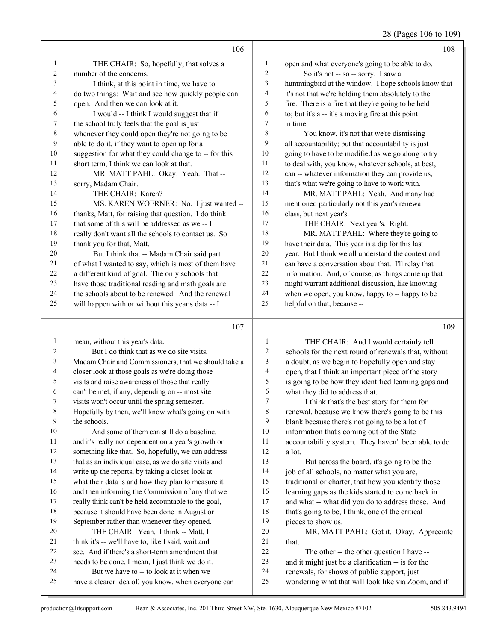### 28 (Pages 106 to 109)

|                |                                                      |                  | 28 (Pages 100 to 10)                                 |
|----------------|------------------------------------------------------|------------------|------------------------------------------------------|
|                | 106                                                  |                  | 108                                                  |
| $\mathbf{1}$   | THE CHAIR: So, hopefully, that solves a              | $\mathbf{1}$     | open and what everyone's going to be able to do.     |
| $\sqrt{2}$     | number of the concerns.                              | $\boldsymbol{2}$ | So it's not -- so -- sorry. I saw a                  |
| 3              | I think, at this point in time, we have to           | 3                | hummingbird at the window. I hope schools know that  |
| $\overline{4}$ | do two things: Wait and see how quickly people can   | 4                | it's not that we're holding them absolutely to the   |
| 5              | open. And then we can look at it.                    | 5                | fire. There is a fire that they're going to be held  |
| 6              | I would -- I think I would suggest that if           | 6                | to; but it's a -- it's a moving fire at this point   |
| 7              | the school truly feels that the goal is just         | 7                | in time.                                             |
| $\,$ $\,$      | whenever they could open they're not going to be     | 8                | You know, it's not that we're dismissing             |
| 9              | able to do it, if they want to open up for a         | 9                | all accountability; but that accountability is just  |
| $10\,$         | suggestion for what they could change to -- for this | 10               | going to have to be modified as we go along to try   |
| $11\,$         | short term, I think we can look at that.             | 11               | to deal with, you know, whatever schools, at best,   |
| 12             | MR. MATT PAHL: Okay. Yeah. That --                   | 12               | can -- whatever information they can provide us,     |
| 13             | sorry, Madam Chair.                                  | 13               | that's what we're going to have to work with.        |
| 14             | THE CHAIR: Karen?                                    | 14               | MR. MATT PAHL: Yeah. And many had                    |
| 15             | MS. KAREN WOERNER: No. I just wanted --              | 15               | mentioned particularly not this year's renewal       |
| 16             | thanks, Matt, for raising that question. I do think  | 16               | class, but next year's.                              |
| 17             | that some of this will be addressed as we -- I       | 17               | THE CHAIR: Next year's. Right.                       |
| $18\,$         | really don't want all the schools to contact us. So  | 18               | MR. MATT PAHL: Where they're going to                |
| 19             | thank you for that, Matt.                            | 19               | have their data. This year is a dip for this last    |
| 20             | But I think that -- Madam Chair said part            | 20               | year. But I think we all understand the context and  |
| 21             | of what I wanted to say, which is most of them have  | $21\,$           | can have a conversation about that. I'll relay that  |
| 22             | a different kind of goal. The only schools that      | 22               | information. And, of course, as things come up that  |
| 23             | have those traditional reading and math goals are    | 23               | might warrant additional discussion, like knowing    |
| 24             | the schools about to be renewed. And the renewal     | 24               | when we open, you know, happy to -- happy to be      |
| 25             | will happen with or without this year's data -- I    | 25               | helpful on that, because --                          |
|                | 107                                                  |                  | 109                                                  |
| $\mathbf{1}$   | mean, without this year's data.                      | $\mathbf{1}$     | THE CHAIR: And I would certainly tell                |
| 2              | But I do think that as we do site visits,            | $\overline{c}$   | schools for the next round of renewals that, without |
| 3              | Madam Chair and Commissioners, that we should take a | 3                | a doubt, as we begin to hopefully open and stay      |
| 4              | closer look at those goals as we're doing those      | 4                | open, that I think an important piece of the story   |
| 5              | visits and raise awareness of those that really      | 5                | is going to be how they identified learning gaps and |
| 6              | can't be met, if any, depending on -- most site      | 6                | what they did to address that.                       |
| 7              | visits won't occur until the spring semester.        | $\boldsymbol{7}$ | I think that's the best story for them for           |
| 8              | Hopefully by then, we'll know what's going on with   | 8                | renewal, because we know there's going to be this    |
| 9              | the schools.                                         | 9                | blank because there's not going to be a lot of       |
| $10\,$         | And some of them can still do a baseline,            | 10               | information that's coming out of the State           |
| 11             | and it's really not dependent on a year's growth or  | 11               | accountability system. They haven't been able to do  |
| 12             | something like that. So, hopefully, we can address   | 12               | a lot.                                               |
| 13             | that as an individual case, as we do site visits and | 13               | But across the board, it's going to be the           |
| 14             | write up the reports, by taking a closer look at     | 14               | job of all schools, no matter what you are,          |
| 15             | what their data is and how they plan to measure it   | 15               | traditional or charter, that how you identify those  |
| 16             | and then informing the Commission of any that we     | 16               | learning gaps as the kids started to come back in    |
| 17             | really think can't be held accountable to the goal,  | $17$             | and what -- what did you do to address those. And    |
| 18             | because it should have been done in August or        | 18               | that's going to be, I think, one of the critical     |

- because it should have been done in August or September rather than whenever they opened.
- 20 THE CHAIR: Yeah. I think -- Matt, I
- think it's -- we'll have to, like I said, wait and see. And if there's a short-term amendment that
- needs to be done, I mean, I just think we do it.
- 24 But we have to -- to look at it when we
- have a clearer idea of, you know, when everyone can

pieces to show us.

21 that.

20 MR. MATT PAHL: Got it. Okay. Appreciate

wondering what that will look like via Zoom, and if

22 The other -- the other question I have -- and it might just be a clarification -- is for the renewals, for shows of public support, just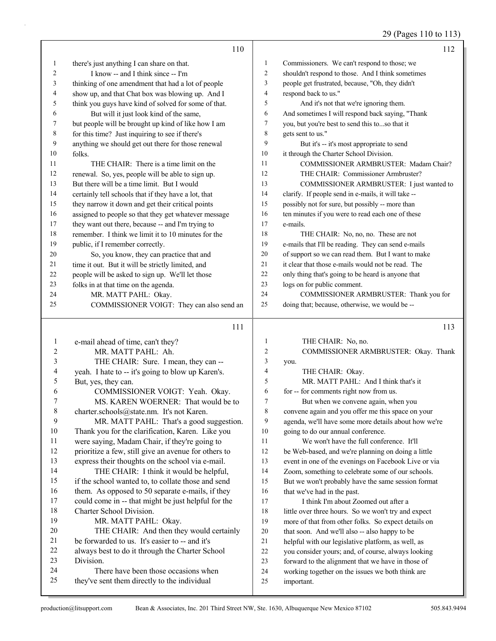29 (Pages 110 to 113)

|                | 110                                                                                        |                | 112                                                                                                     |
|----------------|--------------------------------------------------------------------------------------------|----------------|---------------------------------------------------------------------------------------------------------|
| 1              | there's just anything I can share on that.                                                 | 1              | Commissioners. We can't respond to those; we                                                            |
| 2              | I know -- and I think since -- I'm                                                         | $\overline{c}$ | shouldn't respond to those. And I think sometimes                                                       |
| 3              | thinking of one amendment that had a lot of people                                         | 3              | people get frustrated, because, "Oh, they didn't                                                        |
| 4              | show up, and that Chat box was blowing up. And I                                           | 4              | respond back to us."                                                                                    |
| 5              | think you guys have kind of solved for some of that.                                       | 5              | And it's not that we're ignoring them.                                                                  |
| 6              | But will it just look kind of the same,                                                    | 6              | And sometimes I will respond back saying, "Thank                                                        |
| 7              | but people will be brought up kind of like how I am                                        | 7              | you, but you're best to send this to  so that it                                                        |
| 8              | for this time? Just inquiring to see if there's                                            | 8              | gets sent to us."                                                                                       |
| 9              | anything we should get out there for those renewal                                         | 9              | But it's -- it's most appropriate to send                                                               |
| 10             | folks.                                                                                     | 10             | it through the Charter School Division.                                                                 |
| 11             | THE CHAIR: There is a time limit on the                                                    | 11             | COMMISSIONER ARMBRUSTER: Madam Chair?                                                                   |
| 12             | renewal. So, yes, people will be able to sign up.                                          | 12             | THE CHAIR: Commissioner Armbruster?                                                                     |
| 13             | But there will be a time limit. But I would                                                | 13             | COMMISSIONER ARMBRUSTER: I just wanted to                                                               |
| 14             | certainly tell schools that if they have a lot, that                                       | 14             | clarify. If people send in e-mails, it will take --                                                     |
| 15             | they narrow it down and get their critical points                                          | 15             | possibly not for sure, but possibly -- more than                                                        |
| 16             | assigned to people so that they get whatever message                                       | 16             | ten minutes if you were to read each one of these                                                       |
| 17             | they want out there, because -- and I'm trying to                                          | 17             | e-mails.                                                                                                |
| 18             | remember. I think we limit it to 10 minutes for the                                        | 18             | THE CHAIR: No, no, no. These are not                                                                    |
| 19             | public, if I remember correctly.                                                           | 19             | e-mails that I'll be reading. They can send e-mails                                                     |
| 20             | So, you know, they can practice that and                                                   | 20             | of support so we can read them. But I want to make                                                      |
| 21             | time it out. But it will be strictly limited, and                                          | 21             | it clear that those e-mails would not be read. The                                                      |
| 22             | people will be asked to sign up. We'll let those                                           | 22             | only thing that's going to be heard is anyone that                                                      |
| 23             | folks in at that time on the agenda.                                                       | 23             | logs on for public comment.                                                                             |
| 24             | MR. MATT PAHL: Okay.                                                                       | 24             | COMMISSIONER ARMBRUSTER: Thank you for                                                                  |
| 25             | COMMISSIONER VOIGT: They can also send an                                                  | 25             | doing that; because, otherwise, we would be --                                                          |
|                |                                                                                            |                |                                                                                                         |
|                |                                                                                            |                |                                                                                                         |
|                | 111                                                                                        |                | 113                                                                                                     |
| 1              | e-mail ahead of time, can't they?                                                          | 1              | THE CHAIR: No, no.                                                                                      |
| 2              | MR. MATT PAHL: Ah.                                                                         | 2              | COMMISSIONER ARMBRUSTER: Okay. Thank                                                                    |
| 3              | THE CHAIR: Sure. I mean, they can --                                                       | 3              | you.                                                                                                    |
| 4              | yeah. I hate to -- it's going to blow up Karen's.                                          | 4              | THE CHAIR: Okay.                                                                                        |
| 5              | But, yes, they can.                                                                        | 5              | MR. MATT PAHL: And I think that's it                                                                    |
| 6              | COMMISSIONER VOIGT: Yeah. Okay.                                                            | 6              | for -- for comments right now from us.                                                                  |
| 7              | MS. KAREN WOERNER: That would be to                                                        | 7              | But when we convene again, when you                                                                     |
| $8\phantom{1}$ | charter.schools@state.nm. It's not Karen.                                                  | 8              | convene again and you offer me this space on your                                                       |
| 9              | MR. MATT PAHL: That's a good suggestion.                                                   | 9              | agenda, we'll have some more details about how we're                                                    |
| $10\,$         | Thank you for the clarification, Karen. Like you                                           | 10             | going to do our annual conference.                                                                      |
| 11             | were saying, Madam Chair, if they're going to                                              | 11             | We won't have the full conference. It'll                                                                |
| 12             | prioritize a few, still give an avenue for others to                                       | 12             | be Web-based, and we're planning on doing a little                                                      |
| 13             | express their thoughts on the school via e-mail.                                           | 13             | event in one of the evenings on Facebook Live or via                                                    |
| 14             | THE CHAIR: I think it would be helpful,                                                    | 14             | Zoom, something to celebrate some of our schools.                                                       |
| 15             | if the school wanted to, to collate those and send                                         | 15             | But we won't probably have the same session format                                                      |
| 16             | them. As opposed to 50 separate e-mails, if they                                           | 16             | that we've had in the past.                                                                             |
| 17             | could come in -- that might be just helpful for the                                        | 17             | I think I'm about Zoomed out after a                                                                    |
| 18<br>19       | Charter School Division.                                                                   | 18             | little over three hours. So we won't try and expect                                                     |
| 20             | MR. MATT PAHL: Okay.                                                                       | 19<br>20       | more of that from other folks. So expect details on                                                     |
| 21             | THE CHAIR: And then they would certainly<br>be forwarded to us. It's easier to -- and it's | 21             | that soon. And we'll also -- also happy to be                                                           |
| 22             | always best to do it through the Charter School                                            | 22             | helpful with our legislative platform, as well, as                                                      |
| 23             | Division.                                                                                  | $23\,$         | you consider yours; and, of course, always looking<br>forward to the alignment that we have in those of |
| 24             | There have been those occasions when                                                       | 24             | working together on the issues we both think are                                                        |
| 25             | they've sent them directly to the individual                                               | 25             | important.                                                                                              |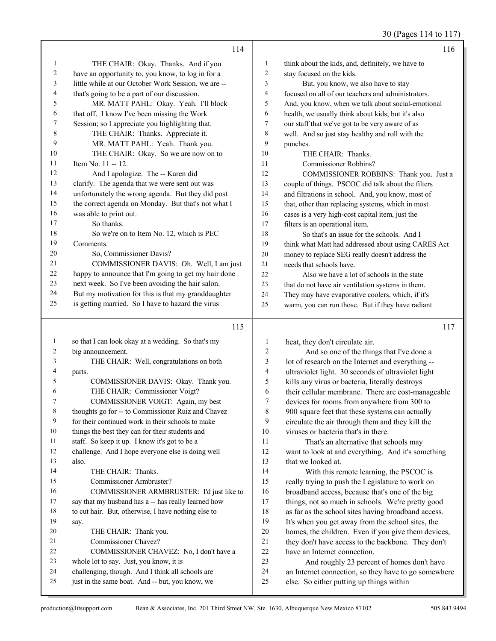30 (Pages 114 to 117)

|          | 114                                                                                                 |                  | 116                                                                                                   |
|----------|-----------------------------------------------------------------------------------------------------|------------------|-------------------------------------------------------------------------------------------------------|
| 1        | THE CHAIR: Okay. Thanks. And if you                                                                 | 1                | think about the kids, and, definitely, we have to                                                     |
| 2        | have an opportunity to, you know, to log in for a                                                   | $\boldsymbol{2}$ | stay focused on the kids.                                                                             |
| 3        | little while at our October Work Session, we are --                                                 | 3                | But, you know, we also have to stay                                                                   |
| 4        | that's going to be a part of our discussion.                                                        | 4                | focused on all of our teachers and administrators.                                                    |
| 5        | MR. MATT PAHL: Okay. Yeah. I'll block                                                               | 5                | And, you know, when we talk about social-emotional                                                    |
| 6        | that off. I know I've been missing the Work                                                         | 6                | health, we usually think about kids; but it's also                                                    |
| 7        | Session; so I appreciate you highlighting that.                                                     | 7                | our staff that we've got to be very aware of as                                                       |
| 8        | THE CHAIR: Thanks. Appreciate it.                                                                   | 8                | well. And so just stay healthy and roll with the                                                      |
| 9        | MR. MATT PAHL: Yeah. Thank you.                                                                     | 9                | punches.                                                                                              |
| 10       | THE CHAIR: Okay. So we are now on to                                                                | 10               | THE CHAIR: Thanks.                                                                                    |
| 11       | Item No. 11 -- 12.                                                                                  | 11               | Commissioner Robbins?                                                                                 |
| 12       | And I apologize. The -- Karen did                                                                   | 12               | COMMISSIONER ROBBINS: Thank you. Just a                                                               |
| 13       | clarify. The agenda that we were sent out was                                                       | 13               | couple of things. PSCOC did talk about the filters                                                    |
| 14       | unfortunately the wrong agenda. But they did post                                                   | 14               | and filtrations in school. And, you know, most of                                                     |
| 15       | the correct agenda on Monday. But that's not what I                                                 | 15               | that, other than replacing systems, which in most                                                     |
| 16       | was able to print out.                                                                              | 16               | cases is a very high-cost capital item, just the                                                      |
| 17       | So thanks.                                                                                          | 17               | filters is an operational item.                                                                       |
| 18       | So we're on to Item No. 12, which is PEC                                                            | $18\,$           | So that's an issue for the schools. And I                                                             |
| 19       | Comments.                                                                                           | 19               | think what Matt had addressed about using CARES Act                                                   |
| 20       | So, Commissioner Davis?                                                                             | $20\,$           | money to replace SEG really doesn't address the                                                       |
| 21       | COMMISSIONER DAVIS: Oh. Well, I am just                                                             | 21               | needs that schools have.                                                                              |
| 22       | happy to announce that I'm going to get my hair done                                                | 22               | Also we have a lot of schools in the state                                                            |
| 23       | next week. So I've been avoiding the hair salon.                                                    | 23               | that do not have air ventilation systems in them.                                                     |
| 24       | But my motivation for this is that my granddaughter                                                 | 24               | They may have evaporative coolers, which, if it's                                                     |
| 25       | is getting married. So I have to hazard the virus                                                   | 25               | warm, you can run those. But if they have radiant                                                     |
|          |                                                                                                     |                  |                                                                                                       |
|          | 115                                                                                                 |                  | 117                                                                                                   |
| 1        |                                                                                                     |                  |                                                                                                       |
| 2        | so that I can look okay at a wedding. So that's my                                                  | $\mathbf{1}$     | heat, they don't circulate air.                                                                       |
| 3        | big announcement.                                                                                   | $\overline{c}$   | And so one of the things that I've done a                                                             |
| 4        | THE CHAIR: Well, congratulations on both                                                            | 3<br>4           | lot of research on the Internet and everything --                                                     |
| 5        | parts.<br>COMMISSIONER DAVIS: Okay. Thank you.                                                      | 5                | ultraviolet light. 30 seconds of ultraviolet light                                                    |
| 6        | THE CHAIR: Commissioner Voigt?                                                                      | 6                | kills any virus or bacteria, literally destroys<br>their cellular membrane. There are cost-manageable |
| $\prime$ | COMMISSIONER VOIGT: Again, my best                                                                  | $\overline{7}$   | devices for rooms from anywhere from 300 to                                                           |
| 8        | thoughts go for -- to Commissioner Ruiz and Chavez                                                  | 8                | 900 square feet that these systems can actually                                                       |
| 9        | for their continued work in their schools to make                                                   | 9                | circulate the air through them and they kill the                                                      |
| 10       | things the best they can for their students and                                                     | $10\,$           | viruses or bacteria that's in there.                                                                  |
| 11       | staff. So keep it up. I know it's got to be a                                                       | 11               | That's an alternative that schools may                                                                |
| 12       | challenge. And I hope everyone else is doing well                                                   | 12               | want to look at and everything. And it's something                                                    |
| 13       | also.                                                                                               | 13               | that we looked at.                                                                                    |
| 14       | THE CHAIR: Thanks.                                                                                  | 14               | With this remote learning, the PSCOC is                                                               |
| 15       | Commissioner Armbruster?                                                                            | 15               | really trying to push the Legislature to work on                                                      |
| 16       | COMMISSIONER ARMBRUSTER: I'd just like to                                                           | 16               | broadband access, because that's one of the big                                                       |
| 17       | say that my husband has a -- has really learned how                                                 | 17               | things; not so much in schools. We're pretty good                                                     |
| 18       | to cut hair. But, otherwise, I have nothing else to                                                 | 18               | as far as the school sites having broadband access.                                                   |
| 19       | say.                                                                                                | 19               | It's when you get away from the school sites, the                                                     |
| 20       | THE CHAIR: Thank you.                                                                               | $20\,$           | homes, the children. Even if you give them devices,                                                   |
| 21       | Commissioner Chavez?                                                                                | 21               | they don't have access to the backbone. They don't                                                    |
| 22       | COMMISSIONER CHAVEZ: No, I don't have a                                                             | 22               | have an Internet connection.                                                                          |
| 23       | whole lot to say. Just, you know, it is                                                             | 23               | And roughly 23 percent of homes don't have                                                            |
| 24<br>25 | challenging, though. And I think all schools are<br>just in the same boat. And -- but, you know, we | 24<br>25         | an Internet connection, so they have to go somewhere<br>else. So either putting up things within      |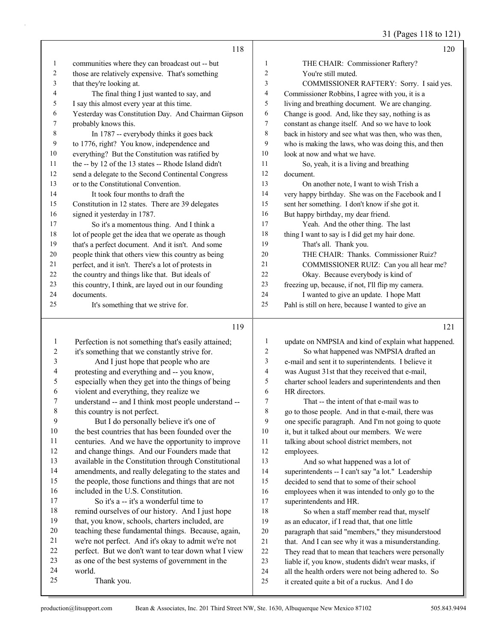31 (Pages 118 to 121)

|                          | 118                                                  |                | 120                                                                                                 |
|--------------------------|------------------------------------------------------|----------------|-----------------------------------------------------------------------------------------------------|
| $\mathbf{1}$             | communities where they can broadcast out -- but      | $\mathbf{1}$   | THE CHAIR: Commissioner Raftery?                                                                    |
| 2                        | those are relatively expensive. That's something     | 2              | You're still muted.                                                                                 |
| 3                        | that they're looking at.                             | 3              | COMMISSIONER RAFTERY: Sorry. I said yes.                                                            |
| 4                        | The final thing I just wanted to say, and            | 4              | Commissioner Robbins, I agree with you, it is a                                                     |
| 5                        | I say this almost every year at this time.           | 5              | living and breathing document. We are changing.                                                     |
| 6                        | Yesterday was Constitution Day. And Chairman Gipson  | 6              | Change is good. And, like they say, nothing is as                                                   |
| 7                        | probably knows this.                                 | 7              | constant as change itself. And so we have to look                                                   |
| 8                        | In 1787 -- everybody thinks it goes back             | 8              | back in history and see what was then, who was then,                                                |
| 9                        | to 1776, right? You know, independence and           | 9              | who is making the laws, who was doing this, and then                                                |
| 10                       | everything? But the Constitution was ratified by     | 10             | look at now and what we have.                                                                       |
| 11                       | the -- by 12 of the 13 states -- Rhode Island didn't | 11             | So, yeah, it is a living and breathing                                                              |
| 12                       | send a delegate to the Second Continental Congress   | 12             | document.                                                                                           |
| 13                       | or to the Constitutional Convention.                 | 13             | On another note, I want to wish Trish a                                                             |
| 14                       | It took four months to draft the                     | 14             | very happy birthday. She was on the Facebook and I                                                  |
| 15                       | Constitution in 12 states. There are 39 delegates    | 15             | sent her something. I don't know if she got it.                                                     |
| 16                       | signed it yesterday in 1787.                         | 16             | But happy birthday, my dear friend.                                                                 |
| 17                       | So it's a momentous thing. And I think a             | 17             | Yeah. And the other thing. The last                                                                 |
| 18                       | lot of people get the idea that we operate as though | $18\,$         | thing I want to say is I did get my hair done.                                                      |
| 19                       | that's a perfect document. And it isn't. And some    | 19             | That's all. Thank you.                                                                              |
| $20\,$                   | people think that others view this country as being  | 20             | THE CHAIR: Thanks. Commissioner Ruiz?                                                               |
| 21                       | perfect, and it isn't. There's a lot of protests in  | 21             | COMMISSIONER RUIZ: Can you all hear me?                                                             |
| 22                       | the country and things like that. But ideals of      | 22             | Okay. Because everybody is kind of                                                                  |
| 23                       | this country, I think, are layed out in our founding | 23             | freezing up, because, if not, I'll flip my camera.                                                  |
| 24                       | documents.                                           | 24             | I wanted to give an update. I hope Matt                                                             |
| 25                       | It's something that we strive for.                   | 25             | Pahl is still on here, because I wanted to give an                                                  |
|                          | 119                                                  |                | 121                                                                                                 |
| $\mathbf{1}$             | Perfection is not something that's easily attained;  | 1              | update on NMPSIA and kind of explain what happened.                                                 |
| 2                        | it's something that we constantly strive for.        | $\overline{c}$ | So what happened was NMPSIA drafted an                                                              |
| 3                        | And I just hope that people who are                  | 3              | e-mail and sent it to superintendents. I believe it                                                 |
| $\overline{\mathcal{A}}$ | protesting and everything and -- you know,           | 4              | was August 31st that they received that e-mail,                                                     |
| 5                        | especially when they get into the things of being    | 5              | charter school leaders and superintendents and then                                                 |
| 6                        | violent and everything, they realize we              | 6              | HR directors.                                                                                       |
| 7                        | understand -- and I think most people understand --  | 7              | That -- the intent of that e-mail was to                                                            |
| 8                        | this country is not perfect.                         | 8              | go to those people. And in that e-mail, there was                                                   |
| 9                        | But I do personally believe it's one of              | 9              | one specific paragraph. And I'm not going to quote                                                  |
| 10                       | the best countries that has been founded over the    | 10             | it, but it talked about our members. We were                                                        |
| 11                       |                                                      |                |                                                                                                     |
|                          | centuries. And we have the opportunity to improve    | 11             | talking about school district members, not                                                          |
| 12                       | and change things. And our Founders made that        | 12             | employees.                                                                                          |
| 13                       | available in the Constitution through Constitutional | 13             | And so what happened was a lot of                                                                   |
| 14                       | amendments, and really delegating to the states and  | 14             | superintendents -- I can't say "a lot." Leadership                                                  |
| 15                       | the people, those functions and things that are not  | 15             | decided to send that to some of their school                                                        |
| 16                       | included in the U.S. Constitution.                   | 16             | employees when it was intended to only go to the                                                    |
| 17                       | So it's a -- it's a wonderful time to                | 17             | superintendents and HR.                                                                             |
| 18                       | remind ourselves of our history. And I just hope     | 18             | So when a staff member read that, myself                                                            |
| 19                       | that, you know, schools, charters included, are      | 19             | as an educator, if I read that, that one little                                                     |
| $20\,$                   | teaching these fundamental things. Because, again,   | $20\,$         | paragraph that said "members," they misunderstood                                                   |
| 21                       | we're not perfect. And it's okay to admit we're not  | $21\,$         | that. And I can see why it was a misunderstanding.                                                  |
| 22                       | perfect. But we don't want to tear down what I view  | $22\,$         | They read that to mean that teachers were personally                                                |
| 23                       | as one of the best systems of government in the      | 23             | liable if, you know, students didn't wear masks, if                                                 |
| 24<br>25                 | world.<br>Thank you.                                 | 24<br>$25\,$   | all the health orders were not being adhered to. So<br>it created quite a bit of a ruckus. And I do |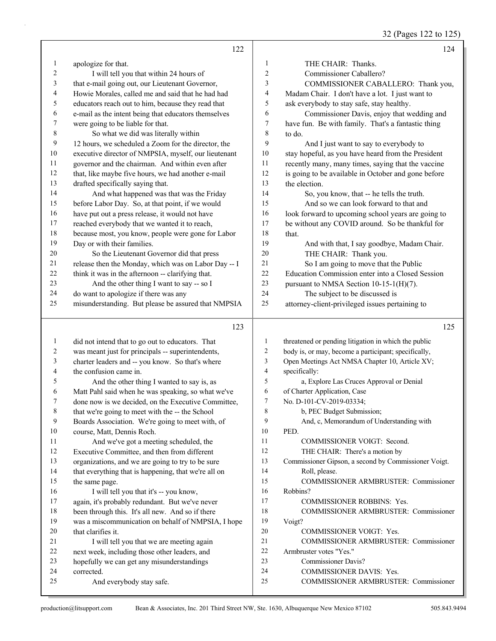32 (Pages 122 to 125)

|                | 122                                                  |                  | 124                                                  |
|----------------|------------------------------------------------------|------------------|------------------------------------------------------|
| $\mathbf{1}$   | apologize for that.                                  | 1                | THE CHAIR: Thanks.                                   |
| 2              | I will tell you that within 24 hours of              | 2                | Commissioner Caballero?                              |
| $\mathfrak{Z}$ | that e-mail going out, our Lieutenant Governor,      | 3                | COMMISSIONER CABALLERO: Thank you,                   |
| 4              | Howie Morales, called me and said that he had had    | 4                | Madam Chair. I don't have a lot. I just want to      |
| 5              | educators reach out to him, because they read that   | 5                | ask everybody to stay safe, stay healthy.            |
| 6              | e-mail as the intent being that educators themselves | 6                | Commissioner Davis, enjoy that wedding and           |
| 7              | were going to be liable for that.                    | $\boldsymbol{7}$ | have fun. Be with family. That's a fantastic thing   |
| $\,$ 8 $\,$    | So what we did was literally within                  | 8                | to do.                                               |
| 9              | 12 hours, we scheduled a Zoom for the director, the  | 9                | And I just want to say to everybody to               |
| 10             | executive director of NMPSIA, myself, our lieutenant | 10               | stay hopeful, as you have heard from the President   |
| $11\,$         | governor and the chairman. And within even after     | 11               | recently many, many times, saying that the vaccine   |
| $12\,$         | that, like maybe five hours, we had another e-mail   | 12               | is going to be available in October and gone before  |
| 13             | drafted specifically saying that.                    | 13               | the election.                                        |
| 14             | And what happened was that was the Friday            | 14               | So, you know, that -- he tells the truth.            |
| 15             | before Labor Day. So, at that point, if we would     | 15               | And so we can look forward to that and               |
| 16             | have put out a press release, it would not have      | 16               | look forward to upcoming school years are going to   |
| $17\,$         | reached everybody that we wanted it to reach,        | 17               | be without any COVID around. So be thankful for      |
| $18\,$         | because most, you know, people were gone for Labor   | 18               | that.                                                |
| 19             | Day or with their families.                          | 19               | And with that, I say goodbye, Madam Chair.           |
| $20\,$         | So the Lieutenant Governor did that press            | 20               | THE CHAIR: Thank you.                                |
| $21\,$         | release then the Monday, which was on Labor Day -- I | 21               | So I am going to move that the Public                |
| 22             | think it was in the afternoon -- clarifying that.    | $22\,$           | Education Commission enter into a Closed Session     |
| 23             | And the other thing I want to say -- so I            | 23               | pursuant to NMSA Section 10-15-1(H)(7).              |
| 24             | do want to apologize if there was any                | 24               | The subject to be discussed is                       |
| 25             | misunderstanding. But please be assured that NMPSIA  | 25               | attorney-client-privileged issues pertaining to      |
|                |                                                      |                  |                                                      |
|                | 123                                                  |                  | 125                                                  |
| $\mathbf{1}$   | did not intend that to go out to educators. That     | $\mathbf{1}$     | threatened or pending litigation in which the public |
| 2              | was meant just for principals -- superintendents,    | $\overline{c}$   | body is, or may, become a participant; specifically, |
| 3              | charter leaders and -- you know. So that's where     | 3                | Open Meetings Act NMSA Chapter 10, Article XV;       |
| 4              | the confusion came in.                               | $\overline{4}$   | specifically:                                        |
| 5              | And the other thing I wanted to say is, as           | 5                | a, Explore Las Cruces Approval or Denial             |
| 6              | Matt Pahl said when he was speaking, so what we've   | 6                | of Charter Application, Case                         |
| $\tau$         | done now is we decided, on the Executive Committee,  | $\tau$           | No. D-101-CV-2019-03334;                             |
| 8              | that we're going to meet with the -- the School      | 8                | b, PEC Budget Submission;                            |
| 9              | Boards Association. We're going to meet with, of     | 9                | And, c, Memorandum of Understanding with             |
| 10             | course, Matt, Dennis Roch.                           | 10               | PED.                                                 |
| 11             | And we've got a meeting scheduled, the               | 11               | COMMISSIONER VOIGT: Second.                          |
| 12             | Executive Committee, and then from different         | 12               | THE CHAIR: There's a motion by                       |
| 13             | organizations, and we are going to try to be sure    | 13               | Commissioner Gipson, a second by Commissioner Voigt. |
| 14             | that everything that is happening, that we're all on | 14               | Roll, please.                                        |
| 15             | the same page.                                       | 15               | COMMISSIONER ARMBRUSTER: Commissioner                |
| 16             | I will tell you that it's -- you know,               | 16               | Robbins?                                             |
| 17             | again, it's probably redundant. But we've never      | 17               | <b>COMMISSIONER ROBBINS: Yes.</b>                    |
| 18             | been through this. It's all new. And so if there     | 18               | COMMISSIONER ARMBRUSTER: Commissioner                |
| 19             | was a miscommunication on behalf of NMPSIA, I hope   | 19               | Voigt?                                               |
| 20             |                                                      | 20               | COMMISSIONER VOIGT: Yes.                             |
|                | that clarifies it.                                   |                  |                                                      |
| 21             | I will tell you that we are meeting again            | 21               | COMMISSIONER ARMBRUSTER: Commissioner                |
| 22             | next week, including those other leaders, and        | 22               | Armbruster votes "Yes."                              |
| 23             | hopefully we can get any misunderstandings           | 23               | Commissioner Davis?                                  |
| 24             | corrected.                                           | 24               | COMMISSIONER DAVIS: Yes.                             |
| 25             | And everybody stay safe.                             | 25               | COMMISSIONER ARMBRUSTER: Commissioner                |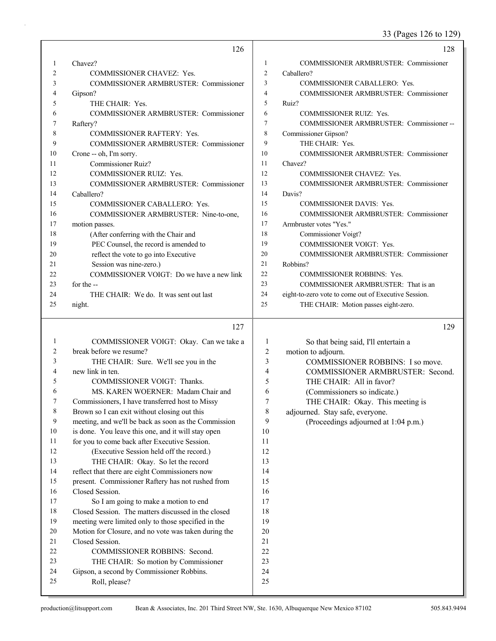33 (Pages 126 to 129)

|                | 126                                          |    | 128                                                  |
|----------------|----------------------------------------------|----|------------------------------------------------------|
|                | Chavez?                                      | 1  | <b>COMMISSIONER ARMBRUSTER: Commissioner</b>         |
| $\overline{2}$ | <b>COMMISSIONER CHAVEZ: Yes.</b>             | 2  | Caballero?                                           |
| 3              | <b>COMMISSIONER ARMBRUSTER: Commissioner</b> | 3  | <b>COMMISSIONER CABALLERO: Yes.</b>                  |
| 4              | Gipson?                                      | 4  | <b>COMMISSIONER ARMBRUSTER: Commissioner</b>         |
| 5              | THE CHAIR: Yes.                              | 5  | Ruiz?                                                |
| 6              | COMMISSIONER ARMBRUSTER: Commissioner        | 6  | <b>COMMISSIONER RUIZ: Yes.</b>                       |
| 7              | Raftery?                                     | 7  | COMMISSIONER ARMBRUSTER: Commissioner--              |
| 8              | <b>COMMISSIONER RAFTERY: Yes.</b>            | 8  | Commissioner Gipson?                                 |
| 9              | COMMISSIONER ARMBRUSTER: Commissioner        | 9  | THE CHAIR: Yes.                                      |
| 10             | Crone -- oh, I'm sorry.                      | 10 | COMMISSIONER ARMBRUSTER: Commissioner                |
| 11             | Commissioner Ruiz?                           | 11 | Chavez?                                              |
| 12             | <b>COMMISSIONER RUIZ: Yes.</b>               | 12 | <b>COMMISSIONER CHAVEZ: Yes.</b>                     |
| 13             | <b>COMMISSIONER ARMBRUSTER: Commissioner</b> | 13 | COMMISSIONER ARMBRUSTER: Commissioner                |
| 14             | Caballero?                                   | 14 | Davis?                                               |
| 15             | COMMISSIONER CABALLERO: Yes.                 | 15 | <b>COMMISSIONER DAVIS: Yes.</b>                      |
| 16             | COMMISSIONER ARMBRUSTER: Nine-to-one,        | 16 | <b>COMMISSIONER ARMBRUSTER: Commissioner</b>         |
| 17             | motion passes.                               | 17 | Armbruster votes "Yes."                              |
| 18             | (After conferring with the Chair and         | 18 | Commissioner Voigt?                                  |
| 19             | PEC Counsel, the record is amended to        | 19 | <b>COMMISSIONER VOIGT: Yes.</b>                      |
| 20             | reflect the vote to go into Executive        | 20 | <b>COMMISSIONER ARMBRUSTER: Commissioner</b>         |
| 21             | Session was nine-zero.)                      | 21 | Robbins?                                             |
| 22             | COMMISSIONER VOIGT: Do we have a new link    | 22 | <b>COMMISSIONER ROBBINS: Yes.</b>                    |
| 23             | for the --                                   | 23 | COMMISSIONER ARMBRUSTER: That is an                  |
| 24             | THE CHAIR: We do. It was sent out last       | 24 | eight-to-zero vote to come out of Executive Session. |
| 25             | night.                                       | 25 | THE CHAIR: Motion passes eight-zero.                 |
|                |                                              |    |                                                      |

### $127 \frac{1}{2}$

|    | 1/1                                                  |    | 147                                  |
|----|------------------------------------------------------|----|--------------------------------------|
| 1  | COMMISSIONER VOIGT: Okay. Can we take a              |    | So that being said, I'll entertain a |
| 2  | break before we resume?                              | 2  | motion to adjourn.                   |
| 3  | THE CHAIR: Sure. We'll see you in the                | 3  | COMMISSIONER ROBBINS: I so move.     |
| 4  | new link in ten.                                     | 4  | COMMISSIONER ARMBRUSTER: Second.     |
| 5  | <b>COMMISSIONER VOIGT: Thanks.</b>                   | 5  | THE CHAIR: All in favor?             |
| 6  | MS. KAREN WOERNER: Madam Chair and                   | 6  | (Commissioners so indicate.)         |
| 7  | Commissioners, I have transferred host to Missy      | 7  | THE CHAIR: Okay. This meeting is     |
| 8  | Brown so I can exit without closing out this         | 8  | adjourned. Stay safe, everyone.      |
| 9  | meeting, and we'll be back as soon as the Commission | 9  | (Proceedings adjourned at 1:04 p.m.) |
| 10 | is done. You leave this one, and it will stay open   | 10 |                                      |
| 11 | for you to come back after Executive Session.        | 11 |                                      |
| 12 | (Executive Session held off the record.)             | 12 |                                      |
| 13 | THE CHAIR: Okay. So let the record                   | 13 |                                      |
| 14 | reflect that there are eight Commissioners now       | 14 |                                      |
| 15 | present. Commissioner Raftery has not rushed from    | 15 |                                      |
| 16 | Closed Session.                                      | 16 |                                      |
| 17 | So I am going to make a motion to end                | 17 |                                      |
| 18 | Closed Session. The matters discussed in the closed  | 18 |                                      |
| 19 | meeting were limited only to those specified in the  | 19 |                                      |
| 20 | Motion for Closure, and no vote was taken during the | 20 |                                      |
| 21 | Closed Session.                                      | 21 |                                      |
| 22 | <b>COMMISSIONER ROBBINS: Second.</b>                 | 22 |                                      |
| 23 | THE CHAIR: So motion by Commissioner                 | 23 |                                      |
| 24 | Gipson, a second by Commissioner Robbins.            | 24 |                                      |
| 25 | Roll, please?                                        | 25 |                                      |
|    |                                                      |    |                                      |

129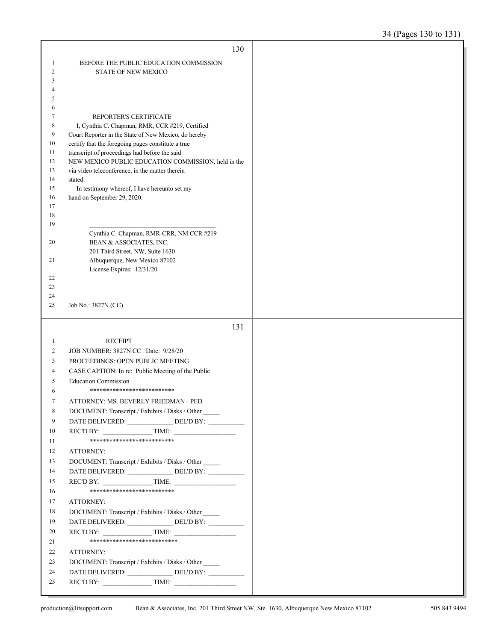|                | 130                                                                                                    |  |
|----------------|--------------------------------------------------------------------------------------------------------|--|
| 1              | BEFORE THE PUBLIC EDUCATION COMMISSION                                                                 |  |
| $\overline{2}$ | <b>STATE OF NEW MEXICO</b>                                                                             |  |
| 3              |                                                                                                        |  |
| 4              |                                                                                                        |  |
| 5<br>6         |                                                                                                        |  |
| 7              | REPORTER'S CERTIFICATE                                                                                 |  |
| 8              | I, Cynthia C. Chapman, RMR, CCR #219, Certified                                                        |  |
| 9              | Court Reporter in the State of New Mexico, do hereby                                                   |  |
| 10             | certify that the foregoing pages constitute a true                                                     |  |
| 11             | transcript of proceedings had before the said                                                          |  |
| 12<br>13       | NEW MEXICO PUBLIC EDUCATION COMMISSION, held in the<br>via video teleconference, in the matter therein |  |
| 14             | stated.                                                                                                |  |
| 15             | In testimony whereof, I have hereunto set my                                                           |  |
| 16             | hand on September 29, 2020.                                                                            |  |
| 17             |                                                                                                        |  |
| 18             |                                                                                                        |  |
| 19             | Cynthia C. Chapman, RMR-CRR, NM CCR #219                                                               |  |
| 20             | BEAN & ASSOCIATES, INC.                                                                                |  |
|                | 201 Third Street, NW, Suite 1630                                                                       |  |
| 21             | Albuquerque, New Mexico 87102                                                                          |  |
|                | License Expires: 12/31/20                                                                              |  |
| 22<br>23       |                                                                                                        |  |
| 24             |                                                                                                        |  |
| 25             | Job No.: 3827N (CC)                                                                                    |  |
|                |                                                                                                        |  |
|                |                                                                                                        |  |
|                | 131                                                                                                    |  |
| $\mathbf{1}$   | <b>RECEIPT</b>                                                                                         |  |
| 2              | JOB NUMBER: 3827N CC Date: 9/28/20                                                                     |  |
| 3              | PROCEEDINGS: OPEN PUBLIC MEETING                                                                       |  |
| 4              | CASE CAPTION: In re: Public Meeting of the Public                                                      |  |
| 5              | <b>Education Commission</b>                                                                            |  |
| 6              | **************************                                                                             |  |
| 7              | ATTORNEY: MS. BEVERLY FRIEDMAN - PED                                                                   |  |
| 8              | DOCUMENT: Transcript / Exhibits / Disks / Other                                                        |  |
| 9              | DATE DELIVERED: ______________DEL'D BY: ___________                                                    |  |
| 10             | REC'D BY: TIME:<br>**************************                                                          |  |
| 11<br>12       | ATTORNEY:                                                                                              |  |
| 13             |                                                                                                        |  |
| 14             | DOCUMENT: Transcript / Exhibits / Disks / Other                                                        |  |
| 15             | $RECD BY:$ TIME:                                                                                       |  |
| 16             | **************************                                                                             |  |
| 17             | ATTORNEY:                                                                                              |  |
| 18             | DOCUMENT: Transcript / Exhibits / Disks / Other                                                        |  |
| 19             |                                                                                                        |  |
| 20             | $RECD BY:$ TIME:                                                                                       |  |
| 21             | ***************************                                                                            |  |
| 22             | ATTORNEY:                                                                                              |  |
| 23             | DOCUMENT: Transcript / Exhibits / Disks / Other                                                        |  |
| 24<br>25       | REC'D BY: $\qquad \qquad \qquad$ TIME:                                                                 |  |